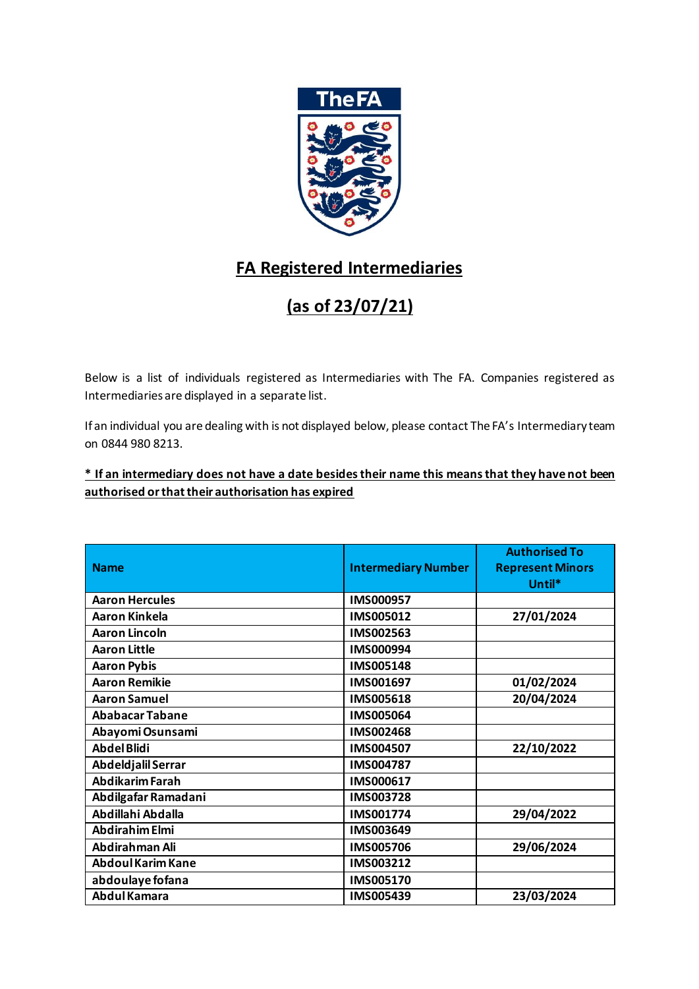

## **FA Registered Intermediaries**

## **(as of 23/07/21)**

Below is a list of individuals registered as Intermediaries with The FA. Companies registered as Intermediaries are displayed in a separate list.

If an individual you are dealing with is not displayed below, please contact The FA's Intermediary team on 0844 980 8213.

## **\* If an intermediary does not have a date besides their name this means that they have not been authorised or that their authorisation has expired**

|                          |                            | <b>Authorised To</b>    |
|--------------------------|----------------------------|-------------------------|
| <b>Name</b>              | <b>Intermediary Number</b> | <b>Represent Minors</b> |
|                          |                            | Until*                  |
| <b>Aaron Hercules</b>    | IMS000957                  |                         |
| <b>Aaron Kinkela</b>     | IMS005012                  | 27/01/2024              |
| <b>Aaron Lincoln</b>     | IMS002563                  |                         |
| <b>Aaron Little</b>      | IMS000994                  |                         |
| <b>Aaron Pybis</b>       | IMS005148                  |                         |
| <b>Aaron Remikie</b>     | IMS001697                  | 01/02/2024              |
| <b>Aaron Samuel</b>      | IMS005618                  | 20/04/2024              |
| <b>Ababacar Tabane</b>   | IMS005064                  |                         |
| Abayomi Osunsami         | IMS002468                  |                         |
| <b>Abdel Blidi</b>       | IMS004507                  | 22/10/2022              |
| Abdeldjalil Serrar       | IMS004787                  |                         |
| <b>Abdikarim Farah</b>   | IMS000617                  |                         |
| Abdilgafar Ramadani      | IMS003728                  |                         |
| Abdillahi Abdalla        | IMS001774                  | 29/04/2022              |
| <b>Abdirahim Elmi</b>    | IMS003649                  |                         |
| Abdirahman Ali           | IMS005706                  | 29/06/2024              |
| <b>Abdoul Karim Kane</b> | IMS003212                  |                         |
| abdoulaye fofana         | IMS005170                  |                         |
| Abdul Kamara             | IMS005439                  | 23/03/2024              |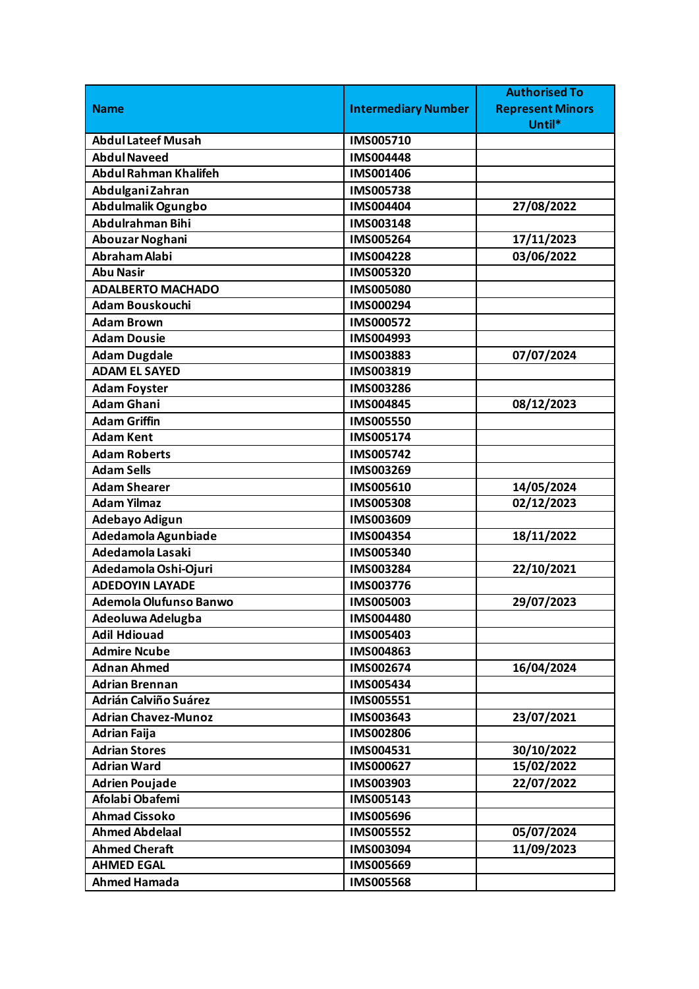|                              |                            | <b>Authorised To</b>    |
|------------------------------|----------------------------|-------------------------|
| <b>Name</b>                  | <b>Intermediary Number</b> | <b>Represent Minors</b> |
|                              |                            | Until*                  |
| <b>Abdul Lateef Musah</b>    | IMS005710                  |                         |
| <b>Abdul Naveed</b>          | IMS004448                  |                         |
| <b>Abdul Rahman Khalifeh</b> | IMS001406                  |                         |
| Abdulgani Zahran             | <b>IMS005738</b>           |                         |
| Abdulmalik Ogungbo           | IMS004404                  | 27/08/2022              |
| Abdulrahman Bihi             | IMS003148                  |                         |
| Abouzar Noghani              | IMS005264                  | 17/11/2023              |
| Abraham Alabi                | IMS004228                  | 03/06/2022              |
| <b>Abu Nasir</b>             | IMS005320                  |                         |
| <b>ADALBERTO MACHADO</b>     | <b>IMS005080</b>           |                         |
| <b>Adam Bouskouchi</b>       | IMS000294                  |                         |
| <b>Adam Brown</b>            | IMS000572                  |                         |
| <b>Adam Dousie</b>           | IMS004993                  |                         |
| <b>Adam Dugdale</b>          | IMS003883                  | 07/07/2024              |
| <b>ADAM EL SAYED</b>         | IMS003819                  |                         |
| <b>Adam Foyster</b>          | IMS003286                  |                         |
| <b>Adam Ghani</b>            | IMS004845                  | 08/12/2023              |
| <b>Adam Griffin</b>          | <b>IMS005550</b>           |                         |
| <b>Adam Kent</b>             | IMS005174                  |                         |
| <b>Adam Roberts</b>          | IMS005742                  |                         |
| <b>Adam Sells</b>            | IMS003269                  |                         |
| <b>Adam Shearer</b>          | IMS005610                  | 14/05/2024              |
| <b>Adam Yilmaz</b>           | <b>IMS005308</b>           | 02/12/2023              |
| Adebayo Adigun               | IMS003609                  |                         |
| Adedamola Agunbiade          | IMS004354                  | 18/11/2022              |
| Adedamola Lasaki             | IMS005340                  |                         |
| Adedamola Oshi-Ojuri         | IMS003284                  | 22/10/2021              |
| <b>ADEDOYIN LAYADE</b>       | IMS003776                  |                         |
| Ademola Olufunso Banwo       | IMS005003                  | 29/07/2023              |
| Adeoluwa Adelugba            | IMS004480                  |                         |
| <b>Adil Hdiouad</b>          | IMS005403                  |                         |
| <b>Admire Ncube</b>          | IMS004863                  |                         |
| <b>Adnan Ahmed</b>           | IMS002674                  | 16/04/2024              |
| <b>Adrian Brennan</b>        | IMS005434                  |                         |
| <b>Adrián Calviño Suárez</b> | IMS005551                  |                         |
| <b>Adrian Chavez-Munoz</b>   | IMS003643                  | 23/07/2021              |
| <b>Adrian Faija</b>          | IMS002806                  |                         |
| <b>Adrian Stores</b>         | IMS004531                  | 30/10/2022              |
| <b>Adrian Ward</b>           | IMS000627                  | 15/02/2022              |
| <b>Adrien Poujade</b>        | IMS003903                  | 22/07/2022              |
| Afolabi Obafemi              | IMS005143                  |                         |
| <b>Ahmad Cissoko</b>         | IMS005696                  |                         |
| <b>Ahmed Abdelaal</b>        | IMS005552                  | 05/07/2024              |
| <b>Ahmed Cheraft</b>         | IMS003094                  | 11/09/2023              |
| <b>AHMED EGAL</b>            | IMS005669                  |                         |
| <b>Ahmed Hamada</b>          | <b>IMS005568</b>           |                         |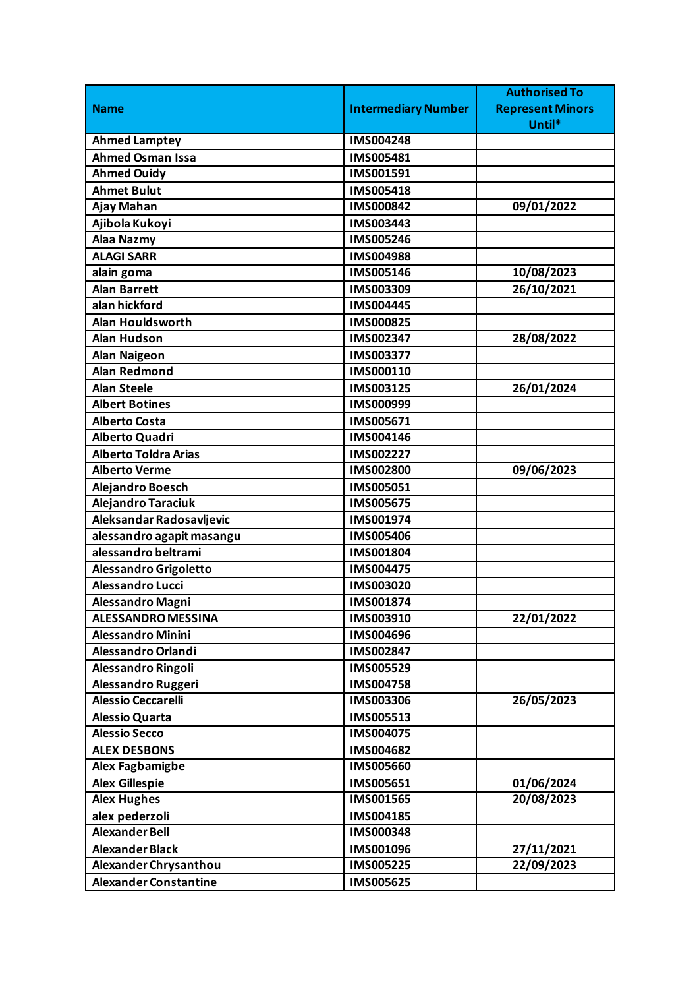|                              |                            | <b>Authorised To</b>    |
|------------------------------|----------------------------|-------------------------|
| <b>Name</b>                  | <b>Intermediary Number</b> | <b>Represent Minors</b> |
|                              |                            | Until*                  |
| <b>Ahmed Lamptey</b>         | <b>IMS004248</b>           |                         |
| <b>Ahmed Osman Issa</b>      | IMS005481                  |                         |
| <b>Ahmed Ouidy</b>           | IMS001591                  |                         |
| <b>Ahmet Bulut</b>           | IMS005418                  |                         |
| Ajay Mahan                   | <b>IMS000842</b>           | 09/01/2022              |
| Ajibola Kukoyi               | IMS003443                  |                         |
| Alaa Nazmy                   | IMS005246                  |                         |
| <b>ALAGI SARR</b>            | <b>IMS004988</b>           |                         |
| alain goma                   | IMS005146                  | 10/08/2023              |
| <b>Alan Barrett</b>          | IMS003309                  | 26/10/2021              |
| alan hickford                | IMS004445                  |                         |
| Alan Houldsworth             | <b>IMS000825</b>           |                         |
| <b>Alan Hudson</b>           | IMS002347                  | 28/08/2022              |
| <b>Alan Naigeon</b>          | IMS003377                  |                         |
| <b>Alan Redmond</b>          | IMS000110                  |                         |
| <b>Alan Steele</b>           | IMS003125                  | 26/01/2024              |
| <b>Albert Botines</b>        | IMS000999                  |                         |
| <b>Alberto Costa</b>         | IMS005671                  |                         |
| Alberto Quadri               | IMS004146                  |                         |
| <b>Alberto Toldra Arias</b>  | IMS002227                  |                         |
| <b>Alberto Verme</b>         | <b>IMS002800</b>           | 09/06/2023              |
| Alejandro Boesch             | IMS005051                  |                         |
| Alejandro Taraciuk           | <b>IMS005675</b>           |                         |
| Aleksandar Radosavljevic     | IMS001974                  |                         |
| alessandro agapit masangu    | <b>IMS005406</b>           |                         |
| alessandro beltrami          | IMS001804                  |                         |
| <b>Alessandro Grigoletto</b> | <b>IMS004475</b>           |                         |
| <b>Alessandro Lucci</b>      | IMS003020                  |                         |
| Alessandro Magni             | IMS001874                  |                         |
| <b>ALESSANDRO MESSINA</b>    | IMS003910                  | 22/01/2022              |
| <b>Alessandro Minini</b>     | IMS004696                  |                         |
| Alessandro Orlandi           | IMS002847                  |                         |
| Alessandro Ringoli           | IMS005529                  |                         |
| Alessandro Ruggeri           | <b>IMS004758</b>           |                         |
| <b>Alessio Ceccarelli</b>    | <b>IMS003306</b>           | 26/05/2023              |
| <b>Alessio Quarta</b>        | IMS005513                  |                         |
| <b>Alessio Secco</b>         | IMS004075                  |                         |
| <b>ALEX DESBONS</b>          | IMS004682                  |                         |
| Alex Fagbamigbe              | <b>IMS005660</b>           |                         |
| <b>Alex Gillespie</b>        | IMS005651                  | 01/06/2024              |
| <b>Alex Hughes</b>           | IMS001565                  | 20/08/2023              |
| alex pederzoli               | IMS004185                  |                         |
| <b>Alexander Bell</b>        | <b>IMS000348</b>           |                         |
| <b>Alexander Black</b>       | IMS001096                  | 27/11/2021              |
| Alexander Chrysanthou        | <b>IMS005225</b>           | 22/09/2023              |
| <b>Alexander Constantine</b> | <b>IMS005625</b>           |                         |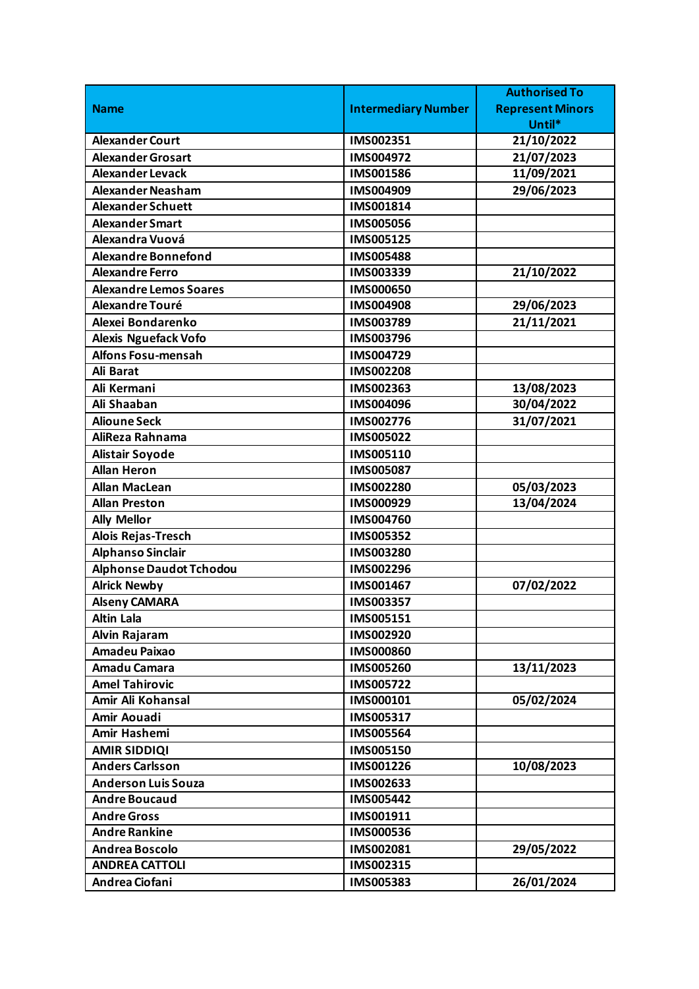|                                |                            | <b>Authorised To</b>    |
|--------------------------------|----------------------------|-------------------------|
| <b>Name</b>                    | <b>Intermediary Number</b> | <b>Represent Minors</b> |
|                                |                            | Until*                  |
| <b>Alexander Court</b>         | IMS002351                  | 21/10/2022              |
| <b>Alexander Grosart</b>       | IMS004972                  | 21/07/2023              |
| <b>Alexander Levack</b>        | <b>IMS001586</b>           | 11/09/2021              |
| <b>Alexander Neasham</b>       | IMS004909                  | 29/06/2023              |
| <b>Alexander Schuett</b>       | IMS001814                  |                         |
| <b>Alexander Smart</b>         | <b>IMS005056</b>           |                         |
| Alexandra Vuová                | IMS005125                  |                         |
| <b>Alexandre Bonnefond</b>     | <b>IMS005488</b>           |                         |
| <b>Alexandre Ferro</b>         | IMS003339                  | 21/10/2022              |
| <b>Alexandre Lemos Soares</b>  | <b>IMS000650</b>           |                         |
| Alexandre Touré                | <b>IMS004908</b>           | 29/06/2023              |
| Alexei Bondarenko              | IMS003789                  | 21/11/2021              |
| <b>Alexis Nguefack Vofo</b>    | IMS003796                  |                         |
| Alfons Fosu-mensah             | IMS004729                  |                         |
| <b>Ali Barat</b>               | IMS002208                  |                         |
| Ali Kermani                    | IMS002363                  | 13/08/2023              |
| Ali Shaaban                    | <b>IMS004096</b>           | 30/04/2022              |
| <b>Alioune Seck</b>            | IMS002776                  | 31/07/2021              |
| AliReza Rahnama                | IMS005022                  |                         |
| <b>Alistair Soyode</b>         | IMS005110                  |                         |
| <b>Allan Heron</b>             | IMS005087                  |                         |
| <b>Allan MacLean</b>           | IMS002280                  | 05/03/2023              |
| <b>Allan Preston</b>           | IMS000929                  | 13/04/2024              |
| <b>Ally Mellor</b>             | IMS004760                  |                         |
| Alois Rejas-Tresch             | IMS005352                  |                         |
| <b>Alphanso Sinclair</b>       | IMS003280                  |                         |
| <b>Alphonse Daudot Tchodou</b> | IMS002296                  |                         |
| <b>Alrick Newby</b>            | IMS001467                  | 07/02/2022              |
| <b>Alseny CAMARA</b>           | IMS003357                  |                         |
| <b>Altin Lala</b>              | IMS005151                  |                         |
| Alvin Rajaram                  | IMS002920                  |                         |
| Amadeu Paixao                  | <b>IMS000860</b>           |                         |
| Amadu Camara                   | IMS005260                  | 13/11/2023              |
| <b>Amel Tahirovic</b>          | IMS005722                  |                         |
| Amir Ali Kohansal              | IMS000101                  | 05/02/2024              |
| Amir Aouadi                    | IMS005317                  |                         |
| Amir Hashemi                   | <b>IMS005564</b>           |                         |
| <b>AMIR SIDDIQI</b>            | IMS005150                  |                         |
| <b>Anders Carlsson</b>         | IMS001226                  | 10/08/2023              |
| <b>Anderson Luis Souza</b>     | IMS002633                  |                         |
| <b>Andre Boucaud</b>           | IMS005442                  |                         |
| <b>Andre Gross</b>             | IMS001911                  |                         |
| <b>Andre Rankine</b>           | IMS000536                  |                         |
| <b>Andrea Boscolo</b>          | IMS002081                  | 29/05/2022              |
| <b>ANDREA CATTOLI</b>          | IMS002315                  |                         |
| Andrea Ciofani                 | IMS005383                  | 26/01/2024              |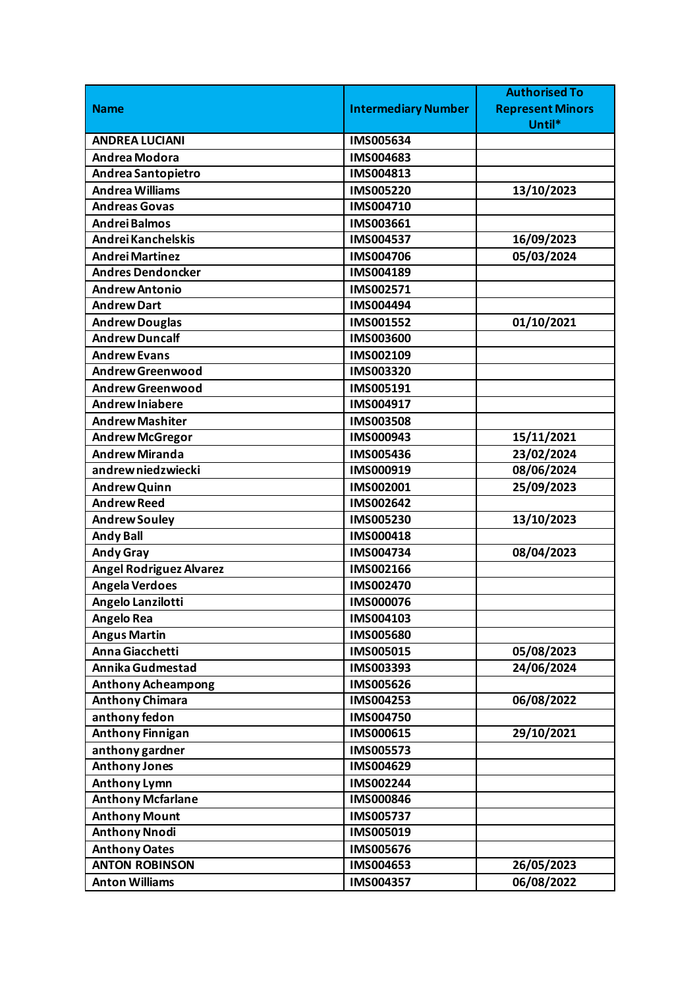|                                |                            | <b>Authorised To</b>    |
|--------------------------------|----------------------------|-------------------------|
| <b>Name</b>                    | <b>Intermediary Number</b> | <b>Represent Minors</b> |
|                                |                            | Until*                  |
| <b>ANDREA LUCIANI</b>          | IMS005634                  |                         |
| <b>Andrea Modora</b>           | IMS004683                  |                         |
| Andrea Santopietro             | IMS004813                  |                         |
| <b>Andrea Williams</b>         | IMS005220                  | 13/10/2023              |
| <b>Andreas Govas</b>           | IMS004710                  |                         |
| <b>Andrei Balmos</b>           | IMS003661                  |                         |
| Andrei Kanchelskis             | IMS004537                  | 16/09/2023              |
| <b>Andrei Martinez</b>         | IMS004706                  | 05/03/2024              |
| <b>Andres Dendoncker</b>       | IMS004189                  |                         |
| <b>Andrew Antonio</b>          | IMS002571                  |                         |
| <b>Andrew Dart</b>             | IMS004494                  |                         |
| <b>Andrew Douglas</b>          | IMS001552                  | 01/10/2021              |
| <b>Andrew Duncalf</b>          | <b>IMS003600</b>           |                         |
| <b>Andrew Evans</b>            | IMS002109                  |                         |
| <b>Andrew Greenwood</b>        | IMS003320                  |                         |
| <b>Andrew Greenwood</b>        | IMS005191                  |                         |
| <b>Andrew Injabere</b>         | IMS004917                  |                         |
| <b>Andrew Mashiter</b>         | <b>IMS003508</b>           |                         |
| <b>Andrew McGregor</b>         | IMS000943                  | 15/11/2021              |
| <b>Andrew Miranda</b>          | IMS005436                  | 23/02/2024              |
| andrew niedzwiecki             | IMS000919                  | 08/06/2024              |
| <b>Andrew Quinn</b>            | IMS002001                  | 25/09/2023              |
| <b>Andrew Reed</b>             | IMS002642                  |                         |
| <b>Andrew Souley</b>           | IMS005230                  | 13/10/2023              |
| <b>Andy Ball</b>               | IMS000418                  |                         |
| <b>Andy Gray</b>               | IMS004734                  | 08/04/2023              |
| <b>Angel Rodriguez Alvarez</b> | IMS002166                  |                         |
| <b>Angela Verdoes</b>          | IMS002470                  |                         |
| Angelo Lanzilotti              | IMS000076                  |                         |
| <b>Angelo Rea</b>              | IMS004103                  |                         |
| <b>Angus Martin</b>            | IMS005680                  |                         |
| Anna Giacchetti                | IMS005015                  | 05/08/2023              |
| Annika Gudmestad               | IMS003393                  | 24/06/2024              |
| <b>Anthony Acheampong</b>      | IMS005626                  |                         |
| <b>Anthony Chimara</b>         | IMS004253                  | 06/08/2022              |
| anthony fedon                  | IMS004750                  |                         |
| <b>Anthony Finnigan</b>        | IMS000615                  | 29/10/2021              |
| anthony gardner                | IMS005573                  |                         |
| <b>Anthony Jones</b>           | IMS004629                  |                         |
| <b>Anthony Lymn</b>            | IMS002244                  |                         |
| <b>Anthony Mcfarlane</b>       | IMS000846                  |                         |
| <b>Anthony Mount</b>           | IMS005737                  |                         |
| <b>Anthony Nnodi</b>           | IMS005019                  |                         |
| <b>Anthony Oates</b>           | IMS005676                  |                         |
| <b>ANTON ROBINSON</b>          | IMS004653                  | 26/05/2023              |
| <b>Anton Williams</b>          | IMS004357                  | 06/08/2022              |
|                                |                            |                         |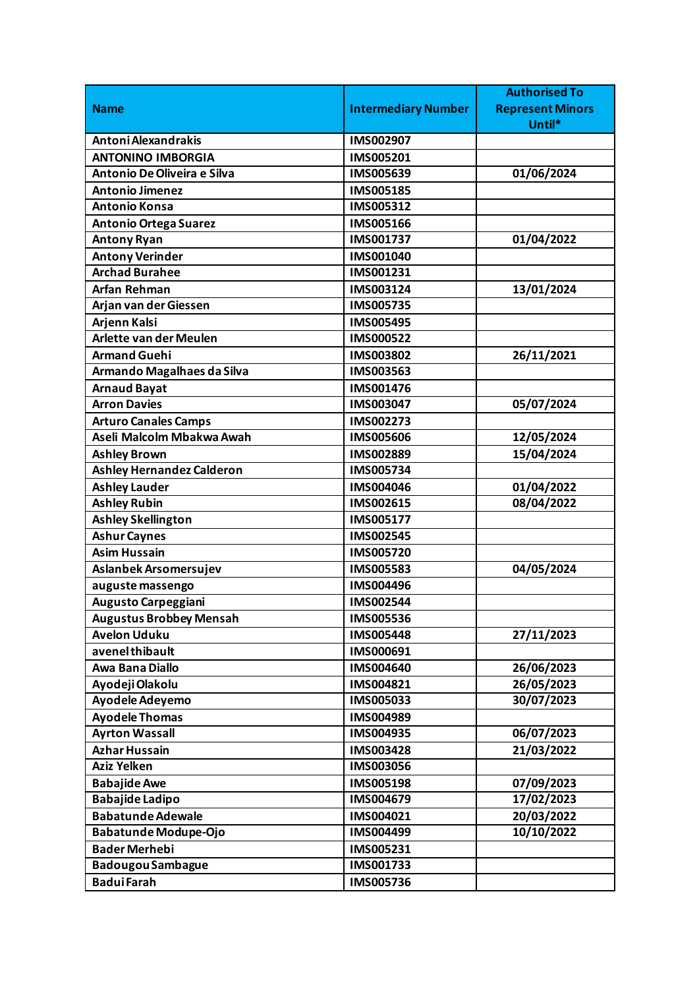|                                  |                            | <b>Authorised To</b>    |
|----------------------------------|----------------------------|-------------------------|
| <b>Name</b>                      | <b>Intermediary Number</b> | <b>Represent Minors</b> |
|                                  |                            | Until*                  |
| Antoni Alexandrakis              | IMS002907                  |                         |
| <b>ANTONINO IMBORGIA</b>         | IMS005201                  |                         |
| Antonio De Oliveira e Silva      | IMS005639                  | 01/06/2024              |
| <b>Antonio Jimenez</b>           | IMS005185                  |                         |
| <b>Antonio Konsa</b>             | IMS005312                  |                         |
| <b>Antonio Ortega Suarez</b>     | IMS005166                  |                         |
| <b>Antony Ryan</b>               | IMS001737                  | 01/04/2022              |
| <b>Antony Verinder</b>           | IMS001040                  |                         |
| <b>Archad Burahee</b>            | IMS001231                  |                         |
| <b>Arfan Rehman</b>              | IMS003124                  | 13/01/2024              |
| Arjan van der Giessen            | IMS005735                  |                         |
| Arjenn Kalsi                     | <b>IMS005495</b>           |                         |
| <b>Arlette van der Meulen</b>    | IMS000522                  |                         |
| <b>Armand Guehi</b>              | IMS003802                  | 26/11/2021              |
| Armando Magalhaes da Silva       | IMS003563                  |                         |
| <b>Arnaud Bayat</b>              | IMS001476                  |                         |
| <b>Arron Davies</b>              | IMS003047                  | 05/07/2024              |
| <b>Arturo Canales Camps</b>      | IMS002273                  |                         |
| Aseli Malcolm Mbakwa Awah        | <b>IMS005606</b>           | 12/05/2024              |
| <b>Ashley Brown</b>              | IMS002889                  | 15/04/2024              |
| <b>Ashley Hernandez Calderon</b> | IMS005734                  |                         |
| <b>Ashley Lauder</b>             | IMS004046                  | 01/04/2022              |
| <b>Ashley Rubin</b>              | IMS002615                  | 08/04/2022              |
| <b>Ashley Skellington</b>        | IMS005177                  |                         |
| <b>Ashur Caynes</b>              | <b>IMS002545</b>           |                         |
| <b>Asim Hussain</b>              | IMS005720                  |                         |
| Aslanbek Arsomersujev            | <b>IMS005583</b>           | 04/05/2024              |
| auguste massengo                 | IMS004496                  |                         |
| <b>Augusto Carpeggiani</b>       | IMS002544                  |                         |
| <b>Augustus Brobbey Mensah</b>   | IMS005536                  |                         |
| <b>Avelon Uduku</b>              | <b>IMS005448</b>           | 27/11/2023              |
| avenel thibault                  | IMS000691                  |                         |
| Awa Bana Diallo                  | IMS004640                  | 26/06/2023              |
| Ayodeji Olakolu                  | IMS004821                  | 26/05/2023              |
| <b>Ayodele Adeyemo</b>           | IMS005033                  | 30/07/2023              |
| <b>Ayodele Thomas</b>            | IMS004989                  |                         |
| <b>Ayrton Wassall</b>            | IMS004935                  | 06/07/2023              |
| <b>Azhar Hussain</b>             | IMS003428                  | 21/03/2022              |
| <b>Aziz Yelken</b>               | IMS003056                  |                         |
| <b>Babajide Awe</b>              | IMS005198                  | 07/09/2023              |
| <b>Babajide Ladipo</b>           | IMS004679                  | 17/02/2023              |
| <b>Babatunde Adewale</b>         | IMS004021                  | 20/03/2022              |
| Babatunde Modupe-Ojo             | IMS004499                  | 10/10/2022              |
| <b>Bader Merhebi</b>             | IMS005231                  |                         |
| <b>Badougou Sambague</b>         | IMS001733                  |                         |
| <b>BaduiFarah</b>                | IMS005736                  |                         |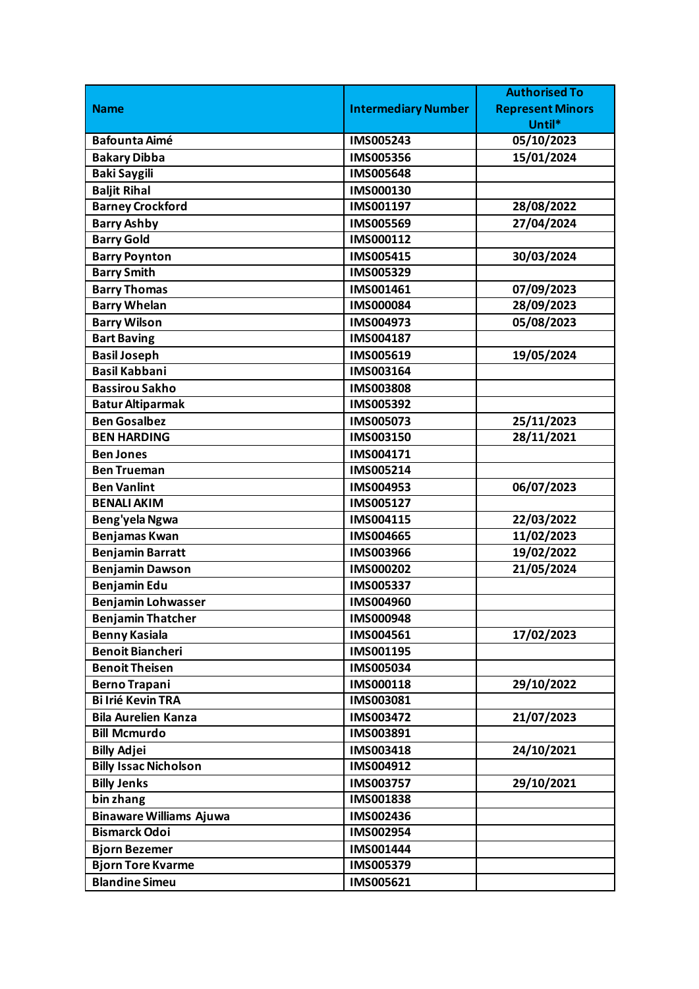|                                |                            | <b>Authorised To</b>    |
|--------------------------------|----------------------------|-------------------------|
| <b>Name</b>                    | <b>Intermediary Number</b> | <b>Represent Minors</b> |
|                                |                            | Until*                  |
| <b>Bafounta Aimé</b>           | IMS005243                  | 05/10/2023              |
| <b>Bakary Dibba</b>            | IMS005356                  | 15/01/2024              |
| <b>Baki Saygili</b>            | <b>IMS005648</b>           |                         |
| <b>Baljit Rihal</b>            | IMS000130                  |                         |
| <b>Barney Crockford</b>        | IMS001197                  | 28/08/2022              |
| <b>Barry Ashby</b>             | IMS005569                  | 27/04/2024              |
| <b>Barry Gold</b>              | IMS000112                  |                         |
| <b>Barry Poynton</b>           | IMS005415                  | 30/03/2024              |
| <b>Barry Smith</b>             | IMS005329                  |                         |
| <b>Barry Thomas</b>            | IMS001461                  | 07/09/2023              |
| <b>Barry Whelan</b>            | <b>IMS000084</b>           | 28/09/2023              |
| <b>Barry Wilson</b>            | IMS004973                  | 05/08/2023              |
| <b>Bart Baving</b>             | IMS004187                  |                         |
| <b>Basil Joseph</b>            | IMS005619                  | 19/05/2024              |
| <b>Basil Kabbani</b>           | IMS003164                  |                         |
| <b>Bassirou Sakho</b>          | <b>IMS003808</b>           |                         |
| <b>Batur Altiparmak</b>        | IMS005392                  |                         |
| <b>Ben Gosalbez</b>            | IMS005073                  | 25/11/2023              |
| <b>BEN HARDING</b>             | IMS003150                  | 28/11/2021              |
| <b>Ben Jones</b>               | IMS004171                  |                         |
| <b>Ben Trueman</b>             | IMS005214                  |                         |
| <b>Ben Vanlint</b>             | IMS004953                  | 06/07/2023              |
| <b>BENALI AKIM</b>             | IMS005127                  |                         |
| Beng'yela Ngwa                 | IMS004115                  | 22/03/2022              |
| <b>Benjamas Kwan</b>           | <b>IMS004665</b>           | 11/02/2023              |
| <b>Benjamin Barratt</b>        | IMS003966                  | 19/02/2022              |
| <b>Benjamin Dawson</b>         | IMS000202                  | 21/05/2024              |
| <b>Benjamin Edu</b>            | IMS005337                  |                         |
| <b>Benjamin Lohwasser</b>      | IMS004960                  |                         |
| <b>Benjamin Thatcher</b>       | IMS000948                  |                         |
| <b>Benny Kasiala</b>           | IMS004561                  | 17/02/2023              |
| <b>Benoit Biancheri</b>        | IMS001195                  |                         |
| <b>Benoit Theisen</b>          | IMS005034                  |                         |
| <b>Berno Trapani</b>           | IMS000118                  | 29/10/2022              |
| <b>Bi Irié Kevin TRA</b>       | IMS003081                  |                         |
| <b>Bila Aurelien Kanza</b>     | IMS003472                  | 21/07/2023              |
| <b>Bill Mcmurdo</b>            | IMS003891                  |                         |
| <b>Billy Adjei</b>             | IMS003418                  | 24/10/2021              |
| <b>Billy Issac Nicholson</b>   | IMS004912                  |                         |
| <b>Billy Jenks</b>             | IMS003757                  | 29/10/2021              |
| bin zhang                      | IMS001838                  |                         |
| <b>Binaware Williams Ajuwa</b> | IMS002436                  |                         |
| <b>Bismarck Odoi</b>           | IMS002954                  |                         |
| <b>Bjorn Bezemer</b>           | IMS001444                  |                         |
| <b>Bjorn Tore Kvarme</b>       | IMS005379                  |                         |
| <b>Blandine Simeu</b>          | IMS005621                  |                         |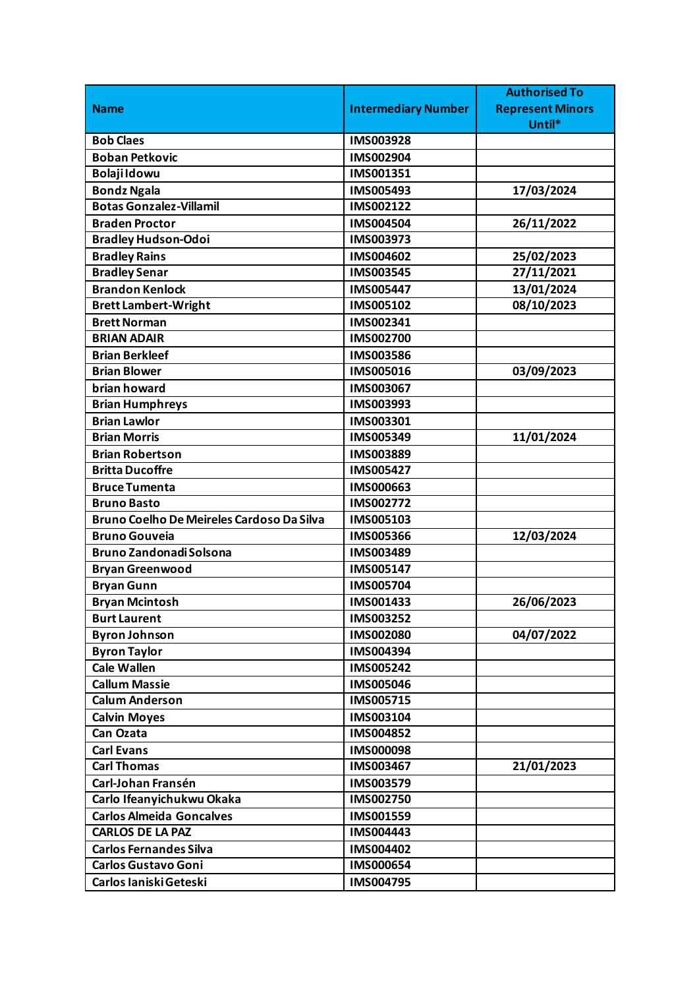|                                           |                            | <b>Authorised To</b>    |
|-------------------------------------------|----------------------------|-------------------------|
| <b>Name</b>                               | <b>Intermediary Number</b> | <b>Represent Minors</b> |
|                                           |                            | Until*                  |
| <b>Bob Claes</b>                          | IMS003928                  |                         |
| <b>Boban Petkovic</b>                     | IMS002904                  |                         |
| <b>Bolaji Idowu</b>                       | IMS001351                  |                         |
| <b>Bondz Ngala</b>                        | IMS005493                  | 17/03/2024              |
| <b>Botas Gonzalez-Villamil</b>            | IMS002122                  |                         |
| <b>Braden Proctor</b>                     | IMS004504                  | 26/11/2022              |
| <b>Bradley Hudson-Odoi</b>                | IMS003973                  |                         |
| <b>Bradley Rains</b>                      | IMS004602                  | 25/02/2023              |
| <b>Bradley Senar</b>                      | IMS003545                  | 27/11/2021              |
| <b>Brandon Kenlock</b>                    | <b>IMS005447</b>           | 13/01/2024              |
| <b>Brett Lambert-Wright</b>               | IMS005102                  | 08/10/2023              |
| <b>Brett Norman</b>                       | IMS002341                  |                         |
| <b>BRIAN ADAIR</b>                        | IMS002700                  |                         |
| <b>Brian Berkleef</b>                     | IMS003586                  |                         |
| <b>Brian Blower</b>                       | IMS005016                  | 03/09/2023              |
| brian howard                              | IMS003067                  |                         |
| <b>Brian Humphreys</b>                    | IMS003993                  |                         |
| <b>Brian Lawlor</b>                       | IMS003301                  |                         |
| <b>Brian Morris</b>                       | IMS005349                  | 11/01/2024              |
| <b>Brian Robertson</b>                    | IMS003889                  |                         |
| <b>Britta Ducoffre</b>                    | IMS005427                  |                         |
| <b>Bruce Tumenta</b>                      | IMS000663                  |                         |
| <b>Bruno Basto</b>                        | IMS002772                  |                         |
| Bruno Coelho De Meireles Cardoso Da Silva | IMS005103                  |                         |
| <b>Bruno Gouveia</b>                      | <b>IMS005366</b>           | 12/03/2024              |
| <b>Bruno Zandonadi Solsona</b>            | IMS003489                  |                         |
| <b>Bryan Greenwood</b>                    | IMS005147                  |                         |
| <b>Bryan Gunn</b>                         | IMS005704                  |                         |
| <b>Bryan Mcintosh</b>                     | IMS001433                  | 26/06/2023              |
| <b>Burt Laurent</b>                       | IMS003252                  |                         |
| <b>Byron Johnson</b>                      | IMS002080                  | 04/07/2022              |
| <b>Byron Taylor</b>                       | IMS004394                  |                         |
| <b>Cale Wallen</b>                        | <b>IMS005242</b>           |                         |
| <b>Callum Massie</b>                      | <b>IMS005046</b>           |                         |
| <b>Calum Anderson</b>                     | IMS005715                  |                         |
| <b>Calvin Moyes</b>                       | IMS003104                  |                         |
| Can Ozata                                 | IMS004852                  |                         |
| <b>Carl Evans</b>                         | <b>IMS000098</b>           |                         |
| <b>Carl Thomas</b>                        | IMS003467                  | 21/01/2023              |
| Carl-Johan Fransén                        | IMS003579                  |                         |
| Carlo Ifeanyichukwu Okaka                 | IMS002750                  |                         |
| <b>Carlos Almeida Goncalves</b>           | IMS001559                  |                         |
| <b>CARLOS DE LA PAZ</b>                   | IMS004443                  |                         |
| <b>Carlos Fernandes Silva</b>             | IMS004402                  |                         |
| <b>Carlos Gustavo Goni</b>                | IMS000654                  |                         |
| Carlos Ianiski Geteski                    | IMS004795                  |                         |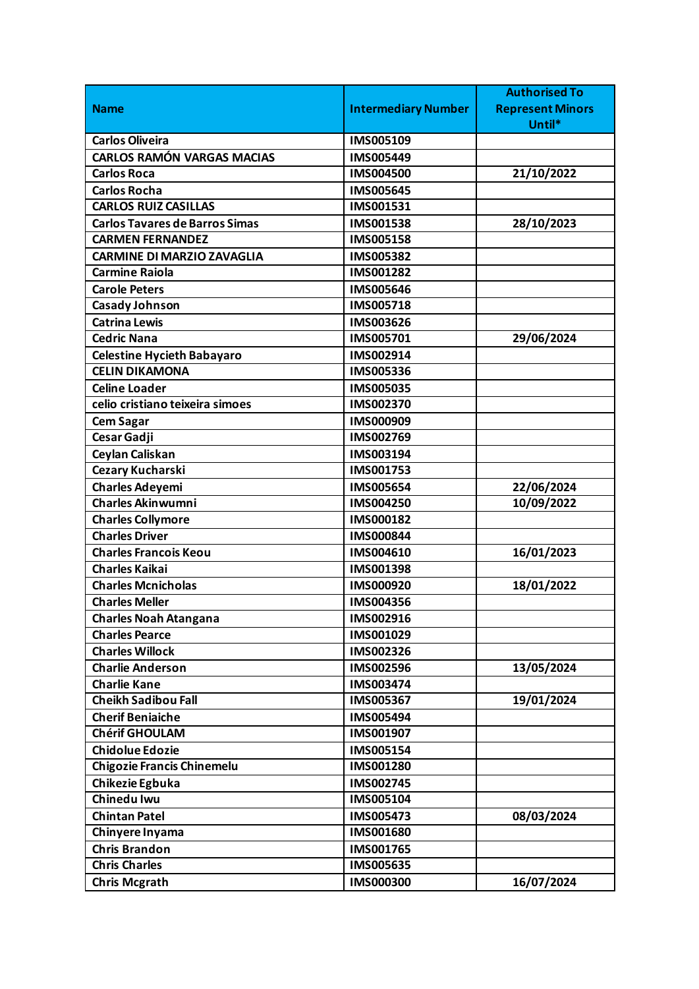|                                       |                            | <b>Authorised To</b>    |
|---------------------------------------|----------------------------|-------------------------|
| <b>Name</b>                           | <b>Intermediary Number</b> | <b>Represent Minors</b> |
|                                       |                            | Until*                  |
| <b>Carlos Oliveira</b>                | IMS005109                  |                         |
| <b>CARLOS RAMÓN VARGAS MACIAS</b>     | IMS005449                  |                         |
| <b>Carlos Roca</b>                    | IMS004500                  | 21/10/2022              |
| <b>Carlos Rocha</b>                   | <b>IMS005645</b>           |                         |
| <b>CARLOS RUIZ CASILLAS</b>           | IMS001531                  |                         |
| <b>Carlos Tavares de Barros Simas</b> | IMS001538                  | 28/10/2023              |
| <b>CARMEN FERNANDEZ</b>               | IMS005158                  |                         |
| <b>CARMINE DI MARZIO ZAVAGLIA</b>     | IMS005382                  |                         |
| <b>Carmine Raiola</b>                 | IMS001282                  |                         |
| <b>Carole Peters</b>                  | IMS005646                  |                         |
| Casady Johnson                        | IMS005718                  |                         |
| <b>Catrina Lewis</b>                  | IMS003626                  |                         |
| <b>Cedric Nana</b>                    | IMS005701                  | 29/06/2024              |
| <b>Celestine Hycieth Babayaro</b>     | IMS002914                  |                         |
| <b>CELIN DIKAMONA</b>                 | IMS005336                  |                         |
| <b>Celine Loader</b>                  | IMS005035                  |                         |
| celio cristiano teixeira simoes       | IMS002370                  |                         |
| <b>Cem Sagar</b>                      | IMS000909                  |                         |
| Cesar Gadji                           | IMS002769                  |                         |
| Ceylan Caliskan                       | IMS003194                  |                         |
| Cezary Kucharski                      | IMS001753                  |                         |
| <b>Charles Adeyemi</b>                | <b>IMS005654</b>           | 22/06/2024              |
| <b>Charles Akinwumni</b>              | IMS004250                  | 10/09/2022              |
| <b>Charles Collymore</b>              | IMS000182                  |                         |
| <b>Charles Driver</b>                 | <b>IMS000844</b>           |                         |
| <b>Charles Francois Keou</b>          | IMS004610                  | 16/01/2023              |
| <b>Charles Kaikai</b>                 | IMS001398                  |                         |
| <b>Charles Mcnicholas</b>             | IMS000920                  | 18/01/2022              |
| <b>Charles Meller</b>                 | IMS004356                  |                         |
| <b>Charles Noah Atangana</b>          | IMS002916                  |                         |
| <b>Charles Pearce</b>                 | IMS001029                  |                         |
| <b>Charles Willock</b>                | IMS002326                  |                         |
| <b>Charlie Anderson</b>               | IMS002596                  | 13/05/2024              |
| <b>Charlie Kane</b>                   | IMS003474                  |                         |
| <b>Cheikh Sadibou Fall</b>            | IMS005367                  | 19/01/2024              |
| <b>Cherif Beniaiche</b>               | IMS005494                  |                         |
| <b>Chérif GHOULAM</b>                 | IMS001907                  |                         |
| <b>Chidolue Edozie</b>                | IMS005154                  |                         |
| <b>Chigozie Francis Chinemelu</b>     | IMS001280                  |                         |
| Chikezie Egbuka                       | IMS002745                  |                         |
| Chinedu Iwu                           | IMS005104                  |                         |
| <b>Chintan Patel</b>                  | IMS005473                  | 08/03/2024              |
| Chinyere Inyama                       | IMS001680                  |                         |
| <b>Chris Brandon</b>                  | IMS001765                  |                         |
| <b>Chris Charles</b>                  | IMS005635                  |                         |
| <b>Chris Mcgrath</b>                  | <b>IMS000300</b>           | 16/07/2024              |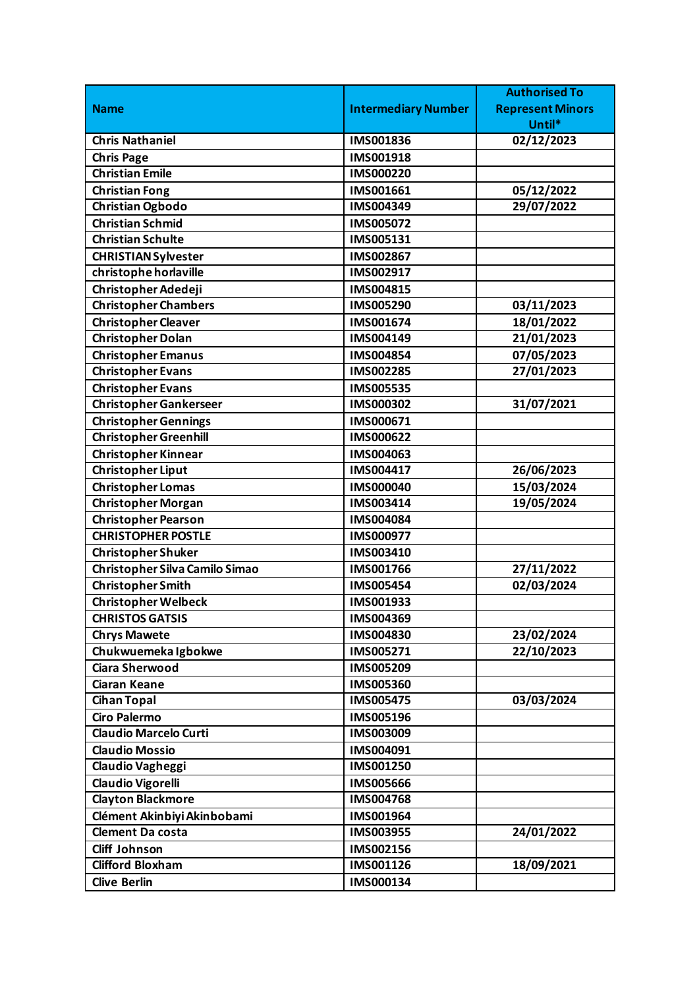|                                       |                            | <b>Authorised To</b>    |
|---------------------------------------|----------------------------|-------------------------|
| <b>Name</b>                           | <b>Intermediary Number</b> | <b>Represent Minors</b> |
|                                       |                            | Until*                  |
| <b>Chris Nathaniel</b>                | IMS001836                  | 02/12/2023              |
| <b>Chris Page</b>                     | IMS001918                  |                         |
| <b>Christian Emile</b>                | <b>IMS000220</b>           |                         |
| <b>Christian Fong</b>                 | IMS001661                  | 05/12/2022              |
| <b>Christian Ogbodo</b>               | IMS004349                  | 29/07/2022              |
| <b>Christian Schmid</b>               | IMS005072                  |                         |
| <b>Christian Schulte</b>              | IMS005131                  |                         |
| <b>CHRISTIAN Sylvester</b>            | IMS002867                  |                         |
| christophe horlaville                 | IMS002917                  |                         |
| Christopher Adedeji                   | IMS004815                  |                         |
| <b>Christopher Chambers</b>           | IMS005290                  | 03/11/2023              |
| <b>Christopher Cleaver</b>            | IMS001674                  | 18/01/2022              |
| <b>Christopher Dolan</b>              | IMS004149                  | 21/01/2023              |
| <b>Christopher Emanus</b>             | IMS004854                  | 07/05/2023              |
| <b>Christopher Evans</b>              | IMS002285                  | 27/01/2023              |
| <b>Christopher Evans</b>              | <b>IMS005535</b>           |                         |
| <b>Christopher Gankerseer</b>         | IMS000302                  | 31/07/2021              |
| <b>Christopher Gennings</b>           | IMS000671                  |                         |
| <b>Christopher Greenhill</b>          | IMS000622                  |                         |
| <b>Christopher Kinnear</b>            | IMS004063                  |                         |
| <b>Christopher Liput</b>              | IMS004417                  | 26/06/2023              |
| <b>Christopher Lomas</b>              | <b>IMS000040</b>           | 15/03/2024              |
| <b>Christopher Morgan</b>             | IMS003414                  | 19/05/2024              |
| <b>Christopher Pearson</b>            | IMS004084                  |                         |
| <b>CHRISTOPHER POSTLE</b>             | IMS000977                  |                         |
| <b>Christopher Shuker</b>             | IMS003410                  |                         |
| <b>Christopher Silva Camilo Simao</b> | IMS001766                  | 27/11/2022              |
| <b>Christopher Smith</b>              | <b>IMS005454</b>           | 02/03/2024              |
| <b>Christopher Welbeck</b>            | IMS001933                  |                         |
| <b>CHRISTOS GATSIS</b>                | IMS004369                  |                         |
| <b>Chrys Mawete</b>                   | IMS004830                  | 23/02/2024              |
| Chukwuemeka Igbokwe                   | IMS005271                  | 22/10/2023              |
| <b>Ciara Sherwood</b>                 | IMS005209                  |                         |
| <b>Ciaran Keane</b>                   | <b>IMS005360</b>           |                         |
| <b>Cihan Topal</b>                    | <b>IMS005475</b>           | 03/03/2024              |
| <b>Ciro Palermo</b>                   | IMS005196                  |                         |
| <b>Claudio Marcelo Curti</b>          | IMS003009                  |                         |
| <b>Claudio Mossio</b>                 | IMS004091                  |                         |
| Claudio Vagheggi                      | IMS001250                  |                         |
| <b>Claudio Vigorelli</b>              | <b>IMS005666</b>           |                         |
| <b>Clayton Blackmore</b>              | <b>IMS004768</b>           |                         |
| Clément Akinbiyi Akinbobami           | IMS001964                  |                         |
| <b>Clement Da costa</b>               | IMS003955                  | 24/01/2022              |
| <b>Cliff Johnson</b>                  | IMS002156                  |                         |
| <b>Clifford Bloxham</b>               | IMS001126                  | 18/09/2021              |
| <b>Clive Berlin</b>                   | IMS000134                  |                         |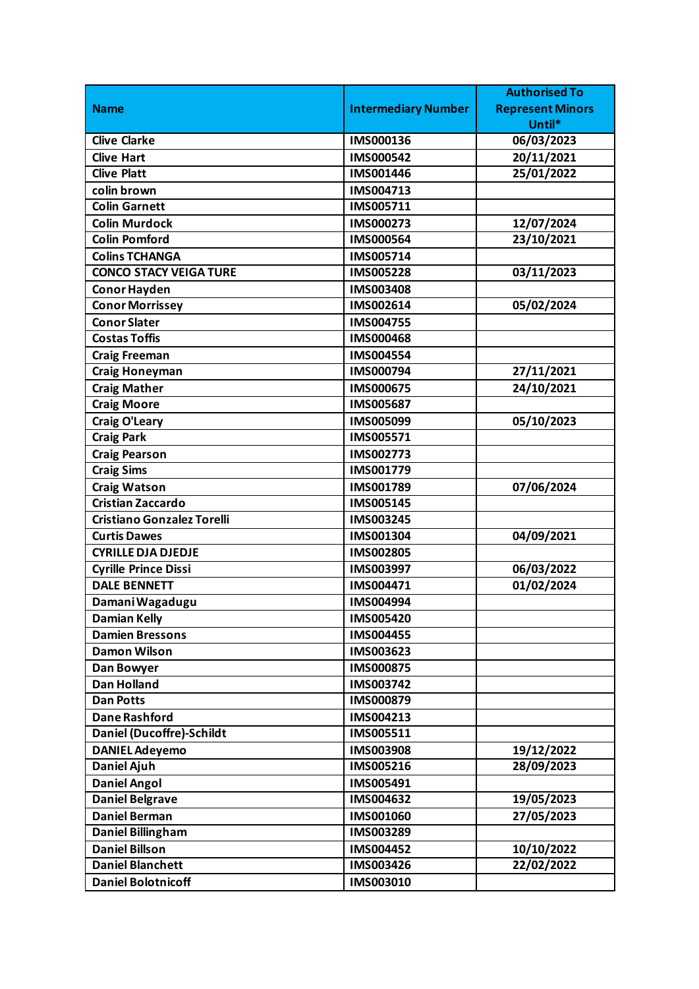|                                   |                            | <b>Authorised To</b>    |
|-----------------------------------|----------------------------|-------------------------|
| <b>Name</b>                       | <b>Intermediary Number</b> | <b>Represent Minors</b> |
|                                   |                            | Until*                  |
| <b>Clive Clarke</b>               | IMS000136                  | 06/03/2023              |
| <b>Clive Hart</b>                 | IMS000542                  | 20/11/2021              |
| <b>Clive Platt</b>                | IMS001446                  | 25/01/2022              |
| colin brown                       | IMS004713                  |                         |
| <b>Colin Garnett</b>              | IMS005711                  |                         |
| <b>Colin Murdock</b>              | IMS000273                  | 12/07/2024              |
| <b>Colin Pomford</b>              | IMS000564                  | 23/10/2021              |
| <b>Colins TCHANGA</b>             | IMS005714                  |                         |
| <b>CONCO STACY VEIGA TURE</b>     | <b>IMS005228</b>           | 03/11/2023              |
| <b>Conor Hayden</b>               | <b>IMS003408</b>           |                         |
| <b>Conor Morrissey</b>            | IMS002614                  | 05/02/2024              |
| <b>Conor Slater</b>               | IMS004755                  |                         |
| <b>Costas Toffis</b>              | <b>IMS000468</b>           |                         |
| <b>Craig Freeman</b>              | <b>IMS004554</b>           |                         |
| <b>Craig Honeyman</b>             | IMS000794                  | 27/11/2021              |
| <b>Craig Mather</b>               | IMS000675                  | 24/10/2021              |
| <b>Craig Moore</b>                | <b>IMS005687</b>           |                         |
| <b>Craig O'Leary</b>              | IMS005099                  | 05/10/2023              |
| <b>Craig Park</b>                 | IMS005571                  |                         |
| <b>Craig Pearson</b>              | IMS002773                  |                         |
| <b>Craig Sims</b>                 | IMS001779                  |                         |
| <b>Craig Watson</b>               | IMS001789                  | 07/06/2024              |
| <b>Cristian Zaccardo</b>          | <b>IMS005145</b>           |                         |
| <b>Cristiano Gonzalez Torelli</b> | IMS003245                  |                         |
| <b>Curtis Dawes</b>               | IMS001304                  | 04/09/2021              |
| <b>CYRILLE DJA DJEDJE</b>         | IMS002805                  |                         |
| <b>Cyrille Prince Dissi</b>       | IMS003997                  | 06/03/2022              |
| <b>DALE BENNETT</b>               | IMS004471                  | 01/02/2024              |
| Damani Wagadugu                   | IMS004994                  |                         |
| <b>Damian Kelly</b>               | IMS005420                  |                         |
| <b>Damien Bressons</b>            | <b>IMS004455</b>           |                         |
| <b>Damon Wilson</b>               | IMS003623                  |                         |
| Dan Bowyer                        | <b>IMS000875</b>           |                         |
| <b>Dan Holland</b>                | IMS003742                  |                         |
| <b>Dan Potts</b>                  | IMS000879                  |                         |
| <b>Dane Rashford</b>              | IMS004213                  |                         |
| <b>Daniel (Ducoffre)-Schildt</b>  | IMS005511                  |                         |
| <b>DANIEL Adeyemo</b>             | <b>IMS003908</b>           | 19/12/2022              |
| <b>Daniel Ajuh</b>                | <b>IMS005216</b>           | 28/09/2023              |
| <b>Daniel Angol</b>               | IMS005491                  |                         |
| <b>Daniel Belgrave</b>            | IMS004632                  | 19/05/2023              |
| <b>Daniel Berman</b>              | IMS001060                  | 27/05/2023              |
| Daniel Billingham                 | IMS003289                  |                         |
| <b>Daniel Billson</b>             | IMS004452                  | 10/10/2022              |
| <b>Daniel Blanchett</b>           | IMS003426                  | 22/02/2022              |
| <b>Daniel Bolotnicoff</b>         | IMS003010                  |                         |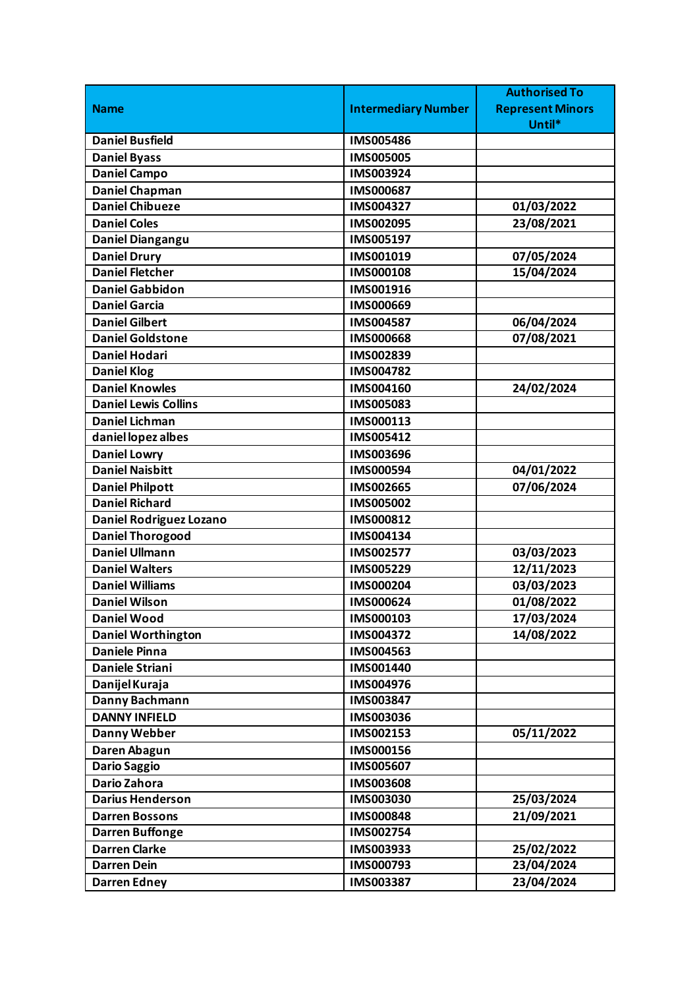|                           |                            | <b>Authorised To</b>    |
|---------------------------|----------------------------|-------------------------|
| <b>Name</b>               | <b>Intermediary Number</b> | <b>Represent Minors</b> |
|                           |                            | Until*                  |
| <b>Daniel Busfield</b>    | <b>IMS005486</b>           |                         |
| <b>Daniel Byass</b>       | <b>IMS005005</b>           |                         |
| <b>Daniel Campo</b>       | IMS003924                  |                         |
| <b>Daniel Chapman</b>     | <b>IMS000687</b>           |                         |
| <b>Daniel Chibueze</b>    | IMS004327                  | 01/03/2022              |
| <b>Daniel Coles</b>       | IMS002095                  | 23/08/2021              |
| Daniel Diangangu          | IMS005197                  |                         |
| <b>Daniel Drury</b>       | IMS001019                  | 07/05/2024              |
| <b>Daniel Fletcher</b>    | IMS000108                  | 15/04/2024              |
| <b>Daniel Gabbidon</b>    | IMS001916                  |                         |
| <b>Daniel Garcia</b>      | IMS000669                  |                         |
| <b>Daniel Gilbert</b>     | IMS004587                  | 06/04/2024              |
| <b>Daniel Goldstone</b>   | <b>IMS000668</b>           | 07/08/2021              |
| <b>Daniel Hodari</b>      | IMS002839                  |                         |
| <b>Daniel Klog</b>        | IMS004782                  |                         |
| <b>Daniel Knowles</b>     | IMS004160                  | 24/02/2024              |
| Daniel Lewis Collins      | IMS005083                  |                         |
| <b>Daniel Lichman</b>     | IMS000113                  |                         |
| daniel lopez albes        | IMS005412                  |                         |
| <b>Daniel Lowry</b>       | IMS003696                  |                         |
| <b>Daniel Naisbitt</b>    | IMS000594                  | 04/01/2022              |
| <b>Daniel Philpott</b>    | IMS002665                  | 07/06/2024              |
| <b>Daniel Richard</b>     | IMS005002                  |                         |
| Daniel Rodriguez Lozano   | IMS000812                  |                         |
| <b>Daniel Thorogood</b>   | IMS004134                  |                         |
| <b>Daniel Ullmann</b>     | IMS002577                  | 03/03/2023              |
| <b>Daniel Walters</b>     | IMS005229                  | 12/11/2023              |
| <b>Daniel Williams</b>    | IMS000204                  | 03/03/2023              |
| <b>Daniel Wilson</b>      | IMS000624                  | 01/08/2022              |
| <b>Daniel Wood</b>        | IMS000103                  | 17/03/2024              |
| <b>Daniel Worthington</b> | IMS004372                  | 14/08/2022              |
| <b>Daniele Pinna</b>      | IMS004563                  |                         |
| Daniele Striani           | IMS001440                  |                         |
| Danijel Kuraja            | IMS004976                  |                         |
| Danny Bachmann            | IMS003847                  |                         |
| <b>DANNY INFIELD</b>      | IMS003036                  |                         |
| Danny Webber              | IMS002153                  | 05/11/2022              |
| Daren Abagun              | IMS000156                  |                         |
| <b>Dario Saggio</b>       | IMS005607                  |                         |
| Dario Zahora              | <b>IMS003608</b>           |                         |
| <b>Darius Henderson</b>   | IMS003030                  | 25/03/2024              |
| <b>Darren Bossons</b>     | IMS000848                  | 21/09/2021              |
| <b>Darren Buffonge</b>    | IMS002754                  |                         |
| <b>Darren Clarke</b>      | IMS003933                  | 25/02/2022              |
| <b>Darren Dein</b>        | IMS000793                  | 23/04/2024              |
| <b>Darren Edney</b>       | IMS003387                  | 23/04/2024              |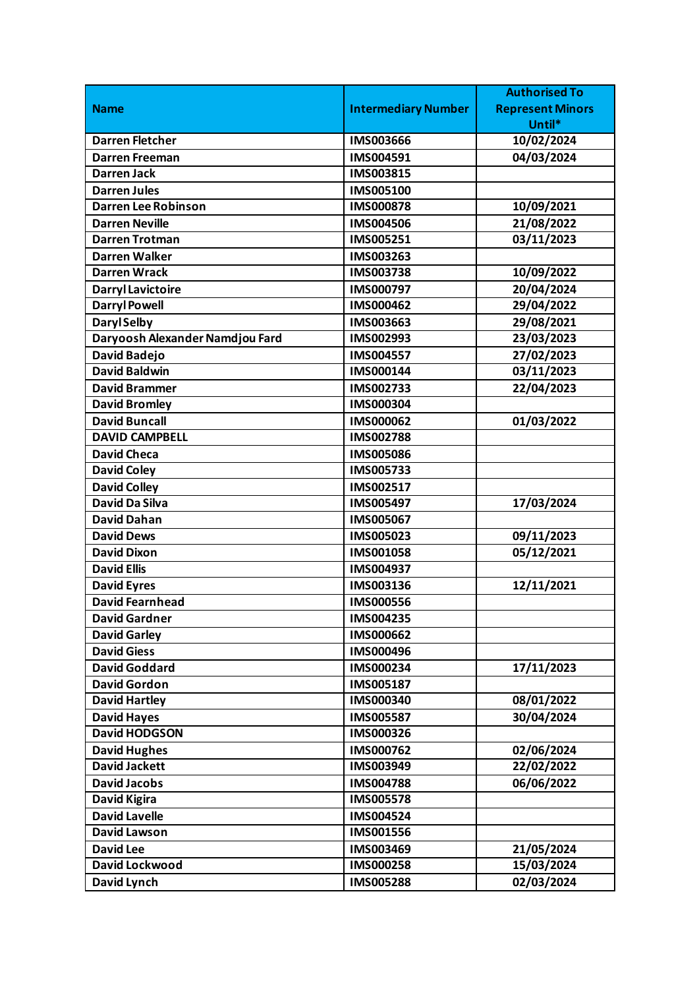|                                 |                            | <b>Authorised To</b>    |
|---------------------------------|----------------------------|-------------------------|
| <b>Name</b>                     | <b>Intermediary Number</b> | <b>Represent Minors</b> |
|                                 |                            | Until*                  |
| <b>Darren Fletcher</b>          | <b>IMS003666</b>           | 10/02/2024              |
| <b>Darren Freeman</b>           | IMS004591                  | 04/03/2024              |
| Darren Jack                     | IMS003815                  |                         |
| <b>Darren Jules</b>             | IMS005100                  |                         |
| <b>Darren Lee Robinson</b>      | <b>IMS000878</b>           | 10/09/2021              |
| <b>Darren Neville</b>           | <b>IMS004506</b>           | 21/08/2022              |
| <b>Darren Trotman</b>           | IMS005251                  | 03/11/2023              |
| <b>Darren Walker</b>            | IMS003263                  |                         |
| <b>Darren Wrack</b>             | IMS003738                  | 10/09/2022              |
| <b>Darryl Lavictoire</b>        | IMS000797                  | 20/04/2024              |
| <b>Darryl Powell</b>            | IMS000462                  | 29/04/2022              |
| <b>Daryl Selby</b>              | IMS003663                  | 29/08/2021              |
| Daryoosh Alexander Namdjou Fard | IMS002993                  | 23/03/2023              |
| <b>David Badejo</b>             | <b>IMS004557</b>           | 27/02/2023              |
| <b>David Baldwin</b>            | IMS000144                  | 03/11/2023              |
| <b>David Brammer</b>            | IMS002733                  | 22/04/2023              |
| <b>David Bromley</b>            | IMS000304                  |                         |
| <b>David Buncall</b>            | IMS000062                  | 01/03/2022              |
| <b>DAVID CAMPBELL</b>           | <b>IMS002788</b>           |                         |
| <b>David Checa</b>              | <b>IMS005086</b>           |                         |
| <b>David Coley</b>              | IMS005733                  |                         |
| <b>David Colley</b>             | IMS002517                  |                         |
| <b>David Da Silva</b>           | IMS005497                  | 17/03/2024              |
| <b>David Dahan</b>              | IMS005067                  |                         |
| <b>David Dews</b>               | IMS005023                  | 09/11/2023              |
| <b>David Dixon</b>              | IMS001058                  | 05/12/2021              |
| <b>David Ellis</b>              | IMS004937                  |                         |
| <b>David Eyres</b>              | IMS003136                  | 12/11/2021              |
| <b>David Fearnhead</b>          | <b>IMS000556</b>           |                         |
| <b>David Gardner</b>            | IMS004235                  |                         |
| <b>David Garley</b>             | <b>IMS000662</b>           |                         |
| <b>David Giess</b>              | <b>IMS000496</b>           |                         |
| <b>David Goddard</b>            | IMS000234                  | 17/11/2023              |
| <b>David Gordon</b>             | IMS005187                  |                         |
| <b>David Hartley</b>            | IMS000340                  | 08/01/2022              |
| <b>David Hayes</b>              | <b>IMS005587</b>           | 30/04/2024              |
| <b>David HODGSON</b>            | IMS000326                  |                         |
| <b>David Hughes</b>             | IMS000762                  | 02/06/2024              |
| <b>David Jackett</b>            | IMS003949                  | 22/02/2022              |
| <b>David Jacobs</b>             | <b>IMS004788</b>           | 06/06/2022              |
| <b>David Kigira</b>             | <b>IMS005578</b>           |                         |
| <b>David Lavelle</b>            | IMS004524                  |                         |
| <b>David Lawson</b>             | IMS001556                  |                         |
| <b>David Lee</b>                | IMS003469                  | 21/05/2024              |
| David Lockwood                  | <b>IMS000258</b>           | 15/03/2024              |
| David Lynch                     | <b>IMS005288</b>           | 02/03/2024              |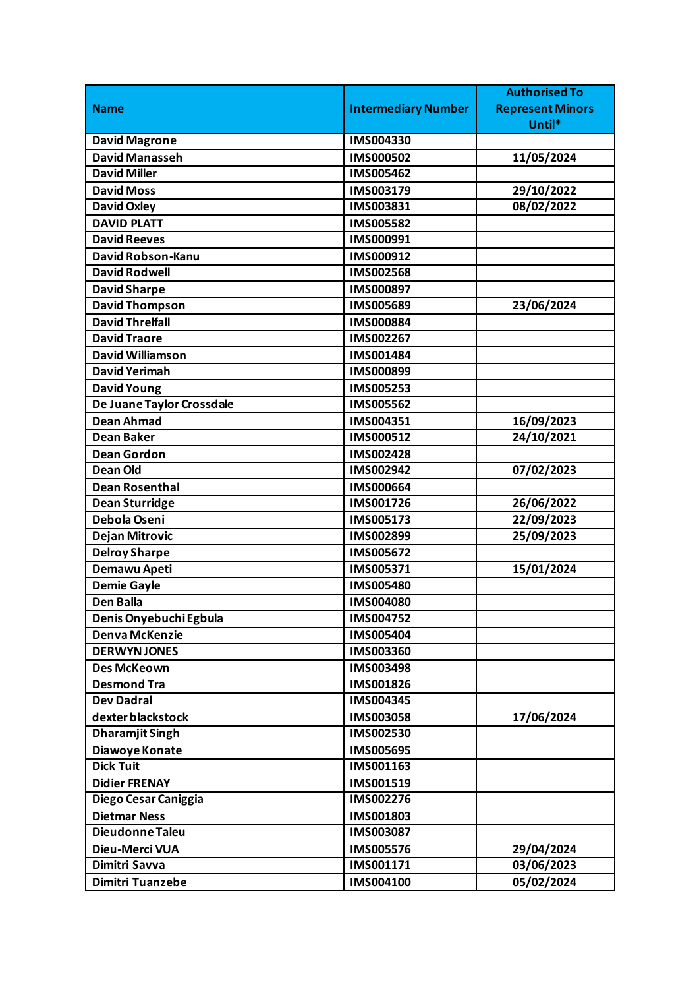|                           |                            | <b>Authorised To</b>    |
|---------------------------|----------------------------|-------------------------|
| <b>Name</b>               | <b>Intermediary Number</b> | <b>Represent Minors</b> |
|                           |                            | Until*                  |
| <b>David Magrone</b>      | IMS004330                  |                         |
| <b>David Manasseh</b>     | IMS000502                  | 11/05/2024              |
| <b>David Miller</b>       | IMS005462                  |                         |
| <b>David Moss</b>         | IMS003179                  | 29/10/2022              |
| <b>David Oxley</b>        | IMS003831                  | 08/02/2022              |
| <b>DAVID PLATT</b>        | IMS005582                  |                         |
| <b>David Reeves</b>       | IMS000991                  |                         |
| David Robson-Kanu         | IMS000912                  |                         |
| <b>David Rodwell</b>      | <b>IMS002568</b>           |                         |
| <b>David Sharpe</b>       | IMS000897                  |                         |
| <b>David Thompson</b>     | IMS005689                  | 23/06/2024              |
| <b>David Threlfall</b>    | IMS000884                  |                         |
| <b>David Traore</b>       | IMS002267                  |                         |
| <b>David Williamson</b>   | IMS001484                  |                         |
| <b>David Yerimah</b>      | IMS000899                  |                         |
| <b>David Young</b>        | <b>IMS005253</b>           |                         |
| De Juane Taylor Crossdale | <b>IMS005562</b>           |                         |
| <b>Dean Ahmad</b>         | IMS004351                  | 16/09/2023              |
| <b>Dean Baker</b>         | IMS000512                  | 24/10/2021              |
| <b>Dean Gordon</b>        | <b>IMS002428</b>           |                         |
| <b>Dean Old</b>           | IMS002942                  | 07/02/2023              |
| <b>Dean Rosenthal</b>     | <b>IMS000664</b>           |                         |
| <b>Dean Sturridge</b>     | IMS001726                  | 26/06/2022              |
| Debola Oseni              | IMS005173                  | 22/09/2023              |
| <b>Dejan Mitrovic</b>     | <b>IMS002899</b>           | 25/09/2023              |
| <b>Delroy Sharpe</b>      | IMS005672                  |                         |
| Demawu Apeti              | IMS005371                  | 15/01/2024              |
| <b>Demie Gayle</b>        | <b>IMS005480</b>           |                         |
| <b>Den Balla</b>          | <b>IMS004080</b>           |                         |
| Denis Onyebuchi Egbula    | IMS004752                  |                         |
| <b>Denva McKenzie</b>     | <b>IMS005404</b>           |                         |
| <b>DERWYNJONES</b>        | IMS003360                  |                         |
| <b>Des McKeown</b>        | IMS003498                  |                         |
| <b>Desmond Tra</b>        | IMS001826                  |                         |
| <b>Dev Dadral</b>         | IMS004345                  |                         |
| dexter blackstock         | IMS003058                  | 17/06/2024              |
| <b>Dharamjit Singh</b>    | IMS002530                  |                         |
| Diawoye Konate            | <b>IMS005695</b>           |                         |
| <b>Dick Tuit</b>          | IMS001163                  |                         |
| <b>Didier FRENAY</b>      | IMS001519                  |                         |
| Diego Cesar Caniggia      | IMS002276                  |                         |
| <b>Dietmar Ness</b>       | IMS001803                  |                         |
| Dieudonne Taleu           | <b>IMS003087</b>           |                         |
| Dieu-Merci VUA            | <b>IMS005576</b>           | 29/04/2024              |
| Dimitri Savva             | IMS001171                  | 03/06/2023              |
| <b>Dimitri Tuanzebe</b>   | IMS004100                  | 05/02/2024              |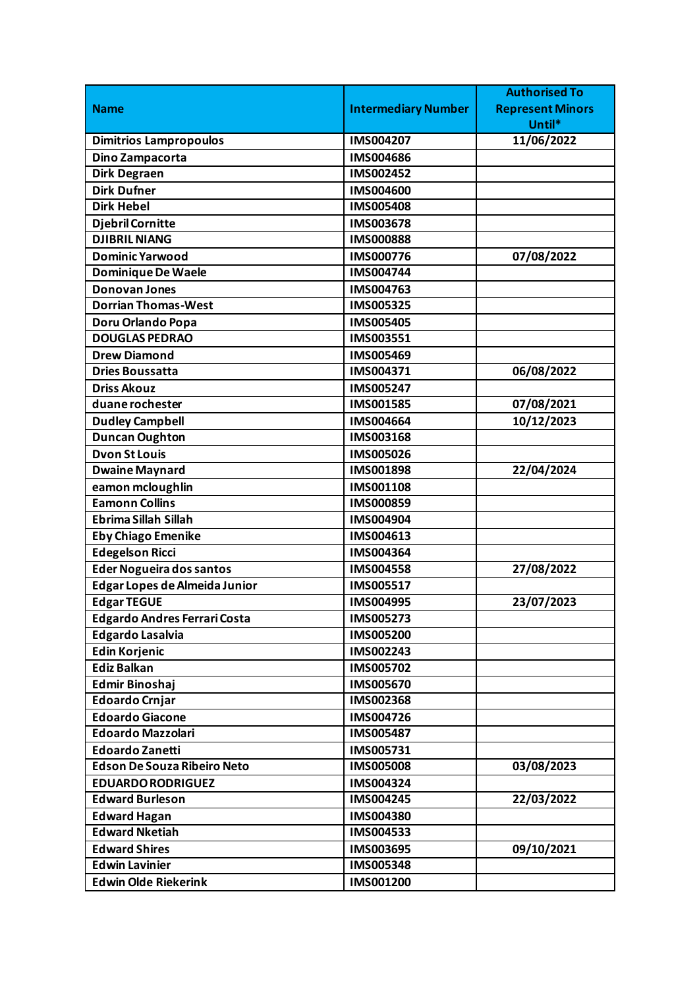|                                     |                            | <b>Authorised To</b>    |
|-------------------------------------|----------------------------|-------------------------|
| <b>Name</b>                         | <b>Intermediary Number</b> | <b>Represent Minors</b> |
|                                     |                            | Until*                  |
| <b>Dimitrios Lampropoulos</b>       | <b>IMS004207</b>           | 11/06/2022              |
| Dino Zampacorta                     | <b>IMS004686</b>           |                         |
| <b>Dirk Degraen</b>                 | IMS002452                  |                         |
| <b>Dirk Dufner</b>                  | <b>IMS004600</b>           |                         |
| <b>Dirk Hebel</b>                   | <b>IMS005408</b>           |                         |
| <b>Djebril Cornitte</b>             | IMS003678                  |                         |
| <b>DJIBRIL NIANG</b>                | <b>IMS000888</b>           |                         |
| <b>Dominic Yarwood</b>              | <b>IMS000776</b>           | 07/08/2022              |
| <b>Dominique De Waele</b>           | IMS004744                  |                         |
| <b>Donovan Jones</b>                | IMS004763                  |                         |
| <b>Dorrian Thomas-West</b>          | IMS005325                  |                         |
| Doru Orlando Popa                   | <b>IMS005405</b>           |                         |
| <b>DOUGLAS PEDRAO</b>               | IMS003551                  |                         |
| <b>Drew Diamond</b>                 | IMS005469                  |                         |
| <b>Dries Boussatta</b>              | IMS004371                  | 06/08/2022              |
| <b>Driss Akouz</b>                  | <b>IMS005247</b>           |                         |
| duane rochester                     | <b>IMS001585</b>           | 07/08/2021              |
| <b>Dudley Campbell</b>              | IMS004664                  | 10/12/2023              |
| <b>Duncan Oughton</b>               | IMS003168                  |                         |
| <b>Dvon St Louis</b>                | <b>IMS005026</b>           |                         |
| <b>Dwaine Maynard</b>               | IMS001898                  | 22/04/2024              |
| eamon mcloughlin                    | <b>IMS001108</b>           |                         |
| <b>Eamonn Collins</b>               | IMS000859                  |                         |
| <b>Ebrima Sillah Sillah</b>         | IMS004904                  |                         |
| <b>Eby Chiago Emenike</b>           | IMS004613                  |                         |
| <b>Edegelson Ricci</b>              | IMS004364                  |                         |
| <b>Eder Nogueira dos santos</b>     | <b>IMS004558</b>           | 27/08/2022              |
| Edgar Lopes de Almeida Junior       | IMS005517                  |                         |
| <b>Edgar TEGUE</b>                  | <b>IMS004995</b>           | 23/07/2023              |
| <b>Edgardo Andres Ferrari Costa</b> | IMS005273                  |                         |
| <b>Edgardo Lasalvia</b>             | <b>IMS005200</b>           |                         |
| <b>Edin Korjenic</b>                | IMS002243                  |                         |
| <b>Ediz Balkan</b>                  | IMS005702                  |                         |
| <b>Edmir Binoshaj</b>               | <b>IMS005670</b>           |                         |
| <b>Edoardo Crnjar</b>               | IMS002368                  |                         |
| <b>Edoardo Giacone</b>              | IMS004726                  |                         |
| <b>Edoardo Mazzolari</b>            | <b>IMS005487</b>           |                         |
| <b>Edoardo Zanetti</b>              | IMS005731                  |                         |
| <b>Edson De Souza Ribeiro Neto</b>  | <b>IMS005008</b>           | 03/08/2023              |
| <b>EDUARDO RODRIGUEZ</b>            | IMS004324                  |                         |
| <b>Edward Burleson</b>              | IMS004245                  | 22/03/2022              |
| <b>Edward Hagan</b>                 | IMS004380                  |                         |
| <b>Edward Nketiah</b>               | IMS004533                  |                         |
| <b>Edward Shires</b>                | IMS003695                  | 09/10/2021              |
| <b>Edwin Lavinier</b>               | IMS005348                  |                         |
| <b>Edwin Olde Riekerink</b>         | IMS001200                  |                         |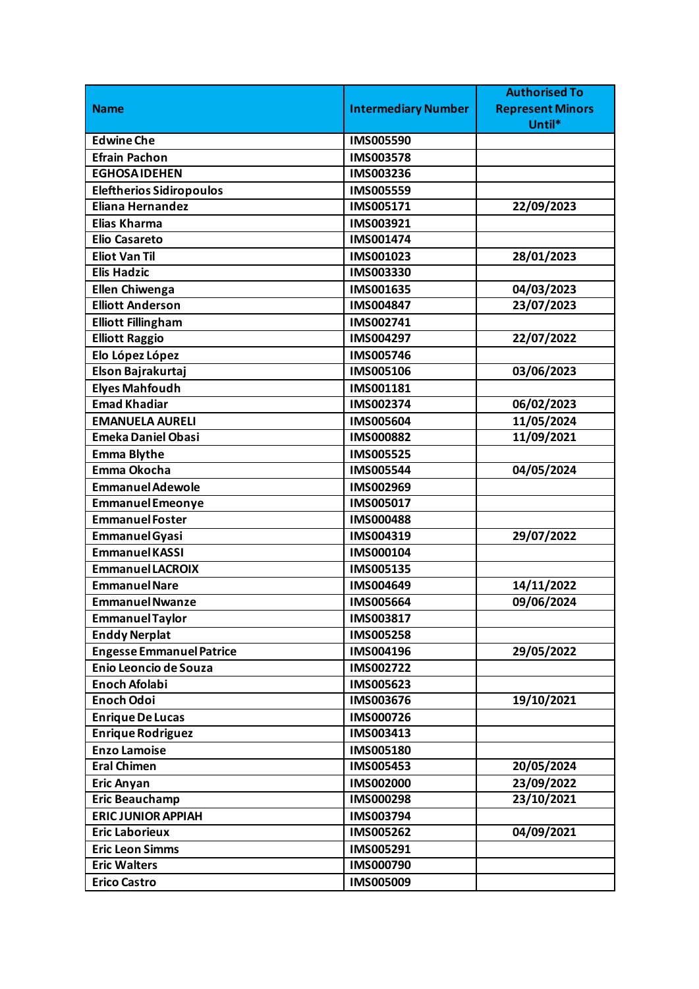|                                 |                            | <b>Authorised To</b>    |
|---------------------------------|----------------------------|-------------------------|
| <b>Name</b>                     | <b>Intermediary Number</b> | <b>Represent Minors</b> |
|                                 |                            | Until*                  |
| <b>Edwine Che</b>               | IMS005590                  |                         |
| <b>Efrain Pachon</b>            | <b>IMS003578</b>           |                         |
| <b>EGHOSAIDEHEN</b>             | IMS003236                  |                         |
| <b>Eleftherios Sidiropoulos</b> | IMS005559                  |                         |
| <b>Eliana Hernandez</b>         | IMS005171                  | 22/09/2023              |
| <b>Elias Kharma</b>             | IMS003921                  |                         |
| <b>Elio Casareto</b>            | IMS001474                  |                         |
| <b>Eliot Van Til</b>            | IMS001023                  | 28/01/2023              |
| <b>Elis Hadzic</b>              | IMS003330                  |                         |
| <b>Ellen Chiwenga</b>           | IMS001635                  | 04/03/2023              |
| <b>Elliott Anderson</b>         | IMS004847                  | 23/07/2023              |
| <b>Elliott Fillingham</b>       | IMS002741                  |                         |
| <b>Elliott Raggio</b>           | IMS004297                  | 22/07/2022              |
| Elo López López                 | IMS005746                  |                         |
| Elson Bajrakurtaj               | <b>IMS005106</b>           | 03/06/2023              |
| <b>Elyes Mahfoudh</b>           | IMS001181                  |                         |
| <b>Emad Khadiar</b>             | IMS002374                  | 06/02/2023              |
| <b>EMANUELA AURELI</b>          | <b>IMS005604</b>           | 11/05/2024              |
| <b>Emeka Daniel Obasi</b>       | <b>IMS000882</b>           | 11/09/2021              |
| <b>Emma Blythe</b>              | IMS005525                  |                         |
| Emma Okocha                     | IMS005544                  | 04/05/2024              |
| <b>Emmanuel Adewole</b>         | IMS002969                  |                         |
| <b>Emmanuel Emeonye</b>         | IMS005017                  |                         |
| <b>Emmanuel Foster</b>          | <b>IMS000488</b>           |                         |
| <b>Emmanuel Gyasi</b>           | IMS004319                  | 29/07/2022              |
| <b>Emmanuel KASSI</b>           | IMS000104                  |                         |
| <b>Emmanuel LACROIX</b>         | IMS005135                  |                         |
| <b>Emmanuel Nare</b>            | IMS004649                  | 14/11/2022              |
| <b>Emmanuel Nwanze</b>          | <b>IMS005664</b>           | 09/06/2024              |
| <b>Emmanuel Taylor</b>          | IMS003817                  |                         |
| <b>Enddy Nerplat</b>            | <b>IMS005258</b>           |                         |
| <b>Engesse Emmanuel Patrice</b> | IMS004196                  | 29/05/2022              |
| Enio Leoncio de Souza           | IMS002722                  |                         |
| <b>Enoch Afolabi</b>            | IMS005623                  |                         |
| <b>Enoch Odoi</b>               | IMS003676                  | 19/10/2021              |
| <b>Enrique De Lucas</b>         | IMS000726                  |                         |
| Enrique Rodriguez               | IMS003413                  |                         |
| <b>Enzo Lamoise</b>             | IMS005180                  |                         |
| <b>Eral Chimen</b>              | IMS005453                  | 20/05/2024              |
| <b>Eric Anyan</b>               | IMS002000                  | 23/09/2022              |
| <b>Eric Beauchamp</b>           | IMS000298                  | 23/10/2021              |
| <b>ERIC JUNIOR APPIAH</b>       | IMS003794                  |                         |
| <b>Eric Laborieux</b>           | IMS005262                  | 04/09/2021              |
| <b>Eric Leon Simms</b>          | IMS005291                  |                         |
| <b>Eric Walters</b>             | IMS000790                  |                         |
| <b>Erico Castro</b>             | IMS005009                  |                         |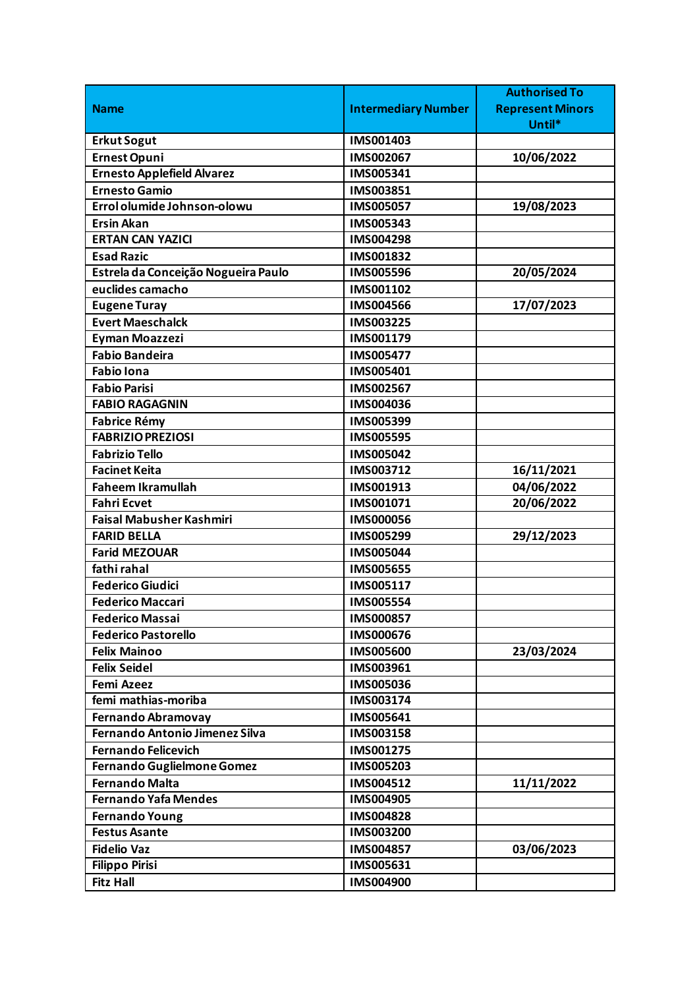|                                       |                            | <b>Authorised To</b>    |
|---------------------------------------|----------------------------|-------------------------|
| <b>Name</b>                           | <b>Intermediary Number</b> | <b>Represent Minors</b> |
|                                       |                            | Until*                  |
| <b>Erkut Sogut</b>                    | IMS001403                  |                         |
| <b>Ernest Opuni</b>                   | IMS002067                  | 10/06/2022              |
| <b>Ernesto Applefield Alvarez</b>     | IMS005341                  |                         |
| <b>Ernesto Gamio</b>                  | IMS003851                  |                         |
| Errol olumide Johnson-olowu           | <b>IMS005057</b>           | 19/08/2023              |
| <b>Ersin Akan</b>                     | IMS005343                  |                         |
| <b>ERTAN CAN YAZICI</b>               | IMS004298                  |                         |
| <b>Esad Razic</b>                     | IMS001832                  |                         |
| Estrela da Conceição Nogueira Paulo   | <b>IMS005596</b>           | 20/05/2024              |
| euclides camacho                      | IMS001102                  |                         |
| <b>Eugene Turay</b>                   | <b>IMS004566</b>           | 17/07/2023              |
| <b>Evert Maeschalck</b>               | IMS003225                  |                         |
| <b>Eyman Moazzezi</b>                 | IMS001179                  |                         |
| <b>Fabio Bandeira</b>                 | <b>IMS005477</b>           |                         |
| <b>Fabio Iona</b>                     | IMS005401                  |                         |
| <b>Fabio Parisi</b>                   | IMS002567                  |                         |
| <b>FABIO RAGAGNIN</b>                 | IMS004036                  |                         |
| <b>Fabrice Rémy</b>                   | IMS005399                  |                         |
| <b>FABRIZIO PREZIOSI</b>              | <b>IMS005595</b>           |                         |
| <b>Fabrizio Tello</b>                 | <b>IMS005042</b>           |                         |
| <b>Facinet Keita</b>                  | IMS003712                  | 16/11/2021              |
| <b>Faheem Ikramullah</b>              | IMS001913                  | 04/06/2022              |
| Fahri Ecvet                           | IMS001071                  | 20/06/2022              |
| <b>Faisal Mabusher Kashmiri</b>       | <b>IMS000056</b>           |                         |
| <b>FARID BELLA</b>                    | IMS005299                  | 29/12/2023              |
| <b>Farid MEZOUAR</b>                  | <b>IMS005044</b>           |                         |
| fathi rahal                           | <b>IMS005655</b>           |                         |
| <b>Federico Giudici</b>               | IMS005117                  |                         |
| <b>Federico Maccari</b>               | <b>IMS005554</b>           |                         |
| <b>Federico Massai</b>                | <b>IMS000857</b>           |                         |
| <b>Federico Pastorello</b>            | <b>IMS000676</b>           |                         |
| <b>Felix Mainoo</b>                   | <b>IMS005600</b>           | 23/03/2024              |
| <b>Felix Seidel</b>                   | IMS003961                  |                         |
| <b>Femi Azeez</b>                     | <b>IMS005036</b>           |                         |
| femi mathias-moriba                   | IMS003174                  |                         |
| <b>Fernando Abramovay</b>             | IMS005641                  |                         |
| <b>Fernando Antonio Jimenez Silva</b> | IMS003158                  |                         |
| <b>Fernando Felicevich</b>            | IMS001275                  |                         |
| Fernando Guglielmone Gomez            | IMS005203                  |                         |
| <b>Fernando Malta</b>                 | IMS004512                  | 11/11/2022              |
| <b>Fernando Yafa Mendes</b>           | IMS004905                  |                         |
| <b>Fernando Young</b>                 | <b>IMS004828</b>           |                         |
| <b>Festus Asante</b>                  | <b>IMS003200</b>           |                         |
| <b>Fidelio Vaz</b>                    | IMS004857                  | 03/06/2023              |
| <b>Filippo Pirisi</b>                 | IMS005631                  |                         |
| <b>Fitz Hall</b>                      | <b>IMS004900</b>           |                         |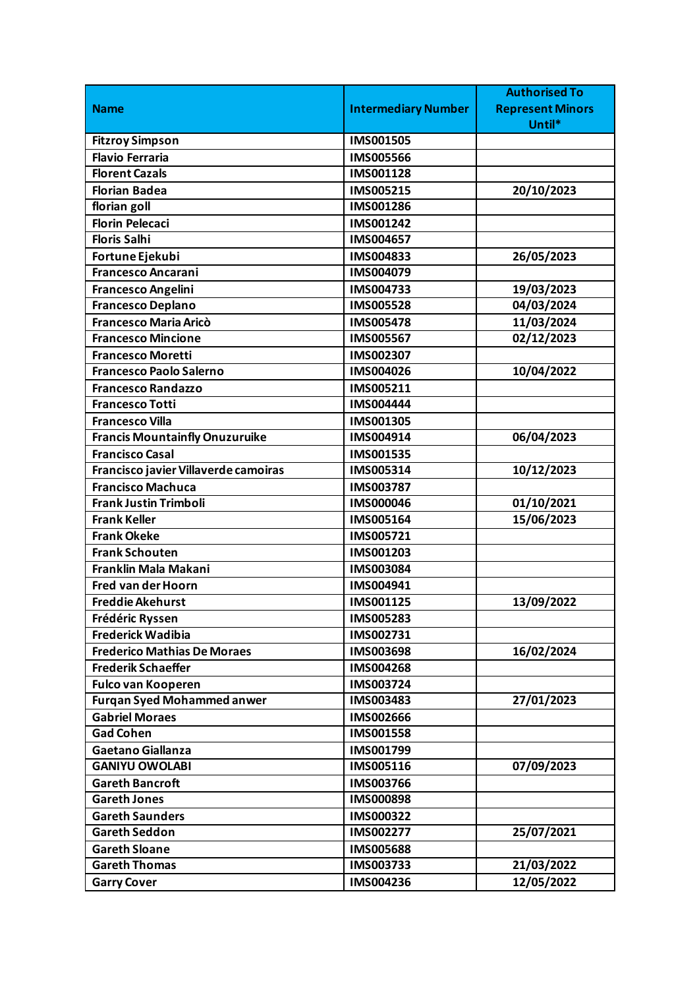|                                       |                            | <b>Authorised To</b>    |
|---------------------------------------|----------------------------|-------------------------|
| <b>Name</b>                           | <b>Intermediary Number</b> | <b>Represent Minors</b> |
|                                       |                            | Until*                  |
| <b>Fitzroy Simpson</b>                | <b>IMS001505</b>           |                         |
| <b>Flavio Ferraria</b>                | <b>IMS005566</b>           |                         |
| <b>Florent Cazals</b>                 | IMS001128                  |                         |
| <b>Florian Badea</b>                  | IMS005215                  | 20/10/2023              |
| florian goll                          | IMS001286                  |                         |
| <b>Florin Pelecaci</b>                | IMS001242                  |                         |
| <b>Floris Salhi</b>                   | IMS004657                  |                         |
| Fortune Ejekubi                       | IMS004833                  | 26/05/2023              |
| <b>Francesco Ancarani</b>             | IMS004079                  |                         |
| <b>Francesco Angelini</b>             | IMS004733                  | 19/03/2023              |
| <b>Francesco Deplano</b>              | <b>IMS005528</b>           | 04/03/2024              |
| <b>Francesco Maria Aricò</b>          | <b>IMS005478</b>           | 11/03/2024              |
| <b>Francesco Mincione</b>             | <b>IMS005567</b>           | 02/12/2023              |
| <b>Francesco Moretti</b>              | IMS002307                  |                         |
| <b>Francesco Paolo Salerno</b>        | IMS004026                  | 10/04/2022              |
| <b>Francesco Randazzo</b>             | IMS005211                  |                         |
| <b>Francesco Totti</b>                | <b>IMS004444</b>           |                         |
| <b>Francesco Villa</b>                | IMS001305                  |                         |
| <b>Francis Mountainfly Onuzuruike</b> | IMS004914                  | 06/04/2023              |
| <b>Francisco Casal</b>                | IMS001535                  |                         |
| Francisco javier Villaverde camoiras  | IMS005314                  | 10/12/2023              |
| <b>Francisco Machuca</b>              | IMS003787                  |                         |
| <b>Frank Justin Trimboli</b>          | <b>IMS000046</b>           | 01/10/2021              |
| <b>Frank Keller</b>                   | IMS005164                  | 15/06/2023              |
| <b>Frank Okeke</b>                    | IMS005721                  |                         |
| <b>Frank Schouten</b>                 | IMS001203                  |                         |
| Franklin Mala Makani                  | IMS003084                  |                         |
| <b>Fred van der Hoorn</b>             | IMS004941                  |                         |
| <b>Freddie Akehurst</b>               | IMS001125                  | 13/09/2022              |
| Frédéric Ryssen                       | IMS005283                  |                         |
| <b>Frederick Wadibia</b>              | IMS002731                  |                         |
| <b>Frederico Mathias De Moraes</b>    | <b>IMS003698</b>           | 16/02/2024              |
| <b>Frederik Schaeffer</b>             | IMS004268                  |                         |
| <b>Fulco van Kooperen</b>             | IMS003724                  |                         |
| <b>Furgan Syed Mohammed anwer</b>     | IMS003483                  | 27/01/2023              |
| <b>Gabriel Moraes</b>                 | <b>IMS002666</b>           |                         |
| <b>Gad Cohen</b>                      | IMS001558                  |                         |
| Gaetano Giallanza                     | IMS001799                  |                         |
| <b>GANIYU OWOLABI</b>                 | IMS005116                  | 07/09/2023              |
| <b>Gareth Bancroft</b>                | <b>IMS003766</b>           |                         |
| <b>Gareth Jones</b>                   | <b>IMS000898</b>           |                         |
| <b>Gareth Saunders</b>                | IMS000322                  |                         |
| <b>Gareth Seddon</b>                  | IMS002277                  | 25/07/2021              |
| <b>Gareth Sloane</b>                  | <b>IMS005688</b>           |                         |
| <b>Gareth Thomas</b>                  | IMS003733                  | 21/03/2022              |
| <b>Garry Cover</b>                    | IMS004236                  | 12/05/2022              |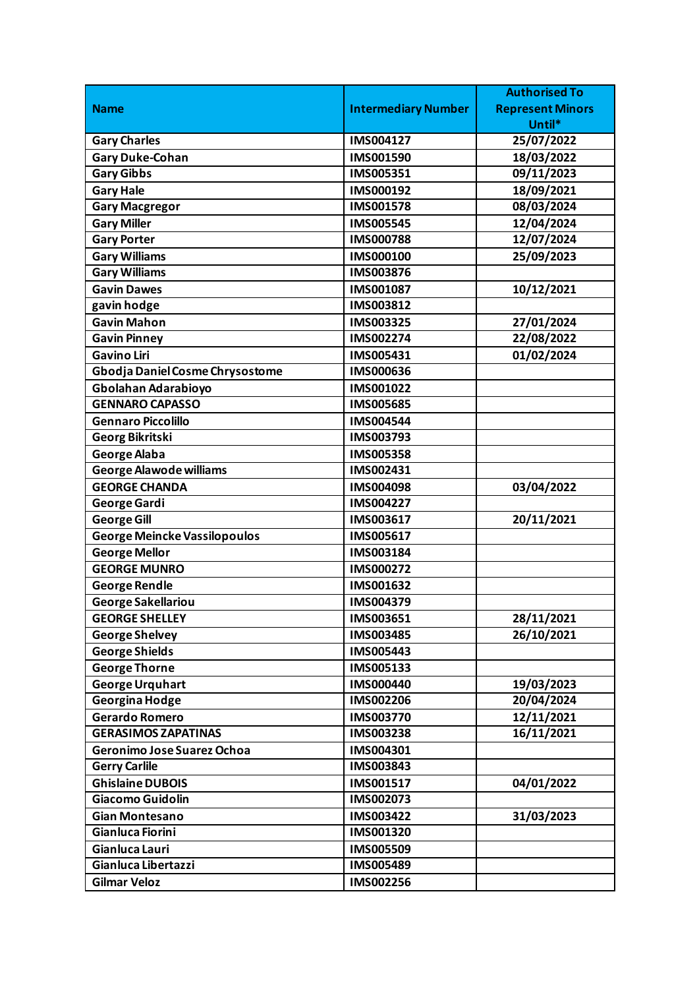|                                     |                            | <b>Authorised To</b>    |
|-------------------------------------|----------------------------|-------------------------|
| <b>Name</b>                         | <b>Intermediary Number</b> | <b>Represent Minors</b> |
|                                     |                            | Until*                  |
| <b>Gary Charles</b>                 | IMS004127                  | 25/07/2022              |
| <b>Gary Duke-Cohan</b>              | IMS001590                  | 18/03/2022              |
| <b>Gary Gibbs</b>                   | IMS005351                  | 09/11/2023              |
| <b>Gary Hale</b>                    | IMS000192                  | 18/09/2021              |
| <b>Gary Macgregor</b>               | IMS001578                  | 08/03/2024              |
| <b>Gary Miller</b>                  | IMS005545                  | 12/04/2024              |
| <b>Gary Porter</b>                  | <b>IMS000788</b>           | 12/07/2024              |
| <b>Gary Williams</b>                | IMS000100                  | 25/09/2023              |
| <b>Gary Williams</b>                | IMS003876                  |                         |
| <b>Gavin Dawes</b>                  | IMS001087                  | 10/12/2021              |
| gavin hodge                         | IMS003812                  |                         |
| <b>Gavin Mahon</b>                  | IMS003325                  | 27/01/2024              |
| <b>Gavin Pinney</b>                 | IMS002274                  | 22/08/2022              |
| <b>Gavino Liri</b>                  | IMS005431                  | 01/02/2024              |
| Gbodja Daniel Cosme Chrysostome     | IMS000636                  |                         |
| Gbolahan Adarabioyo                 | IMS001022                  |                         |
| <b>GENNARO CAPASSO</b>              | IMS005685                  |                         |
| <b>Gennaro Piccolillo</b>           | IMS004544                  |                         |
| <b>Georg Bikritski</b>              | IMS003793                  |                         |
| <b>George Alaba</b>                 | <b>IMS005358</b>           |                         |
| <b>George Alawode williams</b>      | IMS002431                  |                         |
| <b>GEORGE CHANDA</b>                | IMS004098                  | 03/04/2022              |
| George Gardi                        | IMS004227                  |                         |
| <b>George Gill</b>                  | IMS003617                  | 20/11/2021              |
| <b>George Meincke Vassilopoulos</b> | IMS005617                  |                         |
| <b>George Mellor</b>                | IMS003184                  |                         |
| <b>GEORGE MUNRO</b>                 | IMS000272                  |                         |
| <b>George Rendle</b>                | IMS001632                  |                         |
| <b>George Sakellariou</b>           | IMS004379                  |                         |
| <b>GEORGE SHELLEY</b>               | IMS003651                  | 28/11/2021              |
| <b>George Shelvey</b>               | IMS003485                  | 26/10/2021              |
| <b>George Shields</b>               | IMS005443                  |                         |
| <b>George Thorne</b>                | IMS005133                  |                         |
| <b>George Urquhart</b>              | IMS000440                  | 19/03/2023              |
| <b>Georgina Hodge</b>               | IMS002206                  | 20/04/2024              |
| <b>Gerardo Romero</b>               | IMS003770                  | 12/11/2021              |
| <b>GERASIMOS ZAPATINAS</b>          | IMS003238                  | 16/11/2021              |
| Geronimo Jose Suarez Ochoa          | IMS004301                  |                         |
| <b>Gerry Carlile</b>                | IMS003843                  |                         |
| <b>Ghislaine DUBOIS</b>             | IMS001517                  | 04/01/2022              |
| Giacomo Guidolin                    | IMS002073                  |                         |
| <b>Gian Montesano</b>               | IMS003422                  | 31/03/2023              |
| Gianluca Fiorini                    | IMS001320                  |                         |
| Gianluca Lauri                      | IMS005509                  |                         |
| Gianluca Libertazzi                 | IMS005489                  |                         |
| <b>Gilmar Veloz</b>                 | IMS002256                  |                         |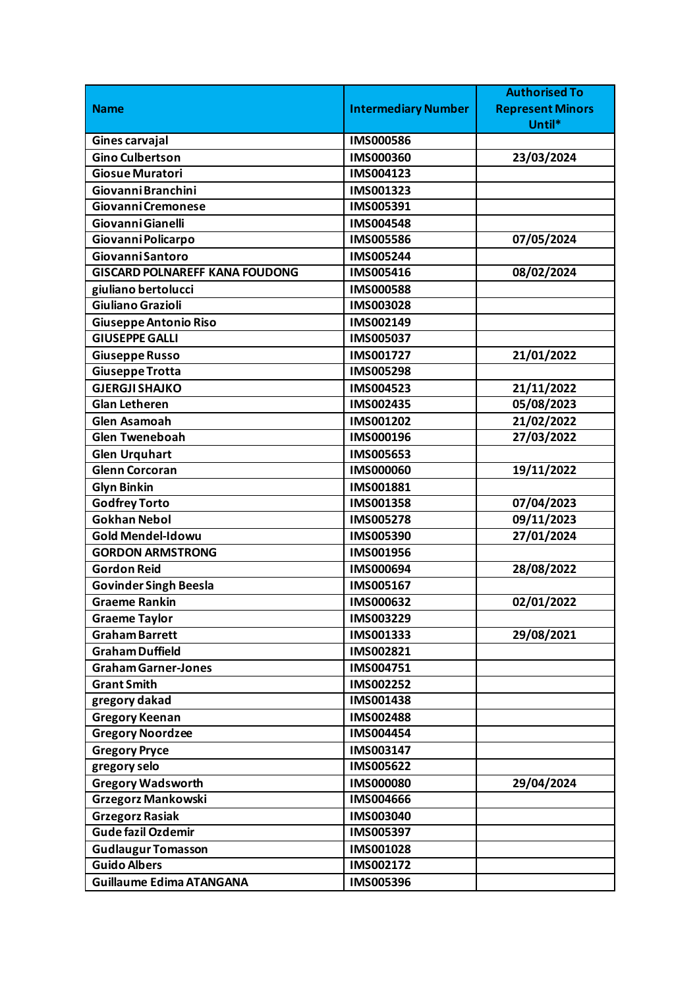|                                       |                            | <b>Authorised To</b>    |
|---------------------------------------|----------------------------|-------------------------|
| <b>Name</b>                           | <b>Intermediary Number</b> | <b>Represent Minors</b> |
|                                       |                            | Until*                  |
| <b>Gines carvajal</b>                 | <b>IMS000586</b>           |                         |
| <b>Gino Culbertson</b>                | IMS000360                  | 23/03/2024              |
| <b>Giosue Muratori</b>                | IMS004123                  |                         |
| Giovanni Branchini                    | IMS001323                  |                         |
| Giovanni Cremonese                    | IMS005391                  |                         |
| Giovanni Gianelli                     | IMS004548                  |                         |
| Giovanni Policarpo                    | <b>IMS005586</b>           | 07/05/2024              |
| <b>Giovanni Santoro</b>               | IMS005244                  |                         |
| <b>GISCARD POLNAREFF KANA FOUDONG</b> | IMS005416                  | 08/02/2024              |
| giuliano bertolucci                   | <b>IMS000588</b>           |                         |
| Giuliano Grazioli                     | IMS003028                  |                         |
| <b>Giuseppe Antonio Riso</b>          | IMS002149                  |                         |
| <b>GIUSEPPE GALLI</b>                 | IMS005037                  |                         |
| <b>Giuseppe Russo</b>                 | IMS001727                  | 21/01/2022              |
| <b>Giuseppe Trotta</b>                | <b>IMS005298</b>           |                         |
| <b>GJERGJI SHAJKO</b>                 | IMS004523                  | 21/11/2022              |
| <b>Glan Letheren</b>                  | IMS002435                  | 05/08/2023              |
| <b>Glen Asamoah</b>                   | IMS001202                  | 21/02/2022              |
| <b>Glen Tweneboah</b>                 | IMS000196                  | 27/03/2022              |
| <b>Glen Urquhart</b>                  | IMS005653                  |                         |
| <b>Glenn Corcoran</b>                 | <b>IMS000060</b>           | 19/11/2022              |
| <b>Glyn Binkin</b>                    | IMS001881                  |                         |
| <b>Godfrey Torto</b>                  | IMS001358                  | 07/04/2023              |
| <b>Gokhan Nebol</b>                   | <b>IMS005278</b>           | 09/11/2023              |
| <b>Gold Mendel-Idowu</b>              | <b>IMS005390</b>           | 27/01/2024              |
| <b>GORDON ARMSTRONG</b>               | IMS001956                  |                         |
| <b>Gordon Reid</b>                    | IMS000694                  | 28/08/2022              |
| <b>Govinder Singh Beesla</b>          | IMS005167                  |                         |
| <b>Graeme Rankin</b>                  | IMS000632                  | 02/01/2022              |
| <b>Graeme Taylor</b>                  | IMS003229                  |                         |
| <b>Graham Barrett</b>                 | IMS001333                  | 29/08/2021              |
| <b>Graham Duffield</b>                | IMS002821                  |                         |
| <b>Graham Garner-Jones</b>            | IMS004751                  |                         |
| <b>Grant Smith</b>                    | IMS002252                  |                         |
| gregory dakad                         | IMS001438                  |                         |
| <b>Gregory Keenan</b>                 | IMS002488                  |                         |
| <b>Gregory Noordzee</b>               | IMS004454                  |                         |
| <b>Gregory Pryce</b>                  | IMS003147                  |                         |
| gregory selo                          | IMS005622                  |                         |
| <b>Gregory Wadsworth</b>              | <b>IMS000080</b>           | 29/04/2024              |
| <b>Grzegorz Mankowski</b>             | IMS004666                  |                         |
| <b>Grzegorz Rasiak</b>                | IMS003040                  |                         |
| <b>Gude fazil Ozdemir</b>             | IMS005397                  |                         |
| <b>Gudlaugur Tomasson</b>             | IMS001028                  |                         |
| <b>Guido Albers</b>                   | IMS002172                  |                         |
| <b>Guillaume Edima ATANGANA</b>       | IMS005396                  |                         |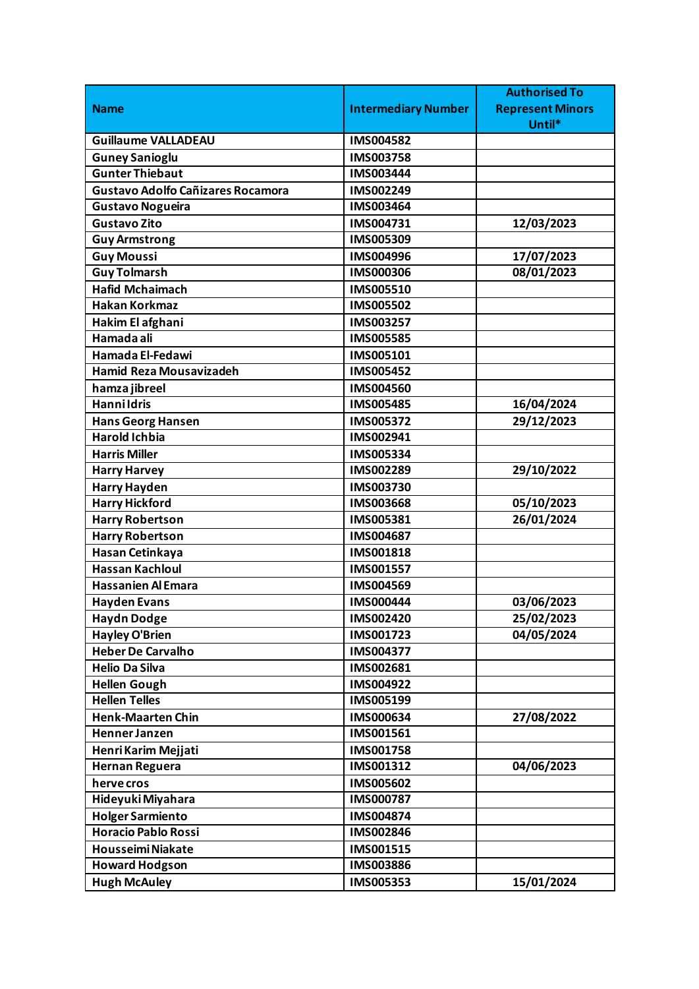|                                          |                            | <b>Authorised To</b>    |
|------------------------------------------|----------------------------|-------------------------|
| <b>Name</b>                              | <b>Intermediary Number</b> | <b>Represent Minors</b> |
|                                          |                            | Until*                  |
| <b>Guillaume VALLADEAU</b>               | IMS004582                  |                         |
| <b>Guney Sanioglu</b>                    | IMS003758                  |                         |
| <b>Gunter Thiebaut</b>                   | IMS003444                  |                         |
| <b>Gustavo Adolfo Cañizares Rocamora</b> | IMS002249                  |                         |
| <b>Gustavo Nogueira</b>                  | IMS003464                  |                         |
| <b>Gustavo Zito</b>                      | IMS004731                  | 12/03/2023              |
| <b>Guy Armstrong</b>                     | IMS005309                  |                         |
| <b>Guy Moussi</b>                        | IMS004996                  | 17/07/2023              |
| <b>Guy Tolmarsh</b>                      | <b>IMS000306</b>           | 08/01/2023              |
| <b>Hafid Mchaimach</b>                   | <b>IMS005510</b>           |                         |
| <b>Hakan Korkmaz</b>                     | <b>IMS005502</b>           |                         |
| Hakim El afghani                         | IMS003257                  |                         |
| Hamada ali                               | <b>IMS005585</b>           |                         |
| Hamada El-Fedawi                         | IMS005101                  |                         |
| <b>Hamid Reza Mousavizadeh</b>           | <b>IMS005452</b>           |                         |
| hamza jibreel                            | IMS004560                  |                         |
| <b>Hannildris</b>                        | <b>IMS005485</b>           | 16/04/2024              |
| <b>Hans Georg Hansen</b>                 | IMS005372                  | 29/12/2023              |
| <b>Harold Ichbia</b>                     | IMS002941                  |                         |
| <b>Harris Miller</b>                     | IMS005334                  |                         |
| <b>Harry Harvey</b>                      | IMS002289                  | 29/10/2022              |
| <b>Harry Hayden</b>                      | IMS003730                  |                         |
| <b>Harry Hickford</b>                    | IMS003668                  | 05/10/2023              |
| <b>Harry Robertson</b>                   | IMS005381                  | 26/01/2024              |
| <b>Harry Robertson</b>                   | IMS004687                  |                         |
| Hasan Cetinkaya                          | IMS001818                  |                         |
| <b>Hassan Kachloul</b>                   | IMS001557                  |                         |
| <b>Hassanien Al Emara</b>                | IMS004569                  |                         |
| <b>Hayden Evans</b>                      | <b>IMS000444</b>           | 03/06/2023              |
| <b>Haydn Dodge</b>                       | IMS002420                  | 25/02/2023              |
| <b>Hayley O'Brien</b>                    | IMS001723                  | 04/05/2024              |
| <b>Heber De Carvalho</b>                 | IMS004377                  |                         |
| <b>Helio Da Silva</b>                    | IMS002681                  |                         |
| <b>Hellen Gough</b>                      | IMS004922                  |                         |
| <b>Hellen Telles</b>                     | IMS005199                  |                         |
| <b>Henk-Maarten Chin</b>                 | IMS000634                  | 27/08/2022              |
| Henner Janzen                            | IMS001561                  |                         |
| Henri Karim Mejjati                      | IMS001758                  |                         |
| <b>Hernan Reguera</b>                    | IMS001312                  | 04/06/2023              |
| herve cros                               | IMS005602                  |                         |
| Hideyuki Miyahara                        | IMS000787                  |                         |
| <b>Holger Sarmiento</b>                  | IMS004874                  |                         |
| <b>Horacio Pablo Rossi</b>               | IMS002846                  |                         |
| <b>Housseimi Niakate</b>                 | IMS001515                  |                         |
| <b>Howard Hodgson</b>                    | IMS003886                  |                         |
| <b>Hugh McAuley</b>                      | IMS005353                  | 15/01/2024              |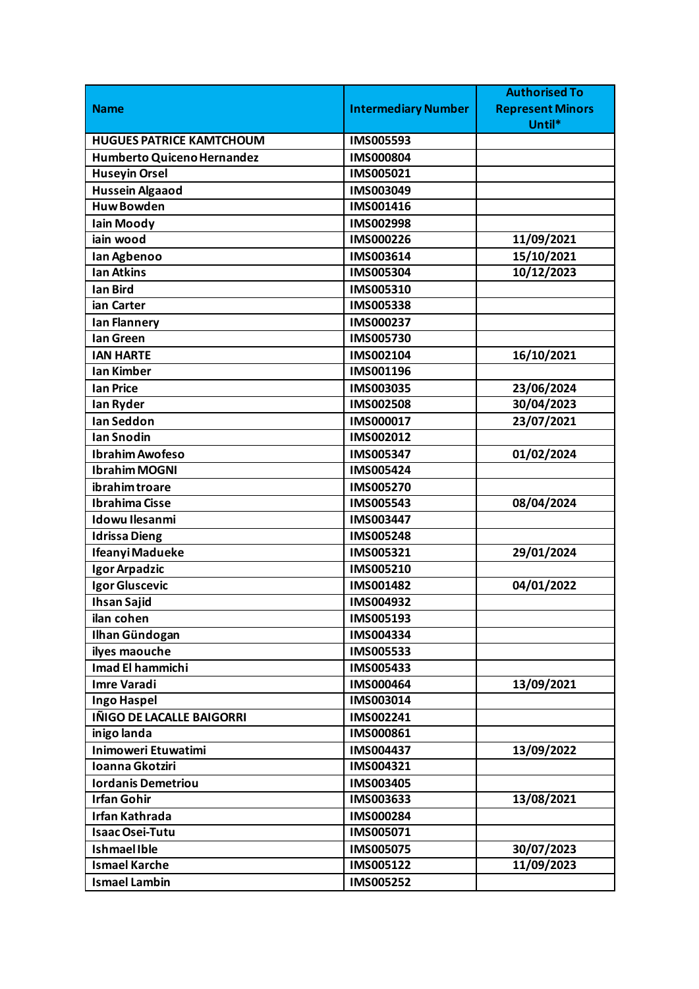|                                 |                            | <b>Authorised To</b>    |
|---------------------------------|----------------------------|-------------------------|
| <b>Name</b>                     | <b>Intermediary Number</b> | <b>Represent Minors</b> |
|                                 |                            | Until*                  |
| <b>HUGUES PATRICE KAMTCHOUM</b> | IMS005593                  |                         |
| Humberto Quiceno Hernandez      | IMS000804                  |                         |
| <b>Huseyin Orsel</b>            | IMS005021                  |                         |
| <b>Hussein Algaaod</b>          | IMS003049                  |                         |
| <b>Huw Bowden</b>               | IMS001416                  |                         |
| <b>Iain Moody</b>               | IMS002998                  |                         |
| iain wood                       | IMS000226                  | 11/09/2021              |
| Ian Agbenoo                     | IMS003614                  | 15/10/2021              |
| <b>Ian Atkins</b>               | IMS005304                  | 10/12/2023              |
| <b>Ian Bird</b>                 | IMS005310                  |                         |
| ian Carter                      | IMS005338                  |                         |
| lan Flannery                    | IMS000237                  |                         |
| lan Green                       | IMS005730                  |                         |
| <b>IAN HARTE</b>                | IMS002104                  | 16/10/2021              |
| <b>Ian Kimber</b>               | IMS001196                  |                         |
| <b>Ian Price</b>                | IMS003035                  | 23/06/2024              |
| lan Ryder                       | <b>IMS002508</b>           | 30/04/2023              |
| <b>Ian Seddon</b>               | IMS000017                  | 23/07/2021              |
| Ian Snodin                      | IMS002012                  |                         |
| <b>Ibrahim Awofeso</b>          | IMS005347                  | 01/02/2024              |
| <b>Ibrahim MOGNI</b>            | IMS005424                  |                         |
| ibrahim troare                  | <b>IMS005270</b>           |                         |
| <b>Ibrahima Cisse</b>           | IMS005543                  | 08/04/2024              |
| <b>Idowu Ilesanmi</b>           | IMS003447                  |                         |
| Idrissa Dieng                   | <b>IMS005248</b>           |                         |
| Ifeanyi Madueke                 | IMS005321                  | 29/01/2024              |
| Igor Arpadzic                   | IMS005210                  |                         |
| Igor Gluscevic                  | IMS001482                  | 04/01/2022              |
| <b>Ihsan Sajid</b>              | IMS004932                  |                         |
| ilan cohen                      | IMS005193                  |                         |
| Ilhan Gündogan                  | IMS004334                  |                         |
| ilyes maouche                   | IMS005533                  |                         |
| <b>Imad El hammichi</b>         | IMS005433                  |                         |
| <b>Imre Varadi</b>              | IMS000464                  | 13/09/2021              |
| Ingo Haspel                     | IMS003014                  |                         |
| IÑIGO DE LACALLE BAIGORRI       | IMS002241                  |                         |
| inigo landa                     | IMS000861                  |                         |
| <b>Inimoweri Etuwatimi</b>      | IMS004437                  | 13/09/2022              |
| Ioanna Gkotziri                 | IMS004321                  |                         |
| <b>Iordanis Demetriou</b>       | IMS003405                  |                         |
| <b>Irfan Gohir</b>              | IMS003633                  | 13/08/2021              |
| <b>Irfan Kathrada</b>           | IMS000284                  |                         |
| <b>Isaac Osei-Tutu</b>          | IMS005071                  |                         |
| <b>Ishmael Ible</b>             | IMS005075                  | 30/07/2023              |
| <b>Ismael Karche</b>            | IMS005122                  | 11/09/2023              |
| <b>Ismael Lambin</b>            | IMS005252                  |                         |
|                                 |                            |                         |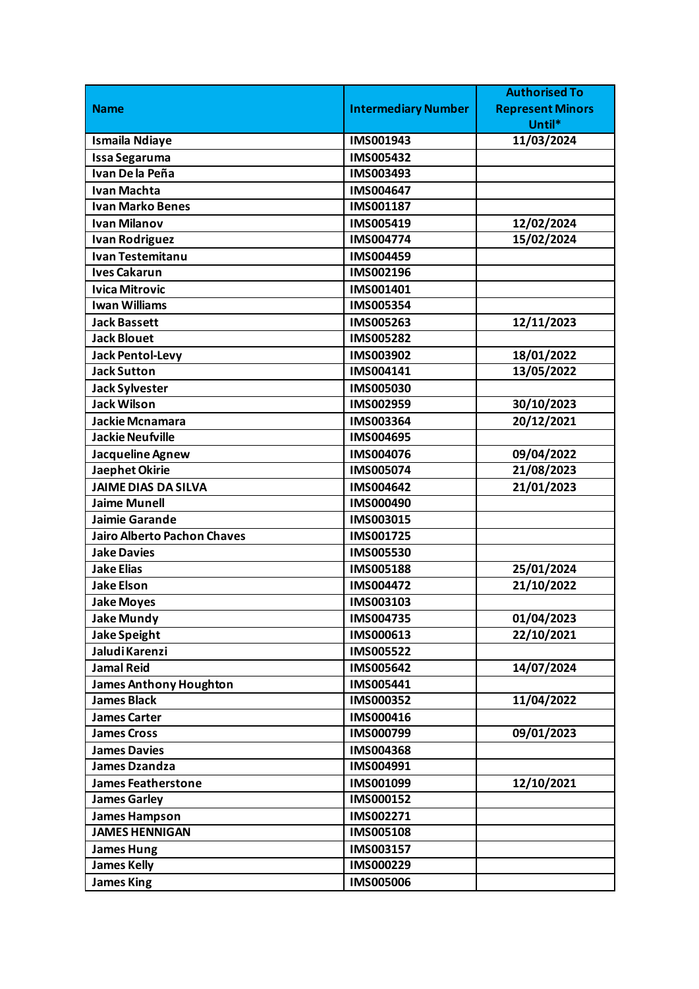|                                    |                            | <b>Authorised To</b>    |
|------------------------------------|----------------------------|-------------------------|
| <b>Name</b>                        | <b>Intermediary Number</b> | <b>Represent Minors</b> |
|                                    |                            | Until*                  |
| <b>Ismaila Ndiaye</b>              | IMS001943                  | 11/03/2024              |
| <b>Issa Segaruma</b>               | IMS005432                  |                         |
| Ivan De la Peña                    | IMS003493                  |                         |
| <b>Ivan Machta</b>                 | IMS004647                  |                         |
| <b>Ivan Marko Benes</b>            | IMS001187                  |                         |
| <b>Ivan Milanov</b>                | IMS005419                  | 12/02/2024              |
| <b>Ivan Rodriguez</b>              | <b>IMS004774</b>           | 15/02/2024              |
| <b>Ivan Testemitanu</b>            | IMS004459                  |                         |
| <b>Ives Cakarun</b>                | IMS002196                  |                         |
| <b>Ivica Mitrovic</b>              | IMS001401                  |                         |
| <b>Iwan Williams</b>               | IMS005354                  |                         |
| <b>Jack Bassett</b>                | IMS005263                  | 12/11/2023              |
| <b>Jack Blouet</b>                 | IMS005282                  |                         |
| <b>Jack Pentol-Levy</b>            | IMS003902                  | 18/01/2022              |
| <b>Jack Sutton</b>                 | IMS004141                  | 13/05/2022              |
| <b>Jack Sylvester</b>              | <b>IMS005030</b>           |                         |
| <b>Jack Wilson</b>                 | IMS002959                  | 30/10/2023              |
| Jackie Mcnamara                    | IMS003364                  | 20/12/2021              |
| <b>Jackie Neufville</b>            | IMS004695                  |                         |
| Jacqueline Agnew                   | IMS004076                  | 09/04/2022              |
| Jaephet Okirie                     | IMS005074                  | 21/08/2023              |
| <b>JAIME DIAS DA SILVA</b>         | IMS004642                  | 21/01/2023              |
| <b>Jaime Munell</b>                | IMS000490                  |                         |
| Jaimie Garande                     | IMS003015                  |                         |
| <b>Jairo Alberto Pachon Chaves</b> | IMS001725                  |                         |
| <b>Jake Davies</b>                 | IMS005530                  |                         |
| <b>Jake Elias</b>                  | <b>IMS005188</b>           | 25/01/2024              |
| <b>Jake Elson</b>                  | <b>IMS004472</b>           | 21/10/2022              |
| <b>Jake Moyes</b>                  | IMS003103                  |                         |
| <b>Jake Mundy</b>                  | IMS004735                  | 01/04/2023              |
| Jake Speight                       | IMS000613                  | 22/10/2021              |
| Jaludi Karenzi                     | IMS005522                  |                         |
| <b>Jamal Reid</b>                  | IMS005642                  | 14/07/2024              |
| <b>James Anthony Houghton</b>      | IMS005441                  |                         |
| <b>James Black</b>                 | IMS000352                  | 11/04/2022              |
| <b>James Carter</b>                | IMS000416                  |                         |
| <b>James Cross</b>                 | IMS000799                  | 09/01/2023              |
| <b>James Davies</b>                | IMS004368                  |                         |
| <b>James Dzandza</b>               | IMS004991                  |                         |
| <b>James Featherstone</b>          | IMS001099                  | 12/10/2021              |
| <b>James Garley</b>                | IMS000152                  |                         |
| <b>James Hampson</b>               | IMS002271                  |                         |
| <b>JAMES HENNIGAN</b>              | IMS005108                  |                         |
| <b>James Hung</b>                  | IMS003157                  |                         |
| <b>James Kelly</b>                 | IMS000229                  |                         |
| <b>James King</b>                  | <b>IMS005006</b>           |                         |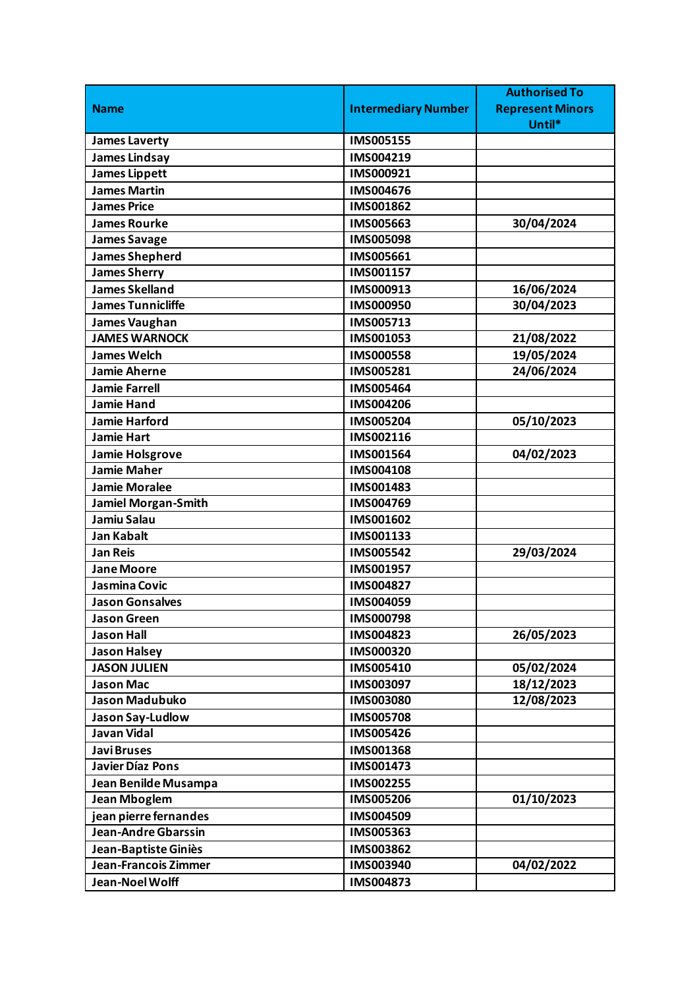|                             |                            | <b>Authorised To</b>    |
|-----------------------------|----------------------------|-------------------------|
| <b>Name</b>                 | <b>Intermediary Number</b> | <b>Represent Minors</b> |
|                             |                            | Until*                  |
| <b>James Laverty</b>        | <b>IMS005155</b>           |                         |
| <b>James Lindsay</b>        | IMS004219                  |                         |
| <b>James Lippett</b>        | IMS000921                  |                         |
| <b>James Martin</b>         | IMS004676                  |                         |
| <b>James Price</b>          | IMS001862                  |                         |
| <b>James Rourke</b>         | IMS005663                  | 30/04/2024              |
| <b>James Savage</b>         | <b>IMS005098</b>           |                         |
| <b>James Shepherd</b>       | IMS005661                  |                         |
| <b>James Sherry</b>         | IMS001157                  |                         |
| <b>James Skelland</b>       | IMS000913                  | 16/06/2024              |
| <b>James Tunnicliffe</b>    | <b>IMS000950</b>           | 30/04/2023              |
| <b>James Vaughan</b>        | IMS005713                  |                         |
| <b>JAMES WARNOCK</b>        | IMS001053                  | 21/08/2022              |
| <b>James Welch</b>          | <b>IMS000558</b>           | 19/05/2024              |
| <b>Jamie Aherne</b>         | IMS005281                  | 24/06/2024              |
| <b>Jamie Farrell</b>        | IMS005464                  |                         |
| <b>Jamie Hand</b>           | IMS004206                  |                         |
| <b>Jamie Harford</b>        | IMS005204                  | 05/10/2023              |
| <b>Jamie Hart</b>           | IMS002116                  |                         |
| <b>Jamie Holsgrove</b>      | IMS001564                  | 04/02/2023              |
| <b>Jamie Maher</b>          | IMS004108                  |                         |
| <b>Jamie Moralee</b>        | IMS001483                  |                         |
| <b>Jamiel Morgan-Smith</b>  | IMS004769                  |                         |
| Jamiu Salau                 | IMS001602                  |                         |
| <b>Jan Kabalt</b>           | IMS001133                  |                         |
| <b>Jan Reis</b>             | IMS005542                  | 29/03/2024              |
| <b>Jane Moore</b>           | IMS001957                  |                         |
| Jasmina Covic               | IMS004827                  |                         |
| <b>Jason Gonsalves</b>      | IMS004059                  |                         |
| <b>Jason Green</b>          | <b>IMS000798</b>           |                         |
| <b>Jason Hall</b>           | IMS004823                  | 26/05/2023              |
| <b>Jason Halsey</b>         | IMS000320                  |                         |
| <b>JASON JULIEN</b>         | IMS005410                  | 05/02/2024              |
| <b>Jason Mac</b>            | IMS003097                  | 18/12/2023              |
| Jason Madubuko              | IMS003080                  | 12/08/2023              |
| Jason Say-Ludlow            | <b>IMS005708</b>           |                         |
| <b>Javan Vidal</b>          | IMS005426                  |                         |
| <b>JaviBruses</b>           | IMS001368                  |                         |
| <b>Javier Díaz Pons</b>     | IMS001473                  |                         |
| Jean Benilde Musampa        | IMS002255                  |                         |
| <b>Jean Mboglem</b>         | <b>IMS005206</b>           | 01/10/2023              |
| jean pierre fernandes       | IMS004509                  |                         |
| <b>Jean-Andre Gbarssin</b>  | IMS005363                  |                         |
| Jean-Baptiste Giniès        | IMS003862                  |                         |
| <b>Jean-Francois Zimmer</b> | IMS003940                  | 04/02/2022              |
| Jean-Noel Wolff             | IMS004873                  |                         |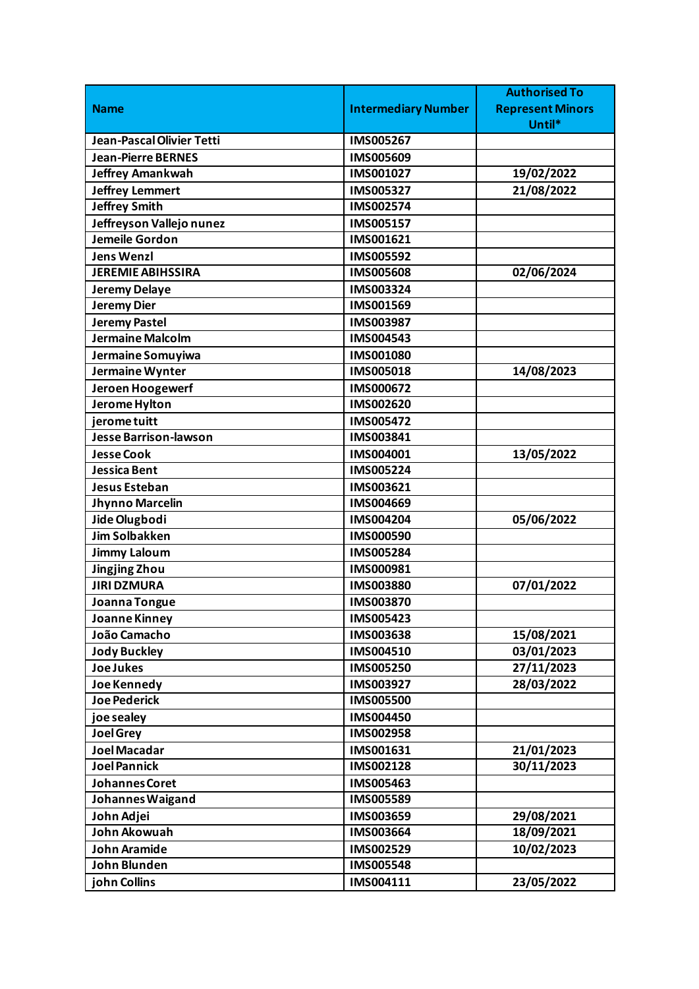|                                  |                            | <b>Authorised To</b>    |
|----------------------------------|----------------------------|-------------------------|
| <b>Name</b>                      | <b>Intermediary Number</b> | <b>Represent Minors</b> |
|                                  |                            | Until*                  |
| <b>Jean-Pascal Olivier Tetti</b> | <b>IMS005267</b>           |                         |
| <b>Jean-Pierre BERNES</b>        | IMS005609                  |                         |
| <b>Jeffrey Amankwah</b>          | IMS001027                  | 19/02/2022              |
| <b>Jeffrey Lemmert</b>           | IMS005327                  | 21/08/2022              |
| <b>Jeffrey Smith</b>             | IMS002574                  |                         |
| Jeffreyson Vallejo nunez         | IMS005157                  |                         |
| Jemeile Gordon                   | IMS001621                  |                         |
| <b>Jens Wenzl</b>                | IMS005592                  |                         |
| <b>JEREMIE ABIHSSIRA</b>         | <b>IMS005608</b>           | 02/06/2024              |
| <b>Jeremy Delaye</b>             | IMS003324                  |                         |
| <b>Jeremy Dier</b>               | IMS001569                  |                         |
| <b>Jeremy Pastel</b>             | IMS003987                  |                         |
| Jermaine Malcolm                 | IMS004543                  |                         |
| Jermaine Somuyiwa                | IMS001080                  |                         |
| Jermaine Wynter                  | <b>IMS005018</b>           | 14/08/2023              |
| Jeroen Hoogewerf                 | IMS000672                  |                         |
| Jerome Hylton                    | IMS002620                  |                         |
| jerome tuitt                     | IMS005472                  |                         |
| <b>Jesse Barrison-lawson</b>     | IMS003841                  |                         |
| <b>Jesse Cook</b>                | IMS004001                  | 13/05/2022              |
| <b>Jessica Bent</b>              | IMS005224                  |                         |
| Jesus Esteban                    | IMS003621                  |                         |
| Jhynno Marcelin                  | IMS004669                  |                         |
| Jide Olugbodi                    | IMS004204                  | 05/06/2022              |
| <b>Jim Solbakken</b>             | <b>IMS000590</b>           |                         |
| <b>Jimmy Laloum</b>              | IMS005284                  |                         |
| <b>Jingjing Zhou</b>             | IMS000981                  |                         |
| <b>JIRI DZMURA</b>               | <b>IMS003880</b>           | 07/01/2022              |
| Joanna Tongue                    | IMS003870                  |                         |
| Joanne Kinney                    | IMS005423                  |                         |
| João Camacho                     | IMS003638                  | 15/08/2021              |
| <b>Jody Buckley</b>              | IMS004510                  | 03/01/2023              |
| <b>Joe Jukes</b>                 | IMS005250                  | 27/11/2023              |
| <b>Joe Kennedy</b>               | IMS003927                  | 28/03/2022              |
| <b>Joe Pederick</b>              | <b>IMS005500</b>           |                         |
| joe sealey                       | IMS004450                  |                         |
| <b>Joel Grey</b>                 | IMS002958                  |                         |
| Joel Macadar                     | IMS001631                  | 21/01/2023              |
| <b>Joel Pannick</b>              | IMS002128                  | 30/11/2023              |
| Johannes Coret                   | IMS005463                  |                         |
| Johannes Waigand                 | IMS005589                  |                         |
| John Adjei                       | IMS003659                  | 29/08/2021              |
| John Akowuah                     | IMS003664                  | 18/09/2021              |
| <b>John Aramide</b>              | IMS002529                  | 10/02/2023              |
| John Blunden                     | IMS005548                  |                         |
| john Collins                     | IMS004111                  | 23/05/2022              |
|                                  |                            |                         |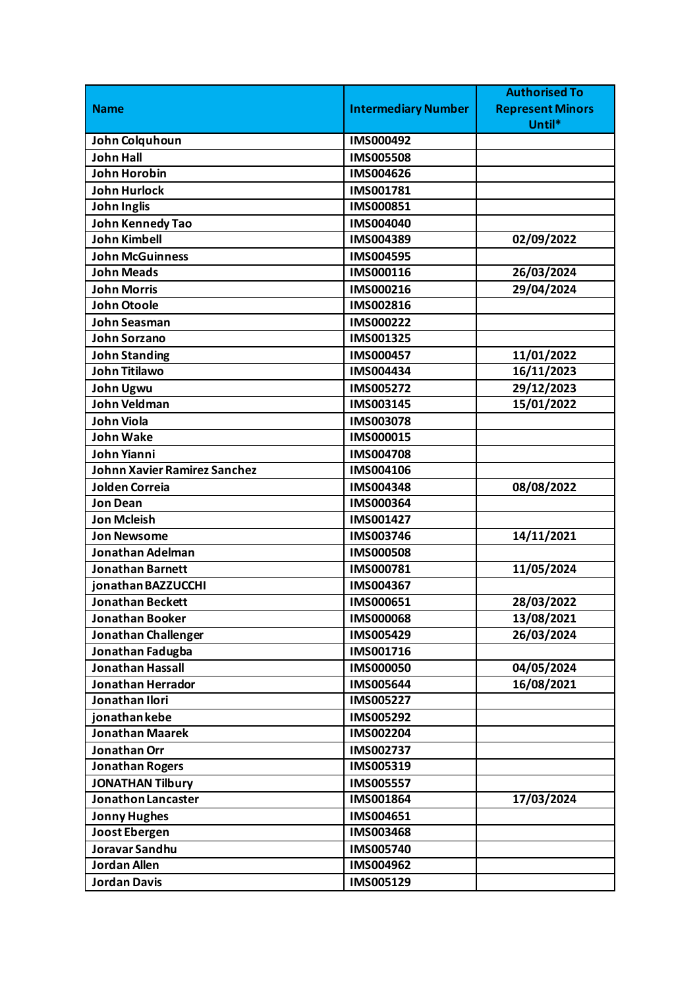|                              |                            | <b>Authorised To</b>    |
|------------------------------|----------------------------|-------------------------|
| <b>Name</b>                  | <b>Intermediary Number</b> | <b>Represent Minors</b> |
|                              |                            | Until*                  |
| John Colquhoun               | IMS000492                  |                         |
| <b>John Hall</b>             | <b>IMS005508</b>           |                         |
| <b>John Horobin</b>          | IMS004626                  |                         |
| <b>John Hurlock</b>          | IMS001781                  |                         |
| <b>John Inglis</b>           | IMS000851                  |                         |
| John Kennedy Tao             | IMS004040                  |                         |
| <b>John Kimbell</b>          | IMS004389                  | 02/09/2022              |
| <b>John McGuinness</b>       | IMS004595                  |                         |
| <b>John Meads</b>            | IMS000116                  | 26/03/2024              |
| <b>John Morris</b>           | IMS000216                  | 29/04/2024              |
| John Otoole                  | IMS002816                  |                         |
| John Seasman                 | IMS000222                  |                         |
| <b>John Sorzano</b>          | IMS001325                  |                         |
| <b>John Standing</b>         | IMS000457                  | 11/01/2022              |
| John Titilawo                | IMS004434                  | 16/11/2023              |
| John Ugwu                    | IMS005272                  | 29/12/2023              |
| John Veldman                 | IMS003145                  | 15/01/2022              |
| <b>John Viola</b>            | <b>IMS003078</b>           |                         |
| <b>John Wake</b>             | IMS000015                  |                         |
| John Yianni                  | <b>IMS004708</b>           |                         |
| Johnn Xavier Ramirez Sanchez | IMS004106                  |                         |
| <b>Jolden Correia</b>        | IMS004348                  | 08/08/2022              |
| <b>Jon Dean</b>              | IMS000364                  |                         |
| <b>Jon Mcleish</b>           | IMS001427                  |                         |
| <b>Jon Newsome</b>           | IMS003746                  | 14/11/2021              |
| Jonathan Adelman             | <b>IMS000508</b>           |                         |
| <b>Jonathan Barnett</b>      | IMS000781                  | 11/05/2024              |
| jonathan BAZZUCCHI           | IMS004367                  |                         |
| <b>Jonathan Beckett</b>      | IMS000651                  | 28/03/2022              |
| <b>Jonathan Booker</b>       | <b>IMS000068</b>           | 13/08/2021              |
| Jonathan Challenger          | IMS005429                  | 26/03/2024              |
| Jonathan Fadugba             | IMS001716                  |                         |
| <b>Jonathan Hassall</b>      | <b>IMS000050</b>           | 04/05/2024              |
| <b>Jonathan Herrador</b>     | <b>IMS005644</b>           | 16/08/2021              |
| Jonathan Ilori               | IMS005227                  |                         |
| jonathan kebe                | IMS005292                  |                         |
| <b>Jonathan Maarek</b>       | IMS002204                  |                         |
| Jonathan Orr                 | IMS002737                  |                         |
| <b>Jonathan Rogers</b>       | IMS005319                  |                         |
| <b>JONATHAN Tilbury</b>      | IMS005557                  |                         |
| Jonathon Lancaster           | IMS001864                  | 17/03/2024              |
| <b>Jonny Hughes</b>          | IMS004651                  |                         |
| <b>Joost Ebergen</b>         | <b>IMS003468</b>           |                         |
| Joravar Sandhu               | IMS005740                  |                         |
| <b>Jordan Allen</b>          | IMS004962                  |                         |
| <b>Jordan Davis</b>          | IMS005129                  |                         |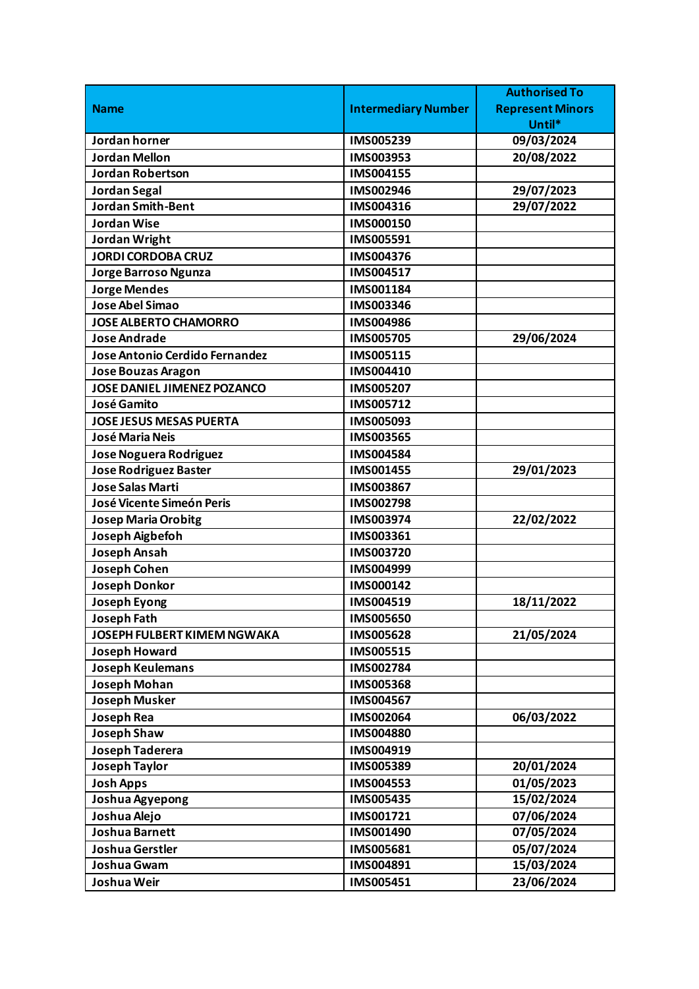|                                    |                            | <b>Authorised To</b>    |
|------------------------------------|----------------------------|-------------------------|
| <b>Name</b>                        | <b>Intermediary Number</b> | <b>Represent Minors</b> |
|                                    |                            | Until*                  |
| Jordan horner                      | IMS005239                  | 09/03/2024              |
| <b>Jordan Mellon</b>               | IMS003953                  | 20/08/2022              |
| <b>Jordan Robertson</b>            | IMS004155                  |                         |
| <b>Jordan Segal</b>                | IMS002946                  | 29/07/2023              |
| <b>Jordan Smith-Bent</b>           | IMS004316                  | 29/07/2022              |
| <b>Jordan Wise</b>                 | IMS000150                  |                         |
| Jordan Wright                      | IMS005591                  |                         |
| <b>JORDI CORDOBA CRUZ</b>          | IMS004376                  |                         |
| Jorge Barroso Ngunza               | IMS004517                  |                         |
| <b>Jorge Mendes</b>                | IMS001184                  |                         |
| Jose Abel Simao                    | IMS003346                  |                         |
| <b>JOSE ALBERTO CHAMORRO</b>       | IMS004986                  |                         |
| <b>Jose Andrade</b>                | <b>IMS005705</b>           | 29/06/2024              |
| Jose Antonio Cerdido Fernandez     | IMS005115                  |                         |
| <b>Jose Bouzas Aragon</b>          | IMS004410                  |                         |
| <b>JOSE DANIEL JIMENEZ POZANCO</b> | IMS005207                  |                         |
| José Gamito                        | IMS005712                  |                         |
| <b>JOSE JESUS MESAS PUERTA</b>     | IMS005093                  |                         |
| <b>José Maria Neis</b>             | IMS003565                  |                         |
| Jose Noguera Rodriguez             | <b>IMS004584</b>           |                         |
| <b>Jose Rodriguez Baster</b>       | IMS001455                  | 29/01/2023              |
| <b>Jose Salas Marti</b>            | IMS003867                  |                         |
| José Vicente Simeón Peris          | IMS002798                  |                         |
| <b>Josep Maria Orobitg</b>         | IMS003974                  | 22/02/2022              |
| Joseph Aigbefoh                    | IMS003361                  |                         |
| <b>Joseph Ansah</b>                | IMS003720                  |                         |
| <b>Joseph Cohen</b>                | IMS004999                  |                         |
| <b>Joseph Donkor</b>               | IMS000142                  |                         |
| Joseph Eyong                       | IMS004519                  | 18/11/2022              |
| <b>Joseph Fath</b>                 | <b>IMS005650</b>           |                         |
| JOSEPH FULBERT KIMEM NGWAKA        | <b>IMS005628</b>           | 21/05/2024              |
| <b>Joseph Howard</b>               | <b>IMS005515</b>           |                         |
| <b>Joseph Keulemans</b>            | IMS002784                  |                         |
| <b>Joseph Mohan</b>                | <b>IMS005368</b>           |                         |
| <b>Joseph Musker</b>               | IMS004567                  |                         |
| <b>Joseph Rea</b>                  | IMS002064                  | 06/03/2022              |
| <b>Joseph Shaw</b>                 | <b>IMS004880</b>           |                         |
| <b>Joseph Taderera</b>             | IMS004919                  |                         |
| Joseph Taylor                      | IMS005389                  | 20/01/2024              |
| <b>Josh Apps</b>                   | IMS004553                  | 01/05/2023              |
| Joshua Agyepong                    | IMS005435                  | 15/02/2024              |
| Joshua Alejo                       | IMS001721                  | 07/06/2024              |
| <b>Joshua Barnett</b>              | IMS001490                  | 07/05/2024              |
| Joshua Gerstler                    | IMS005681                  | 05/07/2024              |
| Joshua Gwam                        | IMS004891                  | 15/03/2024              |
| Joshua Weir                        | IMS005451                  | 23/06/2024              |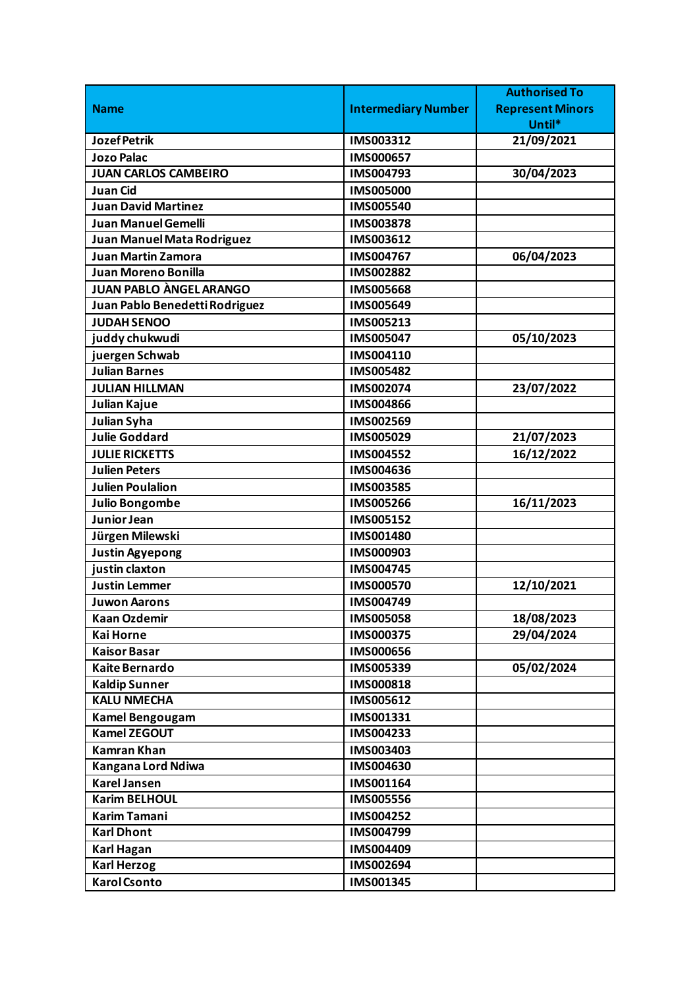|                                |                            | <b>Authorised To</b>    |
|--------------------------------|----------------------------|-------------------------|
| <b>Name</b>                    | <b>Intermediary Number</b> | <b>Represent Minors</b> |
|                                |                            | Until*                  |
| <b>Jozef Petrik</b>            | IMS003312                  | 21/09/2021              |
| <b>Jozo Palac</b>              | IMS000657                  |                         |
| <b>JUAN CARLOS CAMBEIRO</b>    | IMS004793                  | 30/04/2023              |
| <b>Juan Cid</b>                | <b>IMS005000</b>           |                         |
| <b>Juan David Martinez</b>     | IMS005540                  |                         |
| <b>Juan Manuel Gemelli</b>     | IMS003878                  |                         |
| Juan Manuel Mata Rodriguez     | IMS003612                  |                         |
| <b>Juan Martin Zamora</b>      | IMS004767                  | 06/04/2023              |
| Juan Moreno Bonilla            | IMS002882                  |                         |
| <b>JUAN PABLO ÀNGEL ARANGO</b> | <b>IMS005668</b>           |                         |
| Juan Pablo Benedetti Rodriguez | IMS005649                  |                         |
| <b>JUDAH SENOO</b>             | IMS005213                  |                         |
| juddy chukwudi                 | IMS005047                  | 05/10/2023              |
| juergen Schwab                 | IMS004110                  |                         |
| <b>Julian Barnes</b>           | IMS005482                  |                         |
| <b>JULIAN HILLMAN</b>          | IMS002074                  | 23/07/2022              |
| Julian Kajue                   | IMS004866                  |                         |
| Julian Syha                    | IMS002569                  |                         |
| Julie Goddard                  | IMS005029                  | 21/07/2023              |
| <b>JULIE RICKETTS</b>          | IMS004552                  | 16/12/2022              |
| <b>Julien Peters</b>           | IMS004636                  |                         |
| <b>Julien Poulalion</b>        | <b>IMS003585</b>           |                         |
| <b>Julio Bongombe</b>          | <b>IMS005266</b>           | 16/11/2023              |
| Junior Jean                    | <b>IMS005152</b>           |                         |
| Jürgen Milewski                | IMS001480                  |                         |
| <b>Justin Agyepong</b>         | IMS000903                  |                         |
| justin claxton                 | IMS004745                  |                         |
| <b>Justin Lemmer</b>           | <b>IMS000570</b>           | 12/10/2021              |
| <b>Juwon Aarons</b>            | IMS004749                  |                         |
| <b>Kaan Ozdemir</b>            | <b>IMS005058</b>           | 18/08/2023              |
| <b>Kai Horne</b>               | IMS000375                  | 29/04/2024              |
| <b>Kaisor Basar</b>            | IMS000656                  |                         |
| <b>Kaite Bernardo</b>          | IMS005339                  | 05/02/2024              |
| <b>Kaldip Sunner</b>           | IMS000818                  |                         |
| <b>KALU NMECHA</b>             | IMS005612                  |                         |
| <b>Kamel Bengougam</b>         | IMS001331                  |                         |
| <b>Kamel ZEGOUT</b>            | IMS004233                  |                         |
| <b>Kamran Khan</b>             | IMS003403                  |                         |
| Kangana Lord Ndiwa             | IMS004630                  |                         |
| <b>Karel Jansen</b>            | IMS001164                  |                         |
| <b>Karim BELHOUL</b>           | <b>IMS005556</b>           |                         |
| <b>Karim Tamani</b>            | IMS004252                  |                         |
| <b>Karl Dhont</b>              | IMS004799                  |                         |
| Karl Hagan                     | IMS004409                  |                         |
| <b>Karl Herzog</b>             | IMS002694                  |                         |
| <b>Karol Csonto</b>            | IMS001345                  |                         |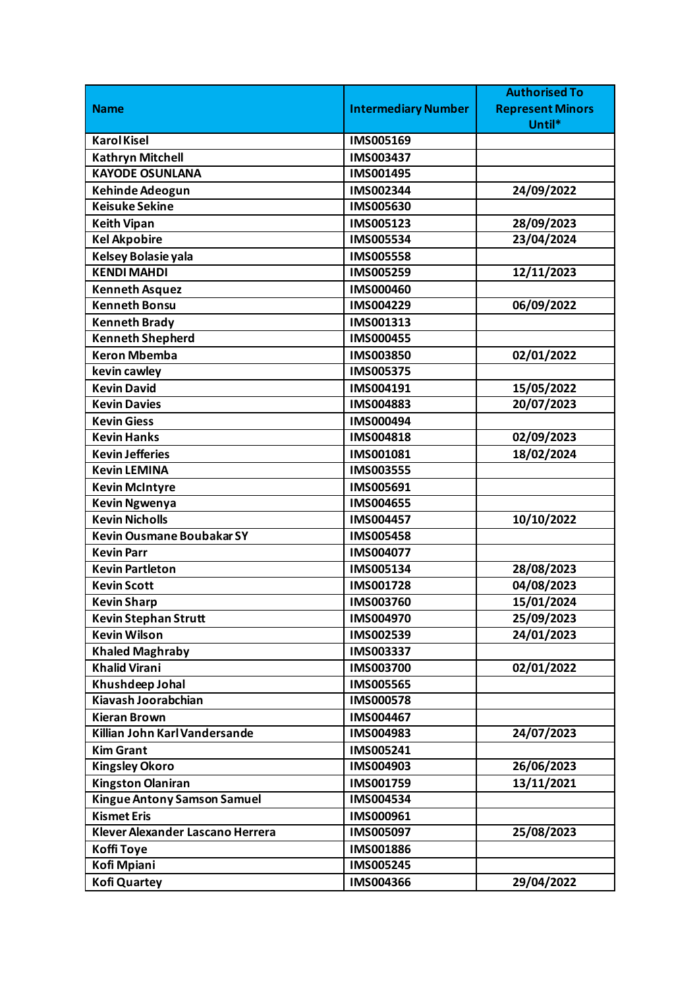|                                  |                            | <b>Authorised To</b>    |
|----------------------------------|----------------------------|-------------------------|
| <b>Name</b>                      | <b>Intermediary Number</b> | <b>Represent Minors</b> |
|                                  |                            | Until*                  |
| <b>Karol Kisel</b>               | IMS005169                  |                         |
| <b>Kathryn Mitchell</b>          | IMS003437                  |                         |
| <b>KAYODE OSUNLANA</b>           | <b>IMS001495</b>           |                         |
| Kehinde Adeogun                  | IMS002344                  | 24/09/2022              |
| <b>Keisuke Sekine</b>            | IMS005630                  |                         |
| <b>Keith Vipan</b>               | IMS005123                  | 28/09/2023              |
| <b>Kel Akpobire</b>              | IMS005534                  | 23/04/2024              |
| Kelsey Bolasie yala              | <b>IMS005558</b>           |                         |
| <b>KENDI MAHDI</b>               | IMS005259                  | 12/11/2023              |
| <b>Kenneth Asquez</b>            | IMS000460                  |                         |
| <b>Kenneth Bonsu</b>             | IMS004229                  | 06/09/2022              |
| <b>Kenneth Brady</b>             | IMS001313                  |                         |
| <b>Kenneth Shepherd</b>          | IMS000455                  |                         |
| <b>Keron Mbemba</b>              | IMS003850                  | 02/01/2022              |
| kevin cawley                     | IMS005375                  |                         |
| <b>Kevin David</b>               | IMS004191                  | 15/05/2022              |
| <b>Kevin Davies</b>              | IMS004883                  | 20/07/2023              |
| <b>Kevin Giess</b>               | IMS000494                  |                         |
| <b>Kevin Hanks</b>               | IMS004818                  | 02/09/2023              |
| <b>Kevin Jefferies</b>           | IMS001081                  | 18/02/2024              |
| <b>Kevin LEMINA</b>              | IMS003555                  |                         |
| <b>Kevin McIntyre</b>            | IMS005691                  |                         |
| <b>Kevin Ngwenya</b>             | IMS004655                  |                         |
| <b>Kevin Nicholls</b>            | IMS004457                  | 10/10/2022              |
| <b>Kevin Ousmane Boubakar SY</b> | <b>IMS005458</b>           |                         |
| <b>Kevin Parr</b>                | IMS004077                  |                         |
| <b>Kevin Partleton</b>           | IMS005134                  | 28/08/2023              |
| <b>Kevin Scott</b>               | IMS001728                  | 04/08/2023              |
| <b>Kevin Sharp</b>               | IMS003760                  | 15/01/2024              |
| <b>Kevin Stephan Strutt</b>      | IMS004970                  | 25/09/2023              |
| <b>Kevin Wilson</b>              | IMS002539                  | 24/01/2023              |
| <b>Khaled Maghraby</b>           | IMS003337                  |                         |
| <b>Khalid Virani</b>             | IMS003700                  | 02/01/2022              |
| Khushdeep Johal                  | <b>IMS005565</b>           |                         |
| Kiavash Joorabchian              | <b>IMS000578</b>           |                         |
| <b>Kieran Brown</b>              | IMS004467                  |                         |
| Killian John Karl Vandersande    | IMS004983                  | 24/07/2023              |
| <b>Kim Grant</b>                 | IMS005241                  |                         |
| <b>Kingsley Okoro</b>            | IMS004903                  | 26/06/2023              |
| <b>Kingston Olaniran</b>         | IMS001759                  | 13/11/2021              |
| Kingue Antony Samson Samuel      | IMS004534                  |                         |
| <b>Kismet Eris</b>               | IMS000961                  |                         |
| Klever Alexander Lascano Herrera | IMS005097                  | 25/08/2023              |
|                                  |                            |                         |
| <b>Koffi Toye</b>                | IMS001886                  |                         |
| Kofi Mpiani                      | IMS005245                  |                         |
| <b>Kofi Quartey</b>              | IMS004366                  | 29/04/2022              |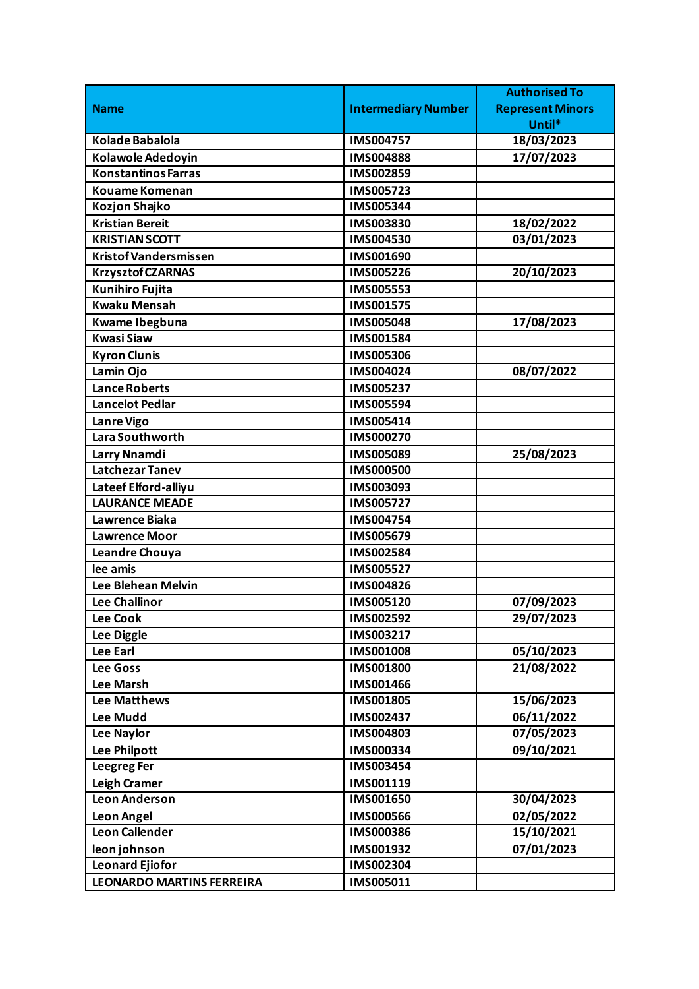|                                  |                            | <b>Authorised To</b>    |
|----------------------------------|----------------------------|-------------------------|
| <b>Name</b>                      | <b>Intermediary Number</b> | <b>Represent Minors</b> |
|                                  |                            | Until*                  |
| <b>Kolade Babalola</b>           | <b>IMS004757</b>           | 18/03/2023              |
| Kolawole Adedoyin                | <b>IMS004888</b>           | 17/07/2023              |
| <b>Konstantinos Farras</b>       | IMS002859                  |                         |
| <b>Kouame Komenan</b>            | IMS005723                  |                         |
| Kozjon Shajko                    | IMS005344                  |                         |
| <b>Kristian Bereit</b>           | IMS003830                  | 18/02/2022              |
| <b>KRISTIAN SCOTT</b>            | IMS004530                  | 03/01/2023              |
| <b>Kristof Vandersmissen</b>     | IMS001690                  |                         |
| <b>Krzysztof CZARNAS</b>         | IMS005226                  | 20/10/2023              |
| Kunihiro Fujita                  | <b>IMS005553</b>           |                         |
| <b>Kwaku Mensah</b>              | IMS001575                  |                         |
| Kwame Ibegbuna                   | <b>IMS005048</b>           | 17/08/2023              |
| <b>Kwasi Siaw</b>                | <b>IMS001584</b>           |                         |
| <b>Kyron Clunis</b>              | <b>IMS005306</b>           |                         |
| Lamin Ojo                        | IMS004024                  | 08/07/2022              |
| <b>Lance Roberts</b>             | IMS005237                  |                         |
| <b>Lancelot Pedlar</b>           | IMS005594                  |                         |
| <b>Lanre Vigo</b>                | IMS005414                  |                         |
| Lara Southworth                  | IMS000270                  |                         |
| Larry Nnamdi                     | IMS005089                  | 25/08/2023              |
| <b>Latchezar Tanev</b>           | <b>IMS000500</b>           |                         |
| Lateef Elford-alliyu             | IMS003093                  |                         |
| <b>LAURANCE MEADE</b>            | <b>IMS005727</b>           |                         |
| Lawrence Biaka                   | IMS004754                  |                         |
| <b>Lawrence Moor</b>             | IMS005679                  |                         |
| Leandre Chouya                   | IMS002584                  |                         |
| lee amis                         | <b>IMS005527</b>           |                         |
| <b>Lee Blehean Melvin</b>        | IMS004826                  |                         |
| <b>Lee Challinor</b>             | IMS005120                  | 07/09/2023              |
| <b>Lee Cook</b>                  | IMS002592                  | 29/07/2023              |
| Lee Diggle                       | IMS003217                  |                         |
| <b>Lee Earl</b>                  | <b>IMS001008</b>           | 05/10/2023              |
| <b>Lee Goss</b>                  | IMS001800                  | 21/08/2022              |
| <b>Lee Marsh</b>                 | IMS001466                  |                         |
| <b>Lee Matthews</b>              | IMS001805                  | 15/06/2023              |
| <b>Lee Mudd</b>                  | IMS002437                  | 06/11/2022              |
| <b>Lee Naylor</b>                | IMS004803                  | 07/05/2023              |
| Lee Philpott                     | IMS000334                  | 09/10/2021              |
| <b>Leegreg Fer</b>               | IMS003454                  |                         |
| Leigh Cramer                     | IMS001119                  |                         |
| <b>Leon Anderson</b>             | IMS001650                  | 30/04/2023              |
| <b>Leon Angel</b>                | <b>IMS000566</b>           | 02/05/2022              |
| <b>Leon Callender</b>            | <b>IMS000386</b>           | 15/10/2021              |
| leon johnson                     | IMS001932                  | 07/01/2023              |
| <b>Leonard Ejiofor</b>           | IMS002304                  |                         |
| <b>LEONARDO MARTINS FERREIRA</b> | IMS005011                  |                         |
|                                  |                            |                         |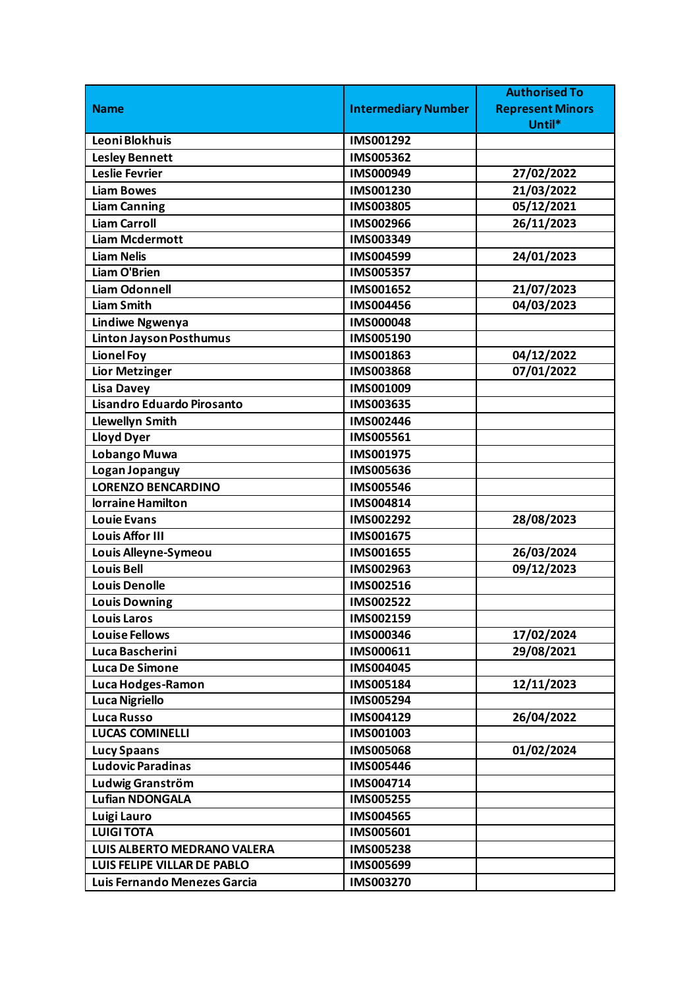|                                    |                            | <b>Authorised To</b>    |
|------------------------------------|----------------------------|-------------------------|
| <b>Name</b>                        | <b>Intermediary Number</b> | <b>Represent Minors</b> |
|                                    |                            | Until*                  |
| Leoni Blokhuis                     | IMS001292                  |                         |
| <b>Lesley Bennett</b>              | IMS005362                  |                         |
| Leslie Fevrier                     | IMS000949                  | 27/02/2022              |
| <b>Liam Bowes</b>                  | IMS001230                  | 21/03/2022              |
| <b>Liam Canning</b>                | <b>IMS003805</b>           | 05/12/2021              |
| <b>Liam Carroll</b>                | IMS002966                  | 26/11/2023              |
| <b>Liam Mcdermott</b>              | IMS003349                  |                         |
| <b>Liam Nelis</b>                  | IMS004599                  | 24/01/2023              |
| Liam O'Brien                       | IMS005357                  |                         |
| <b>Liam Odonnell</b>               | IMS001652                  | 21/07/2023              |
| <b>Liam Smith</b>                  | <b>IMS004456</b>           | 04/03/2023              |
| <b>Lindiwe Ngwenya</b>             | <b>IMS000048</b>           |                         |
| <b>Linton Jayson Posthumus</b>     | IMS005190                  |                         |
| <b>Lionel Foy</b>                  | IMS001863                  | 04/12/2022              |
| <b>Lior Metzinger</b>              | <b>IMS003868</b>           | 07/01/2022              |
| <b>Lisa Davey</b>                  | IMS001009                  |                         |
| Lisandro Eduardo Pirosanto         | IMS003635                  |                         |
| <b>Llewellyn Smith</b>             | IMS002446                  |                         |
| <b>Lloyd Dyer</b>                  | IMS005561                  |                         |
| Lobango Muwa                       | IMS001975                  |                         |
| Logan Jopanguy                     | IMS005636                  |                         |
| <b>LORENZO BENCARDINO</b>          | <b>IMS005546</b>           |                         |
| lorraine Hamilton                  | IMS004814                  |                         |
| <b>Louie Evans</b>                 | IMS002292                  | 28/08/2023              |
| <b>Louis Affor III</b>             | <b>IMS001675</b>           |                         |
| Louis Alleyne-Symeou               | IMS001655                  | 26/03/2024              |
| <b>Louis Bell</b>                  | IMS002963                  | 09/12/2023              |
| <b>Louis Denolle</b>               | IMS002516                  |                         |
| <b>Louis Downing</b>               | IMS002522                  |                         |
| <b>Louis Laros</b>                 | IMS002159                  |                         |
| <b>Louise Fellows</b>              | IMS000346                  | 17/02/2024              |
| Luca Bascherini                    | IMS000611                  | 29/08/2021              |
| <b>Luca De Simone</b>              | IMS004045                  |                         |
| Luca Hodges-Ramon                  | IMS005184                  | 12/11/2023              |
| <b>Luca Nigriello</b>              | IMS005294                  |                         |
| <b>Luca Russo</b>                  | IMS004129                  | 26/04/2022              |
| <b>LUCAS COMINELLI</b>             | IMS001003                  |                         |
| <b>Lucy Spaans</b>                 | <b>IMS005068</b>           | 01/02/2024              |
| Ludovic Paradinas                  | <b>IMS005446</b>           |                         |
| Ludwig Granström                   | IMS004714                  |                         |
| Lufian NDONGALA                    | <b>IMS005255</b>           |                         |
| Luigi Lauro                        | <b>IMS004565</b>           |                         |
| <b>LUIGI TOTA</b>                  | IMS005601                  |                         |
| <b>LUIS ALBERTO MEDRANO VALERA</b> | IMS005238                  |                         |
| LUIS FELIPE VILLAR DE PABLO        | IMS005699                  |                         |
| Luis Fernando Menezes Garcia       | IMS003270                  |                         |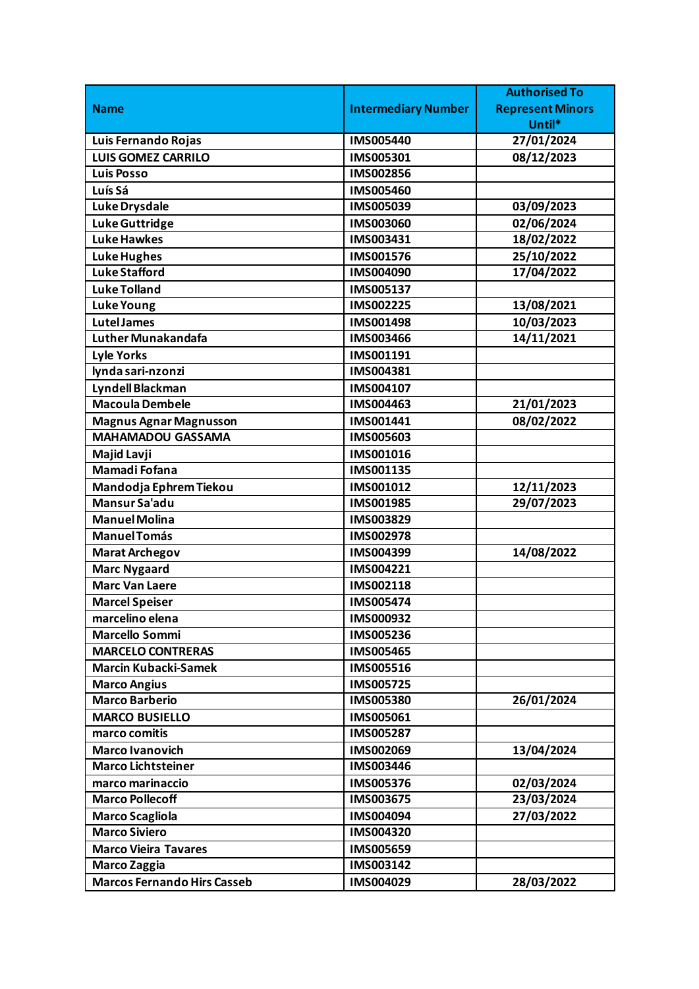|                                    |                            | <b>Authorised To</b>    |
|------------------------------------|----------------------------|-------------------------|
| <b>Name</b>                        | <b>Intermediary Number</b> | <b>Represent Minors</b> |
|                                    |                            | Until*                  |
| Luis Fernando Rojas                | <b>IMS005440</b>           | 27/01/2024              |
| <b>LUIS GOMEZ CARRILO</b>          | IMS005301                  | 08/12/2023              |
| <b>Luis Posso</b>                  | IMS002856                  |                         |
| Luís Sá                            | IMS005460                  |                         |
| <b>Luke Drysdale</b>               | IMS005039                  | 03/09/2023              |
| <b>Luke Guttridge</b>              | IMS003060                  | 02/06/2024              |
| <b>Luke Hawkes</b>                 | IMS003431                  | 18/02/2022              |
| <b>Luke Hughes</b>                 | IMS001576                  | 25/10/2022              |
| <b>Luke Stafford</b>               | IMS004090                  | 17/04/2022              |
| <b>Luke Tolland</b>                | IMS005137                  |                         |
| <b>Luke Young</b>                  | IMS002225                  | 13/08/2021              |
| <b>Lutel James</b>                 | <b>IMS001498</b>           | 10/03/2023              |
| Luther Munakandafa                 | IMS003466                  | 14/11/2021              |
| <b>Lyle Yorks</b>                  | IMS001191                  |                         |
| lynda sari-nzonzi                  | IMS004381                  |                         |
| Lyndell Blackman                   | IMS004107                  |                         |
| <b>Macoula Dembele</b>             | IMS004463                  | 21/01/2023              |
| <b>Magnus Agnar Magnusson</b>      | IMS001441                  | 08/02/2022              |
| <b>MAHAMADOU GASSAMA</b>           | <b>IMS005603</b>           |                         |
| Majid Lavji                        | IMS001016                  |                         |
| Mamadi Fofana                      | IMS001135                  |                         |
| Mandodja Ephrem Tiekou             | IMS001012                  | 12/11/2023              |
| <b>Mansur Sa'adu</b>               | IMS001985                  | 29/07/2023              |
| <b>Manuel Molina</b>               | IMS003829                  |                         |
| <b>Manuel Tomás</b>                | IMS002978                  |                         |
| <b>Marat Archegov</b>              | IMS004399                  | 14/08/2022              |
| <b>Marc Nygaard</b>                | IMS004221                  |                         |
| <b>Marc Van Laere</b>              | IMS002118                  |                         |
| <b>Marcel Speiser</b>              | <b>IMS005474</b>           |                         |
| marcelino elena                    | IMS000932                  |                         |
| <b>Marcello Sommi</b>              | IMS005236                  |                         |
| <b>MARCELO CONTRERAS</b>           | <b>IMS005465</b>           |                         |
| <b>Marcin Kubacki-Samek</b>        | IMS005516                  |                         |
| <b>Marco Angius</b>                | <b>IMS005725</b>           |                         |
| <b>Marco Barberio</b>              | <b>IMS005380</b>           | 26/01/2024              |
| <b>MARCO BUSIELLO</b>              | IMS005061                  |                         |
| marco comitis                      | <b>IMS005287</b>           |                         |
| <b>Marco Ivanovich</b>             | IMS002069                  | 13/04/2024              |
| <b>Marco Lichtsteiner</b>          | IMS003446                  |                         |
| marco marinaccio                   | <b>IMS005376</b>           | 02/03/2024              |
| <b>Marco Pollecoff</b>             | IMS003675                  | 23/03/2024              |
| <b>Marco Scagliola</b>             | IMS004094                  | 27/03/2022              |
| <b>Marco Siviero</b>               | IMS004320                  |                         |
| <b>Marco Vieira Tavares</b>        | IMS005659                  |                         |
| <b>Marco Zaggia</b>                | IMS003142                  |                         |
| <b>Marcos Fernando Hirs Casseb</b> | IMS004029                  | 28/03/2022              |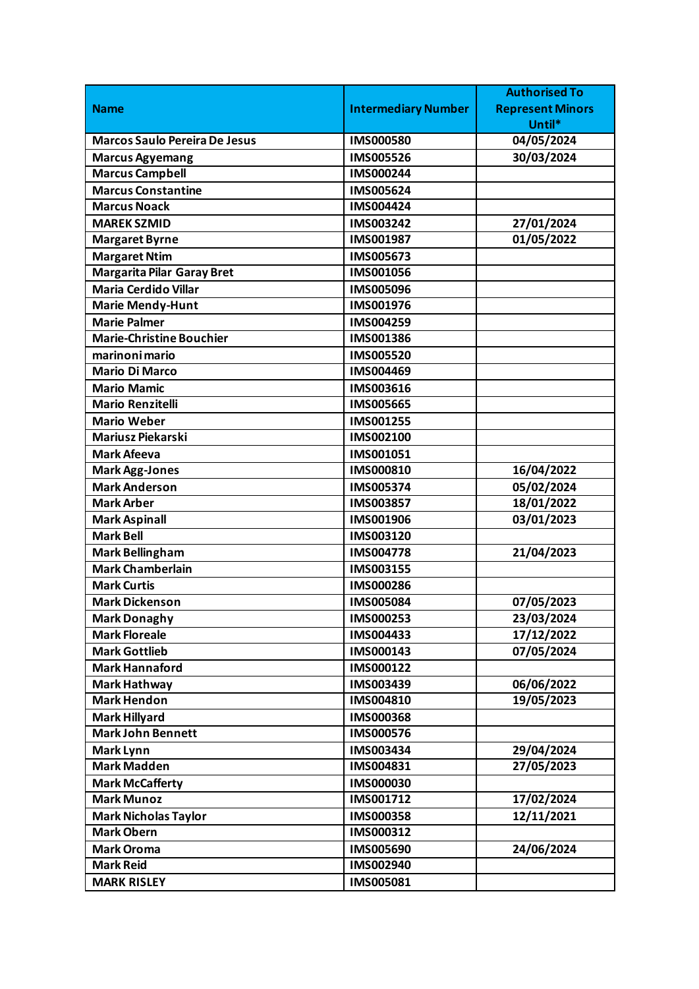|                                      |                            | <b>Authorised To</b>    |
|--------------------------------------|----------------------------|-------------------------|
| <b>Name</b>                          | <b>Intermediary Number</b> | <b>Represent Minors</b> |
|                                      |                            | Until*                  |
| <b>Marcos Saulo Pereira De Jesus</b> | <b>IMS000580</b>           | 04/05/2024              |
| <b>Marcus Agyemang</b>               | <b>IMS005526</b>           | 30/03/2024              |
| <b>Marcus Campbell</b>               | IMS000244                  |                         |
| <b>Marcus Constantine</b>            | IMS005624                  |                         |
| <b>Marcus Noack</b>                  | IMS004424                  |                         |
| <b>MAREK SZMID</b>                   | IMS003242                  | 27/01/2024              |
| <b>Margaret Byrne</b>                | IMS001987                  | 01/05/2022              |
| <b>Margaret Ntim</b>                 | <b>IMS005673</b>           |                         |
| <b>Margarita Pilar Garay Bret</b>    | IMS001056                  |                         |
| <b>Maria Cerdido Villar</b>          | <b>IMS005096</b>           |                         |
| <b>Marie Mendy-Hunt</b>              | IMS001976                  |                         |
| <b>Marie Palmer</b>                  | IMS004259                  |                         |
| <b>Marie-Christine Bouchier</b>      | IMS001386                  |                         |
| marinoni mario                       | <b>IMS005520</b>           |                         |
| <b>Mario Di Marco</b>                | IMS004469                  |                         |
| <b>Mario Mamic</b>                   | IMS003616                  |                         |
| <b>Mario Renzitelli</b>              | <b>IMS005665</b>           |                         |
| <b>Mario Weber</b>                   | IMS001255                  |                         |
| Mariusz Piekarski                    | IMS002100                  |                         |
| <b>Mark Afeeva</b>                   | IMS001051                  |                         |
| <b>Mark Agg-Jones</b>                | IMS000810                  | 16/04/2022              |
| <b>Mark Anderson</b>                 | IMS005374                  | 05/02/2024              |
| <b>Mark Arber</b>                    | IMS003857                  | 18/01/2022              |
| <b>Mark Aspinall</b>                 | IMS001906                  | 03/01/2023              |
| <b>Mark Bell</b>                     | IMS003120                  |                         |
| <b>Mark Bellingham</b>               | <b>IMS004778</b>           | 21/04/2023              |
| <b>Mark Chamberlain</b>              | IMS003155                  |                         |
| <b>Mark Curtis</b>                   | IMS000286                  |                         |
| <b>Mark Dickenson</b>                | <b>IMS005084</b>           | 07/05/2023              |
| <b>Mark Donaghy</b>                  | IMS000253                  | 23/03/2024              |
| <b>Mark Floreale</b>                 | IMS004433                  | 17/12/2022              |
| <b>Mark Gottlieb</b>                 | IMS000143                  | 07/05/2024              |
| <b>Mark Hannaford</b>                | IMS000122                  |                         |
| <b>Mark Hathway</b>                  | IMS003439                  | 06/06/2022              |
| <b>Mark Hendon</b>                   | IMS004810                  | 19/05/2023              |
| <b>Mark Hillyard</b>                 | <b>IMS000368</b>           |                         |
| <b>Mark John Bennett</b>             | IMS000576                  |                         |
| Mark Lynn                            | IMS003434                  | 29/04/2024              |
| <b>Mark Madden</b>                   | IMS004831                  | 27/05/2023              |
| <b>Mark McCafferty</b>               | IMS000030                  |                         |
| <b>Mark Munoz</b>                    | IMS001712                  | 17/02/2024              |
| <b>Mark Nicholas Taylor</b>          | <b>IMS000358</b>           | 12/11/2021              |
| <b>Mark Obern</b>                    | IMS000312                  |                         |
| <b>Mark Oroma</b>                    | <b>IMS005690</b>           | 24/06/2024              |
| <b>Mark Reid</b>                     | IMS002940                  |                         |
| <b>MARK RISLEY</b>                   | IMS005081                  |                         |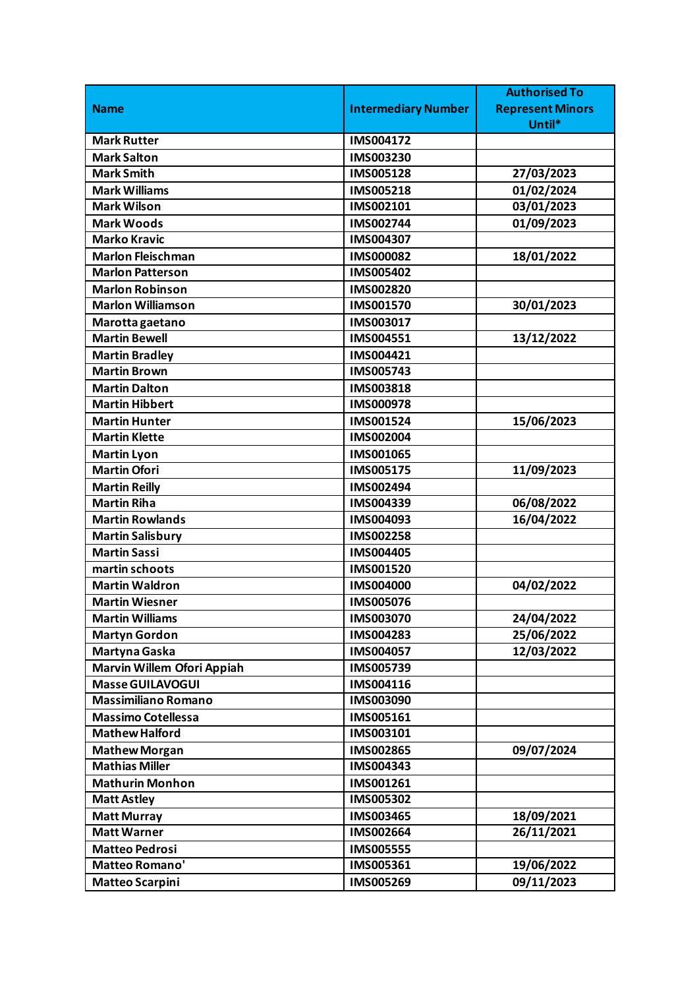|                            |                            | <b>Authorised To</b>    |
|----------------------------|----------------------------|-------------------------|
| <b>Name</b>                | <b>Intermediary Number</b> | <b>Represent Minors</b> |
|                            |                            | Until*                  |
| <b>Mark Rutter</b>         | IMS004172                  |                         |
| <b>Mark Salton</b>         | IMS003230                  |                         |
| <b>Mark Smith</b>          | IMS005128                  | 27/03/2023              |
| <b>Mark Williams</b>       | IMS005218                  | 01/02/2024              |
| <b>Mark Wilson</b>         | IMS002101                  | 03/01/2023              |
| <b>Mark Woods</b>          | IMS002744                  | 01/09/2023              |
| <b>Marko Kravic</b>        | IMS004307                  |                         |
| <b>Marlon Fleischman</b>   | IMS000082                  | 18/01/2022              |
| <b>Marlon Patterson</b>    | IMS005402                  |                         |
| <b>Marlon Robinson</b>     | <b>IMS002820</b>           |                         |
| <b>Marlon Williamson</b>   | IMS001570                  | 30/01/2023              |
| Marotta gaetano            | IMS003017                  |                         |
| <b>Martin Bewell</b>       | IMS004551                  | 13/12/2022              |
| <b>Martin Bradley</b>      | IMS004421                  |                         |
| <b>Martin Brown</b>        | IMS005743                  |                         |
| <b>Martin Dalton</b>       | IMS003818                  |                         |
| <b>Martin Hibbert</b>      | IMS000978                  |                         |
| <b>Martin Hunter</b>       | IMS001524                  | 15/06/2023              |
| <b>Martin Klette</b>       | IMS002004                  |                         |
| <b>Martin Lyon</b>         | IMS001065                  |                         |
| <b>Martin Ofori</b>        | IMS005175                  | 11/09/2023              |
| <b>Martin Reilly</b>       | IMS002494                  |                         |
| <b>Martin Riha</b>         | IMS004339                  | 06/08/2022              |
| <b>Martin Rowlands</b>     | IMS004093                  | 16/04/2022              |
| <b>Martin Salisbury</b>    | <b>IMS002258</b>           |                         |
| <b>Martin Sassi</b>        | IMS004405                  |                         |
| martin schoots             | IMS001520                  |                         |
| <b>Martin Waldron</b>      | <b>IMS004000</b>           | 04/02/2022              |
| <b>Martin Wiesner</b>      | <b>IMS005076</b>           |                         |
| <b>Martin Williams</b>     | IMS003070                  | 24/04/2022              |
| <b>Martyn Gordon</b>       | IMS004283                  | 25/06/2022              |
| Martyna Gaska              | IMS004057                  | 12/03/2022              |
| Marvin Willem Ofori Appiah | IMS005739                  |                         |
| <b>Masse GUILAVOGUI</b>    | IMS004116                  |                         |
| <b>Massimiliano Romano</b> | IMS003090                  |                         |
| <b>Massimo Cotellessa</b>  | IMS005161                  |                         |
| <b>Mathew Halford</b>      | IMS003101                  |                         |
| <b>Mathew Morgan</b>       | IMS002865                  | 09/07/2024              |
| <b>Mathias Miller</b>      | IMS004343                  |                         |
| <b>Mathurin Monhon</b>     | IMS001261                  |                         |
| <b>Matt Astley</b>         | IMS005302                  |                         |
| <b>Matt Murray</b>         | IMS003465                  | 18/09/2021              |
| <b>Matt Warner</b>         | IMS002664                  | 26/11/2021              |
| <b>Matteo Pedrosi</b>      | <b>IMS005555</b>           |                         |
| Matteo Romano'             | IMS005361                  | 19/06/2022              |
| <b>Matteo Scarpini</b>     | IMS005269                  | 09/11/2023              |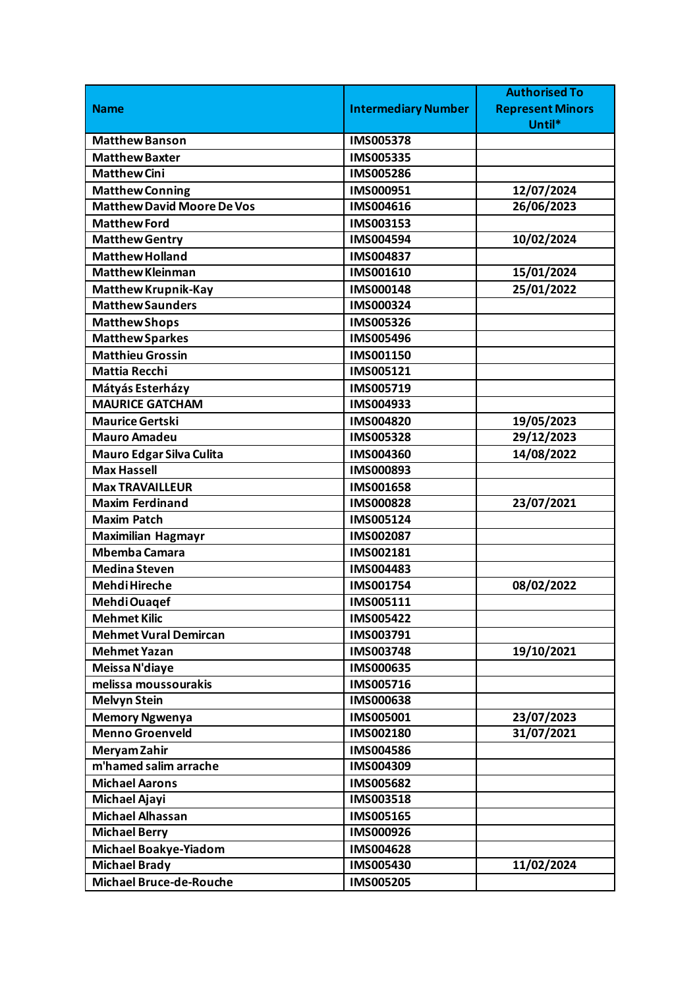|                                   |                            | <b>Authorised To</b>    |
|-----------------------------------|----------------------------|-------------------------|
| <b>Name</b>                       | <b>Intermediary Number</b> | <b>Represent Minors</b> |
|                                   |                            | Until*                  |
| Matthew Banson                    | <b>IMS005378</b>           |                         |
| <b>Matthew Baxter</b>             | IMS005335                  |                         |
| Matthew Cini                      | IMS005286                  |                         |
| <b>Matthew Conning</b>            | IMS000951                  | 12/07/2024              |
| <b>Matthew David Moore De Vos</b> | IMS004616                  | 26/06/2023              |
| <b>Matthew Ford</b>               | IMS003153                  |                         |
| <b>Matthew Gentry</b>             | IMS004594                  | 10/02/2024              |
| <b>Matthew Holland</b>            | IMS004837                  |                         |
| <b>Matthew Kleinman</b>           | IMS001610                  | 15/01/2024              |
| <b>Matthew Krupnik-Kay</b>        | <b>IMS000148</b>           | 25/01/2022              |
| <b>Matthew Saunders</b>           | IMS000324                  |                         |
| <b>Matthew Shops</b>              | IMS005326                  |                         |
| <b>Matthew Sparkes</b>            | IMS005496                  |                         |
| <b>Matthieu Grossin</b>           | IMS001150                  |                         |
| <b>Mattia Recchi</b>              | IMS005121                  |                         |
| Mátyás Esterházy                  | IMS005719                  |                         |
| <b>MAURICE GATCHAM</b>            | IMS004933                  |                         |
| <b>Maurice Gertski</b>            | IMS004820                  | 19/05/2023              |
| <b>Mauro Amadeu</b>               | IMS005328                  | 29/12/2023              |
| Mauro Edgar Silva Culita          | IMS004360                  | 14/08/2022              |
| <b>Max Hassell</b>                | IMS000893                  |                         |
| <b>Max TRAVAILLEUR</b>            | IMS001658                  |                         |
| <b>Maxim Ferdinand</b>            | <b>IMS000828</b>           | 23/07/2021              |
| <b>Maxim Patch</b>                | IMS005124                  |                         |
| <b>Maximilian Hagmayr</b>         | IMS002087                  |                         |
| <b>Mbemba Camara</b>              | IMS002181                  |                         |
| <b>Medina Steven</b>              | IMS004483                  |                         |
| <b>Mehdi Hireche</b>              | IMS001754                  | 08/02/2022              |
| Mehdi Ouagef                      | IMS005111                  |                         |
| <b>Mehmet Kilic</b>               | IMS005422                  |                         |
| <b>Mehmet Vural Demircan</b>      | IMS003791                  |                         |
| <b>Mehmet Yazan</b>               | IMS003748                  | 19/10/2021              |
| Meissa N'diaye                    | IMS000635                  |                         |
| melissa moussourakis              | IMS005716                  |                         |
| <b>Melvyn Stein</b>               | <b>IMS000638</b>           |                         |
| <b>Memory Ngwenya</b>             | IMS005001                  | 23/07/2023              |
| <b>Menno Groenveld</b>            | IMS002180                  | 31/07/2021              |
| Meryam Zahir                      | <b>IMS004586</b>           |                         |
| m'hamed salim arrache             | IMS004309                  |                         |
| <b>Michael Aarons</b>             | <b>IMS005682</b>           |                         |
| Michael Ajayi                     | IMS003518                  |                         |
| <b>Michael Alhassan</b>           | IMS005165                  |                         |
| <b>Michael Berry</b>              | IMS000926                  |                         |
| <b>Michael Boakye-Yiadom</b>      | IMS004628                  |                         |
| <b>Michael Brady</b>              | IMS005430                  | 11/02/2024              |
| <b>Michael Bruce-de-Rouche</b>    | <b>IMS005205</b>           |                         |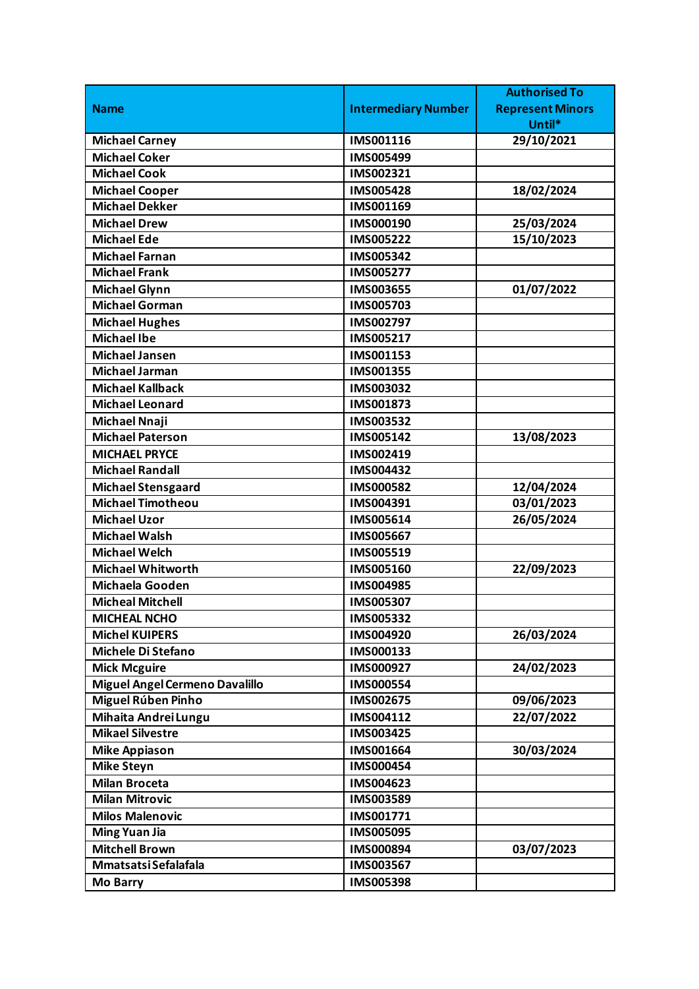|                                |                            | <b>Authorised To</b>    |
|--------------------------------|----------------------------|-------------------------|
| <b>Name</b>                    | <b>Intermediary Number</b> | <b>Represent Minors</b> |
|                                |                            | Until*                  |
| <b>Michael Carney</b>          | IMS001116                  | 29/10/2021              |
| <b>Michael Coker</b>           | IMS005499                  |                         |
| <b>Michael Cook</b>            | IMS002321                  |                         |
| <b>Michael Cooper</b>          | <b>IMS005428</b>           | 18/02/2024              |
| <b>Michael Dekker</b>          | IMS001169                  |                         |
| <b>Michael Drew</b>            | IMS000190                  | 25/03/2024              |
| <b>Michael Ede</b>             | <b>IMS005222</b>           | 15/10/2023              |
| <b>Michael Farnan</b>          | IMS005342                  |                         |
| <b>Michael Frank</b>           | IMS005277                  |                         |
| <b>Michael Glynn</b>           | <b>IMS003655</b>           | 01/07/2022              |
| <b>Michael Gorman</b>          | IMS005703                  |                         |
| <b>Michael Hughes</b>          | IMS002797                  |                         |
| <b>Michael Ibe</b>             | IMS005217                  |                         |
| <b>Michael Jansen</b>          | IMS001153                  |                         |
| <b>Michael Jarman</b>          | IMS001355                  |                         |
| <b>Michael Kallback</b>        | IMS003032                  |                         |
| <b>Michael Leonard</b>         | IMS001873                  |                         |
| <b>Michael Nnaji</b>           | IMS003532                  |                         |
| <b>Michael Paterson</b>        | IMS005142                  | 13/08/2023              |
| <b>MICHAEL PRYCE</b>           | IMS002419                  |                         |
| <b>Michael Randall</b>         | IMS004432                  |                         |
| <b>Michael Stensgaard</b>      | <b>IMS000582</b>           | 12/04/2024              |
| <b>Michael Timotheou</b>       | IMS004391                  | 03/01/2023              |
| <b>Michael Uzor</b>            | IMS005614                  | 26/05/2024              |
| <b>Michael Walsh</b>           | <b>IMS005667</b>           |                         |
| <b>Michael Welch</b>           | IMS005519                  |                         |
| <b>Michael Whitworth</b>       | IMS005160                  | 22/09/2023              |
| Michaela Gooden                | IMS004985                  |                         |
| <b>Micheal Mitchell</b>        | <b>IMS005307</b>           |                         |
| <b>MICHEAL NCHO</b>            | IMS005332                  |                         |
| <b>Michel KUIPERS</b>          | IMS004920                  | 26/03/2024              |
| Michele Di Stefano             | IMS000133                  |                         |
| <b>Mick Mcguire</b>            | IMS000927                  | 24/02/2023              |
| Miguel Angel Cermeno Davalillo | <b>IMS000554</b>           |                         |
| Miguel Rúben Pinho             | IMS002675                  | 09/06/2023              |
| Mihaita Andrei Lungu           | IMS004112                  | 22/07/2022              |
| <b>Mikael Silvestre</b>        | <b>IMS003425</b>           |                         |
| <b>Mike Appiason</b>           | IMS001664                  | 30/03/2024              |
| <b>Mike Steyn</b>              | IMS000454                  |                         |
| <b>Milan Broceta</b>           | IMS004623                  |                         |
| <b>Milan Mitrovic</b>          | IMS003589                  |                         |
| <b>Milos Malenovic</b>         | IMS001771                  |                         |
| <b>Ming Yuan Jia</b>           | <b>IMS005095</b>           |                         |
| <b>Mitchell Brown</b>          | IMS000894                  | 03/07/2023              |
| Mmatsatsi Sefalafala           | IMS003567                  |                         |
| <b>Mo Barry</b>                | IMS005398                  |                         |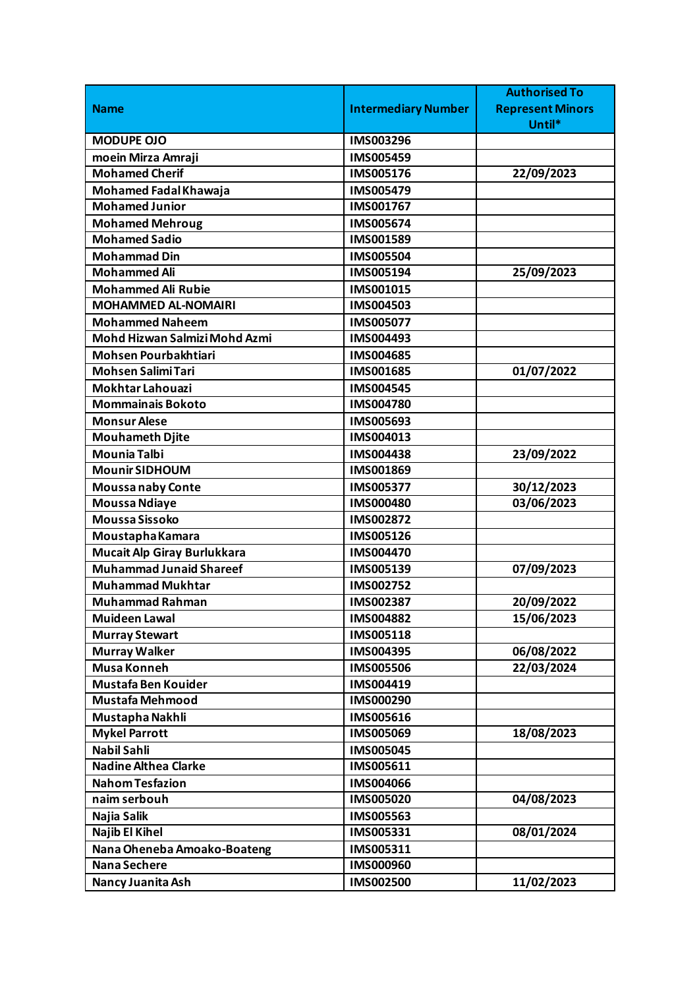|                                |                            | <b>Authorised To</b>    |
|--------------------------------|----------------------------|-------------------------|
| <b>Name</b>                    | <b>Intermediary Number</b> | <b>Represent Minors</b> |
|                                |                            | Until*                  |
| <b>MODUPE OJO</b>              | IMS003296                  |                         |
| moein Mirza Amraji             | <b>IMS005459</b>           |                         |
| <b>Mohamed Cherif</b>          | IMS005176                  | 22/09/2023              |
| Mohamed Fadal Khawaja          | IMS005479                  |                         |
| <b>Mohamed Junior</b>          | IMS001767                  |                         |
| <b>Mohamed Mehroug</b>         | IMS005674                  |                         |
| <b>Mohamed Sadio</b>           | IMS001589                  |                         |
| <b>Mohammad Din</b>            | IMS005504                  |                         |
| <b>Mohammed Ali</b>            | IMS005194                  | 25/09/2023              |
| <b>Mohammed Ali Rubie</b>      | IMS001015                  |                         |
| <b>MOHAMMED AL-NOMAIRI</b>     | IMS004503                  |                         |
| <b>Mohammed Naheem</b>         | <b>IMS005077</b>           |                         |
| Mohd Hizwan Salmizi Mohd Azmi  | IMS004493                  |                         |
| Mohsen Pourbakhtiari           | IMS004685                  |                         |
| <b>Mohsen Salimi Tari</b>      | IMS001685                  | 01/07/2022              |
| <b>Mokhtar Lahouazi</b>        | <b>IMS004545</b>           |                         |
| <b>Mommainais Bokoto</b>       | <b>IMS004780</b>           |                         |
| <b>Monsur Alese</b>            | IMS005693                  |                         |
| <b>Mouhameth Djite</b>         | IMS004013                  |                         |
| <b>Mounia Talbi</b>            | IMS004438                  | 23/09/2022              |
| <b>Mounir SIDHOUM</b>          | IMS001869                  |                         |
| <b>Moussanaby Conte</b>        | IMS005377                  | 30/12/2023              |
| <b>Moussa Ndiaye</b>           | IMS000480                  | 03/06/2023              |
| <b>Moussa Sissoko</b>          | IMS002872                  |                         |
| Moustapha Kamara               | IMS005126                  |                         |
| Mucait Alp Giray Burlukkara    | IMS004470                  |                         |
| <b>Muhammad Junaid Shareef</b> | IMS005139                  | 07/09/2023              |
| <b>Muhammad Mukhtar</b>        | IMS002752                  |                         |
| <b>Muhammad Rahman</b>         | IMS002387                  | 20/09/2022              |
| <b>Muideen Lawal</b>           | IMS004882                  | 15/06/2023              |
| <b>Murray Stewart</b>          | IMS005118                  |                         |
| <b>Murray Walker</b>           | IMS004395                  | 06/08/2022              |
| <b>Musa Konneh</b>             | <b>IMS005506</b>           | 22/03/2024              |
| Mustafa Ben Kouider            | IMS004419                  |                         |
| <b>Mustafa Mehmood</b>         | IMS000290                  |                         |
| Mustapha Nakhli                | IMS005616                  |                         |
| <b>Mykel Parrott</b>           | IMS005069                  | 18/08/2023              |
| <b>Nabil Sahli</b>             | IMS005045                  |                         |
| <b>Nadine Althea Clarke</b>    | IMS005611                  |                         |
| <b>Nahom Tesfazion</b>         | IMS004066                  |                         |
| naim serbouh                   | IMS005020                  | 04/08/2023              |
| Najia Salik                    | IMS005563                  |                         |
| Najib El Kihel                 | IMS005331                  | 08/01/2024              |
| Nana Oheneba Amoako-Boateng    | IMS005311                  |                         |
| <b>Nana Sechere</b>            | IMS000960                  |                         |
| Nancy Juanita Ash              | IMS002500                  | 11/02/2023              |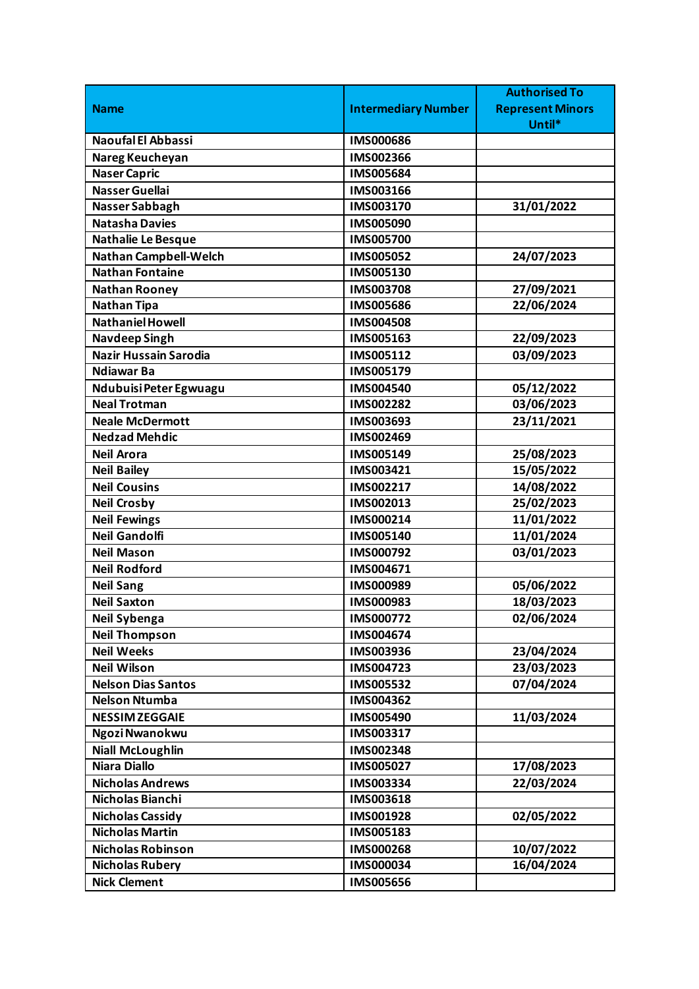|                              |                            | <b>Authorised To</b>    |
|------------------------------|----------------------------|-------------------------|
| <b>Name</b>                  | <b>Intermediary Number</b> | <b>Represent Minors</b> |
|                              |                            | Until*                  |
| <b>Naoufal El Abbassi</b>    | <b>IMS000686</b>           |                         |
| Nareg Keucheyan              | IMS002366                  |                         |
| <b>Naser Capric</b>          | IMS005684                  |                         |
| <b>Nasser Guellai</b>        | IMS003166                  |                         |
| Nasser Sabbagh               | IMS003170                  | 31/01/2022              |
| <b>Natasha Davies</b>        | IMS005090                  |                         |
| Nathalie Le Besque           | IMS005700                  |                         |
| <b>Nathan Campbell-Welch</b> | IMS005052                  | 24/07/2023              |
| <b>Nathan Fontaine</b>       | IMS005130                  |                         |
| <b>Nathan Rooney</b>         | <b>IMS003708</b>           | 27/09/2021              |
| <b>Nathan Tipa</b>           | <b>IMS005686</b>           | 22/06/2024              |
| <b>Nathaniel Howell</b>      | <b>IMS004508</b>           |                         |
| <b>Navdeep Singh</b>         | IMS005163                  | 22/09/2023              |
| <b>Nazir Hussain Sarodia</b> | IMS005112                  | 03/09/2023              |
| <b>Ndiawar Ba</b>            | IMS005179                  |                         |
| Ndubuisi Peter Egwuagu       | IMS004540                  | 05/12/2022              |
| <b>Neal Trotman</b>          | IMS002282                  | 03/06/2023              |
| <b>Neale McDermott</b>       | IMS003693                  | 23/11/2021              |
| <b>Nedzad Mehdic</b>         | IMS002469                  |                         |
| <b>Neil Arora</b>            | IMS005149                  | 25/08/2023              |
| <b>Neil Bailey</b>           | IMS003421                  | 15/05/2022              |
| <b>Neil Cousins</b>          | IMS002217                  | 14/08/2022              |
| <b>Neil Crosby</b>           | IMS002013                  | 25/02/2023              |
| <b>Neil Fewings</b>          | IMS000214                  | 11/01/2022              |
| <b>Neil Gandolfi</b>         | IMS005140                  | 11/01/2024              |
| <b>Neil Mason</b>            | IMS000792                  | 03/01/2023              |
| <b>Neil Rodford</b>          | IMS004671                  |                         |
| <b>Neil Sang</b>             | IMS000989                  | 05/06/2022              |
| <b>Neil Saxton</b>           | IMS000983                  | 18/03/2023              |
| Neil Sybenga                 | IMS000772                  | 02/06/2024              |
| <b>Neil Thompson</b>         | IMS004674                  |                         |
| <b>Neil Weeks</b>            | IMS003936                  | 23/04/2024              |
| <b>Neil Wilson</b>           | IMS004723                  | 23/03/2023              |
| <b>Nelson Dias Santos</b>    | IMS005532                  | 07/04/2024              |
| <b>Nelson Ntumba</b>         | IMS004362                  |                         |
| <b>NESSIM ZEGGAIE</b>        | IMS005490                  | 11/03/2024              |
| Ngozi Nwanokwu               | IMS003317                  |                         |
| <b>Niall McLoughlin</b>      | IMS002348                  |                         |
| <b>Niara Diallo</b>          | IMS005027                  | 17/08/2023              |
| <b>Nicholas Andrews</b>      | IMS003334                  | 22/03/2024              |
| Nicholas Bianchi             | IMS003618                  |                         |
| <b>Nicholas Cassidy</b>      | IMS001928                  | 02/05/2022              |
| <b>Nicholas Martin</b>       | IMS005183                  |                         |
| <b>Nicholas Robinson</b>     | IMS000268                  | 10/07/2022              |
| <b>Nicholas Rubery</b>       | IMS000034                  | 16/04/2024              |
| <b>Nick Clement</b>          | IMS005656                  |                         |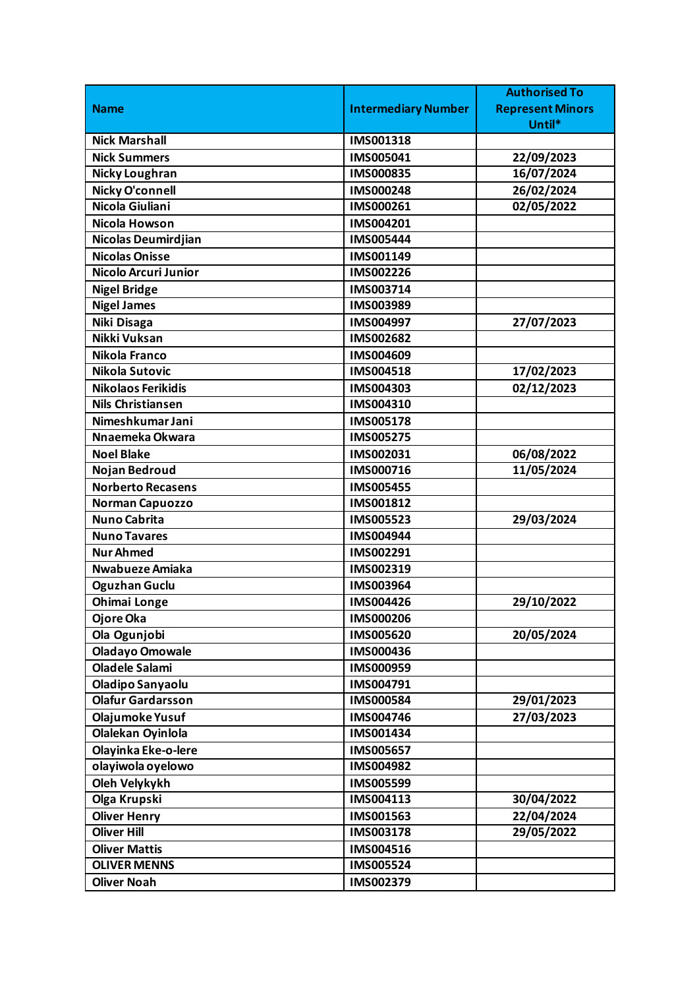| <b>Intermediary Number</b><br><b>Represent Minors</b><br><b>Name</b><br>Until*<br><b>Nick Marshall</b><br>IMS001318<br>IMS005041<br>22/09/2023<br><b>Nick Summers</b><br>16/07/2024<br><b>Nicky Loughran</b><br>IMS000835<br>Nicky O'connell<br>26/02/2024<br><b>IMS000248</b><br>Nicola Giuliani<br>02/05/2022<br>IMS000261<br><b>Nicola Howson</b><br>IMS004201<br>Nicolas Deumirdjian<br><b>IMS005444</b><br><b>Nicolas Onisse</b><br>IMS001149<br>Nicolo Arcuri Junior<br>IMS002226<br><b>Nigel Bridge</b><br>IMS003714<br><b>Nigel James</b><br>IMS003989<br>Niki Disaga<br>27/07/2023<br>IMS004997<br>Nikki Vuksan<br>IMS002682<br>Nikola Franco<br>IMS004609<br>17/02/2023<br>Nikola Sutovic<br>IMS004518<br><b>Nikolaos Ferikidis</b><br>IMS004303<br>02/12/2023<br><b>Nils Christiansen</b><br>IMS004310<br>Nimeshkumar Jani<br><b>IMS005178</b><br>Nnaemeka Okwara<br><b>IMS005275</b><br>06/08/2022<br><b>Noel Blake</b><br>IMS002031<br>11/05/2024<br>Nojan Bedroud<br>IMS000716<br><b>Norberto Recasens</b><br><b>IMS005455</b><br>IMS001812<br>Norman Capuozzo<br><b>Nuno Cabrita</b><br>IMS005523<br>29/03/2024<br><b>Nuno Tavares</b><br><b>IMS004944</b><br><b>Nur Ahmed</b><br>IMS002291<br>Nwabueze Amiaka<br>IMS002319<br><b>Oguzhan Guclu</b><br>IMS003964<br><b>Ohimai Longe</b><br>IMS004426<br>29/10/2022<br>Ojore Oka<br>IMS000206<br>Ola Ogunjobi<br>20/05/2024<br>IMS005620<br><b>Oladayo Omowale</b><br>IMS000436<br><b>Oladele Salami</b><br>IMS000959<br><b>Oladipo Sanyaolu</b><br>IMS004791<br><b>Olafur Gardarsson</b><br>IMS000584<br>29/01/2023<br>Olajumoke Yusuf<br>27/03/2023<br>IMS004746<br>Olalekan Oyinlola<br>IMS001434<br>Olayinka Eke-o-lere<br>IMS005657<br>olayiwola oyelowo<br>IMS004982<br>Oleh Velykykh<br>IMS005599<br>Olga Krupski<br>IMS004113<br>30/04/2022<br>22/04/2024<br><b>Oliver Henry</b><br>IMS001563<br><b>Oliver Hill</b><br>29/05/2022<br>IMS003178<br><b>Oliver Mattis</b><br>IMS004516<br><b>OLIVER MENNS</b><br>IMS005524<br><b>Oliver Noah</b><br>IMS002379 |  | <b>Authorised To</b> |
|----------------------------------------------------------------------------------------------------------------------------------------------------------------------------------------------------------------------------------------------------------------------------------------------------------------------------------------------------------------------------------------------------------------------------------------------------------------------------------------------------------------------------------------------------------------------------------------------------------------------------------------------------------------------------------------------------------------------------------------------------------------------------------------------------------------------------------------------------------------------------------------------------------------------------------------------------------------------------------------------------------------------------------------------------------------------------------------------------------------------------------------------------------------------------------------------------------------------------------------------------------------------------------------------------------------------------------------------------------------------------------------------------------------------------------------------------------------------------------------------------------------------------------------------------------------------------------------------------------------------------------------------------------------------------------------------------------------------------------------------------------------------------------------------------------------------------------------------------------------------------------------------------------------------------------------------------------------------------------------------------------------------------------|--|----------------------|
|                                                                                                                                                                                                                                                                                                                                                                                                                                                                                                                                                                                                                                                                                                                                                                                                                                                                                                                                                                                                                                                                                                                                                                                                                                                                                                                                                                                                                                                                                                                                                                                                                                                                                                                                                                                                                                                                                                                                                                                                                                  |  |                      |
|                                                                                                                                                                                                                                                                                                                                                                                                                                                                                                                                                                                                                                                                                                                                                                                                                                                                                                                                                                                                                                                                                                                                                                                                                                                                                                                                                                                                                                                                                                                                                                                                                                                                                                                                                                                                                                                                                                                                                                                                                                  |  |                      |
|                                                                                                                                                                                                                                                                                                                                                                                                                                                                                                                                                                                                                                                                                                                                                                                                                                                                                                                                                                                                                                                                                                                                                                                                                                                                                                                                                                                                                                                                                                                                                                                                                                                                                                                                                                                                                                                                                                                                                                                                                                  |  |                      |
|                                                                                                                                                                                                                                                                                                                                                                                                                                                                                                                                                                                                                                                                                                                                                                                                                                                                                                                                                                                                                                                                                                                                                                                                                                                                                                                                                                                                                                                                                                                                                                                                                                                                                                                                                                                                                                                                                                                                                                                                                                  |  |                      |
|                                                                                                                                                                                                                                                                                                                                                                                                                                                                                                                                                                                                                                                                                                                                                                                                                                                                                                                                                                                                                                                                                                                                                                                                                                                                                                                                                                                                                                                                                                                                                                                                                                                                                                                                                                                                                                                                                                                                                                                                                                  |  |                      |
|                                                                                                                                                                                                                                                                                                                                                                                                                                                                                                                                                                                                                                                                                                                                                                                                                                                                                                                                                                                                                                                                                                                                                                                                                                                                                                                                                                                                                                                                                                                                                                                                                                                                                                                                                                                                                                                                                                                                                                                                                                  |  |                      |
|                                                                                                                                                                                                                                                                                                                                                                                                                                                                                                                                                                                                                                                                                                                                                                                                                                                                                                                                                                                                                                                                                                                                                                                                                                                                                                                                                                                                                                                                                                                                                                                                                                                                                                                                                                                                                                                                                                                                                                                                                                  |  |                      |
|                                                                                                                                                                                                                                                                                                                                                                                                                                                                                                                                                                                                                                                                                                                                                                                                                                                                                                                                                                                                                                                                                                                                                                                                                                                                                                                                                                                                                                                                                                                                                                                                                                                                                                                                                                                                                                                                                                                                                                                                                                  |  |                      |
|                                                                                                                                                                                                                                                                                                                                                                                                                                                                                                                                                                                                                                                                                                                                                                                                                                                                                                                                                                                                                                                                                                                                                                                                                                                                                                                                                                                                                                                                                                                                                                                                                                                                                                                                                                                                                                                                                                                                                                                                                                  |  |                      |
|                                                                                                                                                                                                                                                                                                                                                                                                                                                                                                                                                                                                                                                                                                                                                                                                                                                                                                                                                                                                                                                                                                                                                                                                                                                                                                                                                                                                                                                                                                                                                                                                                                                                                                                                                                                                                                                                                                                                                                                                                                  |  |                      |
|                                                                                                                                                                                                                                                                                                                                                                                                                                                                                                                                                                                                                                                                                                                                                                                                                                                                                                                                                                                                                                                                                                                                                                                                                                                                                                                                                                                                                                                                                                                                                                                                                                                                                                                                                                                                                                                                                                                                                                                                                                  |  |                      |
|                                                                                                                                                                                                                                                                                                                                                                                                                                                                                                                                                                                                                                                                                                                                                                                                                                                                                                                                                                                                                                                                                                                                                                                                                                                                                                                                                                                                                                                                                                                                                                                                                                                                                                                                                                                                                                                                                                                                                                                                                                  |  |                      |
|                                                                                                                                                                                                                                                                                                                                                                                                                                                                                                                                                                                                                                                                                                                                                                                                                                                                                                                                                                                                                                                                                                                                                                                                                                                                                                                                                                                                                                                                                                                                                                                                                                                                                                                                                                                                                                                                                                                                                                                                                                  |  |                      |
|                                                                                                                                                                                                                                                                                                                                                                                                                                                                                                                                                                                                                                                                                                                                                                                                                                                                                                                                                                                                                                                                                                                                                                                                                                                                                                                                                                                                                                                                                                                                                                                                                                                                                                                                                                                                                                                                                                                                                                                                                                  |  |                      |
|                                                                                                                                                                                                                                                                                                                                                                                                                                                                                                                                                                                                                                                                                                                                                                                                                                                                                                                                                                                                                                                                                                                                                                                                                                                                                                                                                                                                                                                                                                                                                                                                                                                                                                                                                                                                                                                                                                                                                                                                                                  |  |                      |
|                                                                                                                                                                                                                                                                                                                                                                                                                                                                                                                                                                                                                                                                                                                                                                                                                                                                                                                                                                                                                                                                                                                                                                                                                                                                                                                                                                                                                                                                                                                                                                                                                                                                                                                                                                                                                                                                                                                                                                                                                                  |  |                      |
|                                                                                                                                                                                                                                                                                                                                                                                                                                                                                                                                                                                                                                                                                                                                                                                                                                                                                                                                                                                                                                                                                                                                                                                                                                                                                                                                                                                                                                                                                                                                                                                                                                                                                                                                                                                                                                                                                                                                                                                                                                  |  |                      |
|                                                                                                                                                                                                                                                                                                                                                                                                                                                                                                                                                                                                                                                                                                                                                                                                                                                                                                                                                                                                                                                                                                                                                                                                                                                                                                                                                                                                                                                                                                                                                                                                                                                                                                                                                                                                                                                                                                                                                                                                                                  |  |                      |
|                                                                                                                                                                                                                                                                                                                                                                                                                                                                                                                                                                                                                                                                                                                                                                                                                                                                                                                                                                                                                                                                                                                                                                                                                                                                                                                                                                                                                                                                                                                                                                                                                                                                                                                                                                                                                                                                                                                                                                                                                                  |  |                      |
|                                                                                                                                                                                                                                                                                                                                                                                                                                                                                                                                                                                                                                                                                                                                                                                                                                                                                                                                                                                                                                                                                                                                                                                                                                                                                                                                                                                                                                                                                                                                                                                                                                                                                                                                                                                                                                                                                                                                                                                                                                  |  |                      |
|                                                                                                                                                                                                                                                                                                                                                                                                                                                                                                                                                                                                                                                                                                                                                                                                                                                                                                                                                                                                                                                                                                                                                                                                                                                                                                                                                                                                                                                                                                                                                                                                                                                                                                                                                                                                                                                                                                                                                                                                                                  |  |                      |
|                                                                                                                                                                                                                                                                                                                                                                                                                                                                                                                                                                                                                                                                                                                                                                                                                                                                                                                                                                                                                                                                                                                                                                                                                                                                                                                                                                                                                                                                                                                                                                                                                                                                                                                                                                                                                                                                                                                                                                                                                                  |  |                      |
|                                                                                                                                                                                                                                                                                                                                                                                                                                                                                                                                                                                                                                                                                                                                                                                                                                                                                                                                                                                                                                                                                                                                                                                                                                                                                                                                                                                                                                                                                                                                                                                                                                                                                                                                                                                                                                                                                                                                                                                                                                  |  |                      |
|                                                                                                                                                                                                                                                                                                                                                                                                                                                                                                                                                                                                                                                                                                                                                                                                                                                                                                                                                                                                                                                                                                                                                                                                                                                                                                                                                                                                                                                                                                                                                                                                                                                                                                                                                                                                                                                                                                                                                                                                                                  |  |                      |
|                                                                                                                                                                                                                                                                                                                                                                                                                                                                                                                                                                                                                                                                                                                                                                                                                                                                                                                                                                                                                                                                                                                                                                                                                                                                                                                                                                                                                                                                                                                                                                                                                                                                                                                                                                                                                                                                                                                                                                                                                                  |  |                      |
|                                                                                                                                                                                                                                                                                                                                                                                                                                                                                                                                                                                                                                                                                                                                                                                                                                                                                                                                                                                                                                                                                                                                                                                                                                                                                                                                                                                                                                                                                                                                                                                                                                                                                                                                                                                                                                                                                                                                                                                                                                  |  |                      |
|                                                                                                                                                                                                                                                                                                                                                                                                                                                                                                                                                                                                                                                                                                                                                                                                                                                                                                                                                                                                                                                                                                                                                                                                                                                                                                                                                                                                                                                                                                                                                                                                                                                                                                                                                                                                                                                                                                                                                                                                                                  |  |                      |
|                                                                                                                                                                                                                                                                                                                                                                                                                                                                                                                                                                                                                                                                                                                                                                                                                                                                                                                                                                                                                                                                                                                                                                                                                                                                                                                                                                                                                                                                                                                                                                                                                                                                                                                                                                                                                                                                                                                                                                                                                                  |  |                      |
|                                                                                                                                                                                                                                                                                                                                                                                                                                                                                                                                                                                                                                                                                                                                                                                                                                                                                                                                                                                                                                                                                                                                                                                                                                                                                                                                                                                                                                                                                                                                                                                                                                                                                                                                                                                                                                                                                                                                                                                                                                  |  |                      |
|                                                                                                                                                                                                                                                                                                                                                                                                                                                                                                                                                                                                                                                                                                                                                                                                                                                                                                                                                                                                                                                                                                                                                                                                                                                                                                                                                                                                                                                                                                                                                                                                                                                                                                                                                                                                                                                                                                                                                                                                                                  |  |                      |
|                                                                                                                                                                                                                                                                                                                                                                                                                                                                                                                                                                                                                                                                                                                                                                                                                                                                                                                                                                                                                                                                                                                                                                                                                                                                                                                                                                                                                                                                                                                                                                                                                                                                                                                                                                                                                                                                                                                                                                                                                                  |  |                      |
|                                                                                                                                                                                                                                                                                                                                                                                                                                                                                                                                                                                                                                                                                                                                                                                                                                                                                                                                                                                                                                                                                                                                                                                                                                                                                                                                                                                                                                                                                                                                                                                                                                                                                                                                                                                                                                                                                                                                                                                                                                  |  |                      |
|                                                                                                                                                                                                                                                                                                                                                                                                                                                                                                                                                                                                                                                                                                                                                                                                                                                                                                                                                                                                                                                                                                                                                                                                                                                                                                                                                                                                                                                                                                                                                                                                                                                                                                                                                                                                                                                                                                                                                                                                                                  |  |                      |
|                                                                                                                                                                                                                                                                                                                                                                                                                                                                                                                                                                                                                                                                                                                                                                                                                                                                                                                                                                                                                                                                                                                                                                                                                                                                                                                                                                                                                                                                                                                                                                                                                                                                                                                                                                                                                                                                                                                                                                                                                                  |  |                      |
|                                                                                                                                                                                                                                                                                                                                                                                                                                                                                                                                                                                                                                                                                                                                                                                                                                                                                                                                                                                                                                                                                                                                                                                                                                                                                                                                                                                                                                                                                                                                                                                                                                                                                                                                                                                                                                                                                                                                                                                                                                  |  |                      |
|                                                                                                                                                                                                                                                                                                                                                                                                                                                                                                                                                                                                                                                                                                                                                                                                                                                                                                                                                                                                                                                                                                                                                                                                                                                                                                                                                                                                                                                                                                                                                                                                                                                                                                                                                                                                                                                                                                                                                                                                                                  |  |                      |
|                                                                                                                                                                                                                                                                                                                                                                                                                                                                                                                                                                                                                                                                                                                                                                                                                                                                                                                                                                                                                                                                                                                                                                                                                                                                                                                                                                                                                                                                                                                                                                                                                                                                                                                                                                                                                                                                                                                                                                                                                                  |  |                      |
|                                                                                                                                                                                                                                                                                                                                                                                                                                                                                                                                                                                                                                                                                                                                                                                                                                                                                                                                                                                                                                                                                                                                                                                                                                                                                                                                                                                                                                                                                                                                                                                                                                                                                                                                                                                                                                                                                                                                                                                                                                  |  |                      |
|                                                                                                                                                                                                                                                                                                                                                                                                                                                                                                                                                                                                                                                                                                                                                                                                                                                                                                                                                                                                                                                                                                                                                                                                                                                                                                                                                                                                                                                                                                                                                                                                                                                                                                                                                                                                                                                                                                                                                                                                                                  |  |                      |
|                                                                                                                                                                                                                                                                                                                                                                                                                                                                                                                                                                                                                                                                                                                                                                                                                                                                                                                                                                                                                                                                                                                                                                                                                                                                                                                                                                                                                                                                                                                                                                                                                                                                                                                                                                                                                                                                                                                                                                                                                                  |  |                      |
|                                                                                                                                                                                                                                                                                                                                                                                                                                                                                                                                                                                                                                                                                                                                                                                                                                                                                                                                                                                                                                                                                                                                                                                                                                                                                                                                                                                                                                                                                                                                                                                                                                                                                                                                                                                                                                                                                                                                                                                                                                  |  |                      |
|                                                                                                                                                                                                                                                                                                                                                                                                                                                                                                                                                                                                                                                                                                                                                                                                                                                                                                                                                                                                                                                                                                                                                                                                                                                                                                                                                                                                                                                                                                                                                                                                                                                                                                                                                                                                                                                                                                                                                                                                                                  |  |                      |
|                                                                                                                                                                                                                                                                                                                                                                                                                                                                                                                                                                                                                                                                                                                                                                                                                                                                                                                                                                                                                                                                                                                                                                                                                                                                                                                                                                                                                                                                                                                                                                                                                                                                                                                                                                                                                                                                                                                                                                                                                                  |  |                      |
|                                                                                                                                                                                                                                                                                                                                                                                                                                                                                                                                                                                                                                                                                                                                                                                                                                                                                                                                                                                                                                                                                                                                                                                                                                                                                                                                                                                                                                                                                                                                                                                                                                                                                                                                                                                                                                                                                                                                                                                                                                  |  |                      |
|                                                                                                                                                                                                                                                                                                                                                                                                                                                                                                                                                                                                                                                                                                                                                                                                                                                                                                                                                                                                                                                                                                                                                                                                                                                                                                                                                                                                                                                                                                                                                                                                                                                                                                                                                                                                                                                                                                                                                                                                                                  |  |                      |
|                                                                                                                                                                                                                                                                                                                                                                                                                                                                                                                                                                                                                                                                                                                                                                                                                                                                                                                                                                                                                                                                                                                                                                                                                                                                                                                                                                                                                                                                                                                                                                                                                                                                                                                                                                                                                                                                                                                                                                                                                                  |  |                      |
|                                                                                                                                                                                                                                                                                                                                                                                                                                                                                                                                                                                                                                                                                                                                                                                                                                                                                                                                                                                                                                                                                                                                                                                                                                                                                                                                                                                                                                                                                                                                                                                                                                                                                                                                                                                                                                                                                                                                                                                                                                  |  |                      |
|                                                                                                                                                                                                                                                                                                                                                                                                                                                                                                                                                                                                                                                                                                                                                                                                                                                                                                                                                                                                                                                                                                                                                                                                                                                                                                                                                                                                                                                                                                                                                                                                                                                                                                                                                                                                                                                                                                                                                                                                                                  |  |                      |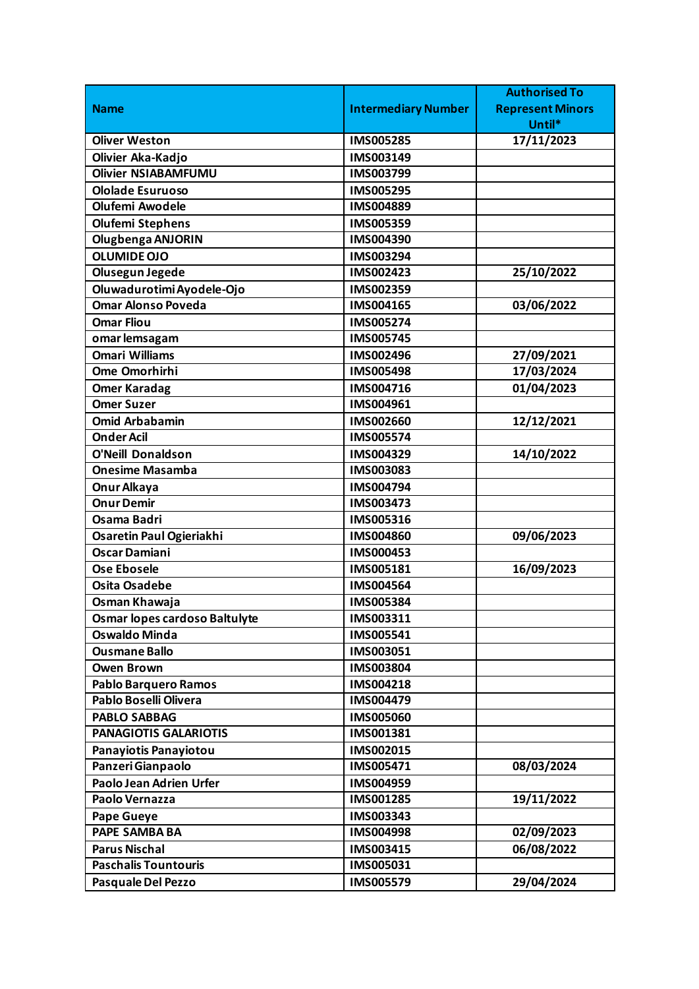|                               |                            | <b>Authorised To</b>    |
|-------------------------------|----------------------------|-------------------------|
| <b>Name</b>                   | <b>Intermediary Number</b> | <b>Represent Minors</b> |
|                               |                            | Until*                  |
| <b>Oliver Weston</b>          | <b>IMS005285</b>           | 17/11/2023              |
| Olivier Aka-Kadjo             | IMS003149                  |                         |
| <b>Olivier NSIABAMFUMU</b>    | IMS003799                  |                         |
| <b>Ololade Esuruoso</b>       | IMS005295                  |                         |
| <b>Olufemi Awodele</b>        | IMS004889                  |                         |
| <b>Olufemi Stephens</b>       | IMS005359                  |                         |
| Olugbenga ANJORIN             | IMS004390                  |                         |
| <b>OLUMIDE OJO</b>            | IMS003294                  |                         |
| Olusegun Jegede               | IMS002423                  | 25/10/2022              |
| Oluwadurotimi Ayodele-Ojo     | IMS002359                  |                         |
| <b>Omar Alonso Poveda</b>     | IMS004165                  | 03/06/2022              |
| <b>Omar Fliou</b>             | IMS005274                  |                         |
| omar lemsagam                 | <b>IMS005745</b>           |                         |
| <b>Omari Williams</b>         | IMS002496                  | 27/09/2021              |
| Ome Omorhirhi                 | <b>IMS005498</b>           | 17/03/2024              |
| <b>Omer Karadag</b>           | IMS004716                  | 01/04/2023              |
| <b>Omer Suzer</b>             | IMS004961                  |                         |
| <b>Omid Arbabamin</b>         | IMS002660                  | 12/12/2021              |
| <b>Onder Acil</b>             | <b>IMS005574</b>           |                         |
| <b>O'Neill Donaldson</b>      | IMS004329                  | 14/10/2022              |
| <b>Onesime Masamba</b>        | IMS003083                  |                         |
| Onur Alkaya                   | IMS004794                  |                         |
| <b>Onur Demir</b>             | IMS003473                  |                         |
| <b>Osama Badri</b>            | IMS005316                  |                         |
| Osaretin Paul Ogieriakhi      | IMS004860                  | 09/06/2023              |
| <b>Oscar Damiani</b>          | IMS000453                  |                         |
| <b>Ose Ebosele</b>            | IMS005181                  | 16/09/2023              |
| <b>Osita Osadebe</b>          | IMS004564                  |                         |
| Osman Khawaja                 | IMS005384                  |                         |
| Osmar lopes cardoso Baltulyte | IMS003311                  |                         |
| <b>Oswaldo Minda</b>          | IMS005541                  |                         |
| <b>Ousmane Ballo</b>          | IMS003051                  |                         |
| <b>Owen Brown</b>             | <b>IMS003804</b>           |                         |
| <b>Pablo Barquero Ramos</b>   | IMS004218                  |                         |
| Pablo Boselli Olivera         | IMS004479                  |                         |
| <b>PABLO SABBAG</b>           | <b>IMS005060</b>           |                         |
| PANAGIOTIS GALARIOTIS         | IMS001381                  |                         |
| Panayiotis Panayiotou         | IMS002015                  |                         |
| Panzeri Gianpaolo             | IMS005471                  | 08/03/2024              |
| Paolo Jean Adrien Urfer       | IMS004959                  |                         |
| Paolo Vernazza                | IMS001285                  | 19/11/2022              |
| <b>Pape Gueye</b>             | IMS003343                  |                         |
| <b>PAPE SAMBA BA</b>          | <b>IMS004998</b>           | 02/09/2023              |
| <b>Parus Nischal</b>          | IMS003415                  | 06/08/2022              |
| <b>Paschalis Tountouris</b>   | IMS005031                  |                         |
| Pasquale Del Pezzo            | IMS005579                  | 29/04/2024              |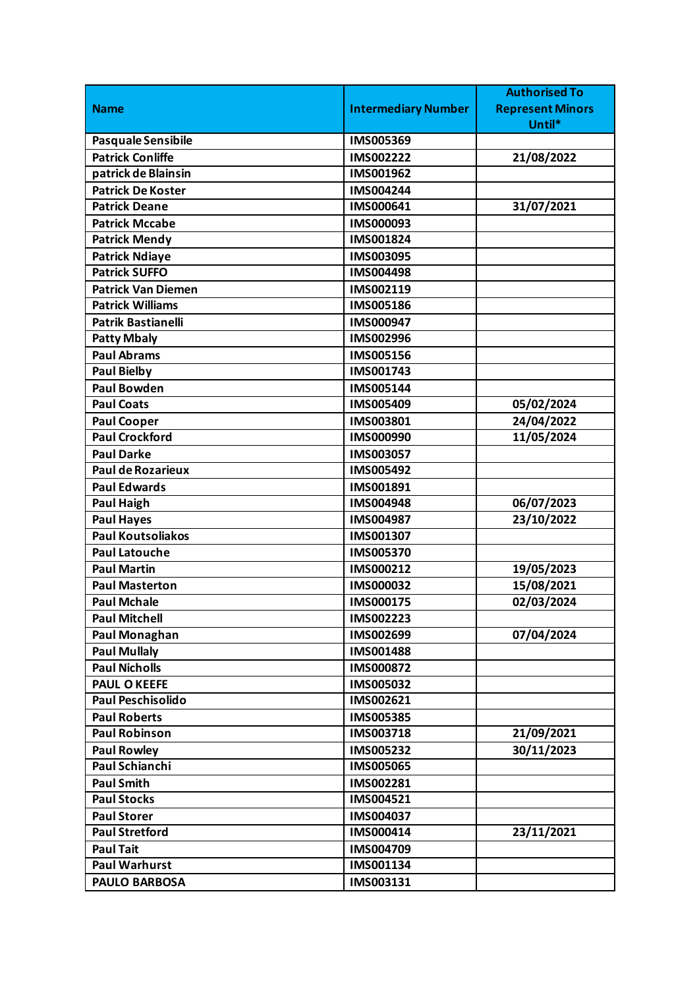|                           |                            | <b>Authorised To</b>    |
|---------------------------|----------------------------|-------------------------|
| <b>Name</b>               | <b>Intermediary Number</b> | <b>Represent Minors</b> |
|                           |                            | Until*                  |
| Pasquale Sensibile        | IMS005369                  |                         |
| <b>Patrick Conliffe</b>   | IMS002222                  | 21/08/2022              |
| patrick de Blainsin       | IMS001962                  |                         |
| <b>Patrick De Koster</b>  | IMS004244                  |                         |
| <b>Patrick Deane</b>      | IMS000641                  | 31/07/2021              |
| <b>Patrick Mccabe</b>     | IMS000093                  |                         |
| <b>Patrick Mendy</b>      | IMS001824                  |                         |
| <b>Patrick Ndiaye</b>     | IMS003095                  |                         |
| <b>Patrick SUFFO</b>      | IMS004498                  |                         |
| <b>Patrick Van Diemen</b> | IMS002119                  |                         |
| <b>Patrick Williams</b>   | IMS005186                  |                         |
| <b>Patrik Bastianelli</b> | IMS000947                  |                         |
| <b>Patty Mbaly</b>        | IMS002996                  |                         |
| <b>Paul Abrams</b>        | IMS005156                  |                         |
| <b>Paul Bielby</b>        | IMS001743                  |                         |
| <b>Paul Bowden</b>        | IMS005144                  |                         |
| <b>Paul Coats</b>         | IMS005409                  | 05/02/2024              |
| <b>Paul Cooper</b>        | IMS003801                  | 24/04/2022              |
| <b>Paul Crockford</b>     | IMS000990                  | 11/05/2024              |
| <b>Paul Darke</b>         | IMS003057                  |                         |
| <b>Paul de Rozarieux</b>  | IMS005492                  |                         |
| <b>Paul Edwards</b>       | IMS001891                  |                         |
| <b>Paul Haigh</b>         | IMS004948                  | 06/07/2023              |
| <b>Paul Hayes</b>         | IMS004987                  | 23/10/2022              |
| <b>Paul Koutsoliakos</b>  | IMS001307                  |                         |
| <b>Paul Latouche</b>      | IMS005370                  |                         |
| <b>Paul Martin</b>        | IMS000212                  | 19/05/2023              |
| <b>Paul Masterton</b>     | IMS000032                  | 15/08/2021              |
| <b>Paul Mchale</b>        | IMS000175                  | 02/03/2024              |
| <b>Paul Mitchell</b>      | IMS002223                  |                         |
| <b>Paul Monaghan</b>      | IMS002699                  | 07/04/2024              |
| <b>Paul Mullaly</b>       | IMS001488                  |                         |
| <b>Paul Nicholls</b>      | <b>IMS000872</b>           |                         |
| <b>PAUL O KEEFE</b>       | IMS005032                  |                         |
| <b>Paul Peschisolido</b>  | IMS002621                  |                         |
| <b>Paul Roberts</b>       | IMS005385                  |                         |
| <b>Paul Robinson</b>      | IMS003718                  | 21/09/2021              |
| <b>Paul Rowley</b>        | IMS005232                  | 30/11/2023              |
| <b>Paul Schianchi</b>     | IMS005065                  |                         |
| <b>Paul Smith</b>         | IMS002281                  |                         |
| <b>Paul Stocks</b>        | IMS004521                  |                         |
| <b>Paul Storer</b>        | IMS004037                  |                         |
| <b>Paul Stretford</b>     | IMS000414                  | 23/11/2021              |
| <b>Paul Tait</b>          | IMS004709                  |                         |
| <b>Paul Warhurst</b>      | IMS001134                  |                         |
| <b>PAULO BARBOSA</b>      | IMS003131                  |                         |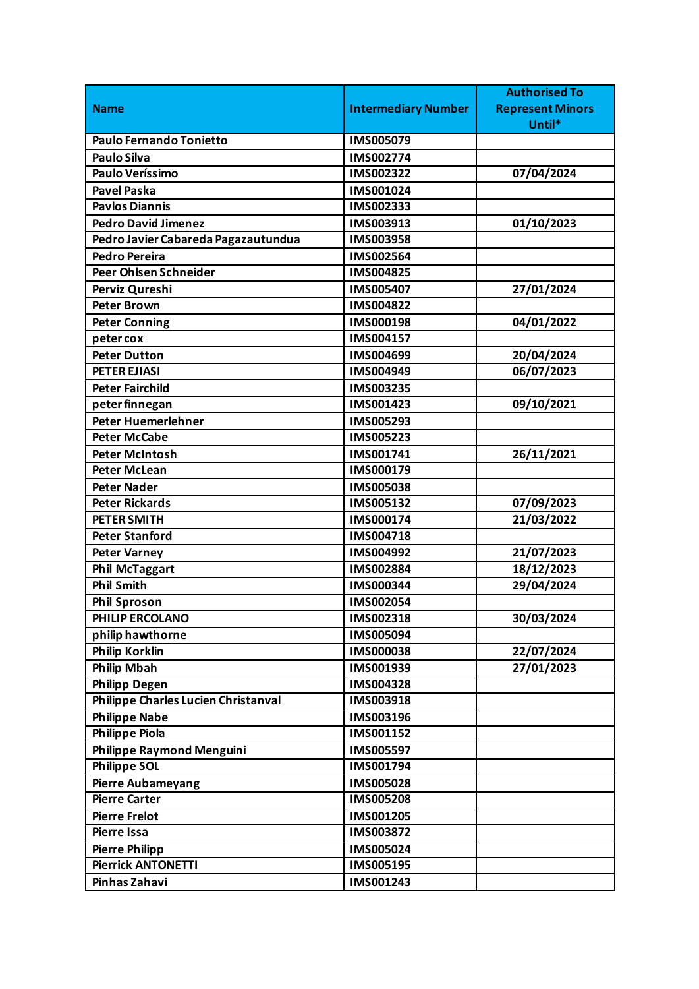|                                     |                            | <b>Authorised To</b>    |
|-------------------------------------|----------------------------|-------------------------|
| <b>Name</b>                         | <b>Intermediary Number</b> | <b>Represent Minors</b> |
|                                     |                            | Until*                  |
| <b>Paulo Fernando Tonietto</b>      | IMS005079                  |                         |
| <b>Paulo Silva</b>                  | IMS002774                  |                         |
| <b>Paulo Veríssimo</b>              | IMS002322                  | 07/04/2024              |
| <b>Pavel Paska</b>                  | IMS001024                  |                         |
| <b>Pavlos Diannis</b>               | IMS002333                  |                         |
| <b>Pedro David Jimenez</b>          | IMS003913                  | 01/10/2023              |
| Pedro Javier Cabareda Pagazautundua | IMS003958                  |                         |
| <b>Pedro Pereira</b>                | IMS002564                  |                         |
| <b>Peer Ohlsen Schneider</b>        | IMS004825                  |                         |
| Perviz Qureshi                      | IMS005407                  | 27/01/2024              |
| <b>Peter Brown</b>                  | IMS004822                  |                         |
| <b>Peter Conning</b>                | IMS000198                  | 04/01/2022              |
| peter cox                           | IMS004157                  |                         |
| <b>Peter Dutton</b>                 | IMS004699                  | 20/04/2024              |
| <b>PETER EJIASI</b>                 | IMS004949                  | 06/07/2023              |
| <b>Peter Fairchild</b>              | IMS003235                  |                         |
| peter finnegan                      | IMS001423                  | 09/10/2021              |
| <b>Peter Huemerlehner</b>           | IMS005293                  |                         |
| <b>Peter McCabe</b>                 | IMS005223                  |                         |
| <b>Peter McIntosh</b>               | IMS001741                  | 26/11/2021              |
| <b>Peter McLean</b>                 | IMS000179                  |                         |
| <b>Peter Nader</b>                  | <b>IMS005038</b>           |                         |
| <b>Peter Rickards</b>               | IMS005132                  | 07/09/2023              |
| <b>PETER SMITH</b>                  | IMS000174                  | 21/03/2022              |
| <b>Peter Stanford</b>               | IMS004718                  |                         |
| <b>Peter Varney</b>                 | IMS004992                  | 21/07/2023              |
| <b>Phil McTaggart</b>               | IMS002884                  | 18/12/2023              |
| <b>Phil Smith</b>                   | IMS000344                  | 29/04/2024              |
| <b>Phil Sproson</b>                 | IMS002054                  |                         |
| PHILIP ERCOLANO                     | IMS002318                  | 30/03/2024              |
| philip hawthorne                    | IMS005094                  |                         |
| <b>Philip Korklin</b>               | <b>IMS000038</b>           | 22/07/2024              |
| <b>Philip Mbah</b>                  | IMS001939                  | 27/01/2023              |
| <b>Philipp Degen</b>                | IMS004328                  |                         |
| Philippe Charles Lucien Christanval | IMS003918                  |                         |
| <b>Philippe Nabe</b>                | IMS003196                  |                         |
| <b>Philippe Piola</b>               | IMS001152                  |                         |
| Philippe Raymond Menguini           | IMS005597                  |                         |
| <b>Philippe SOL</b>                 | IMS001794                  |                         |
| <b>Pierre Aubameyang</b>            | <b>IMS005028</b>           |                         |
| <b>Pierre Carter</b>                | <b>IMS005208</b>           |                         |
| <b>Pierre Frelot</b>                | IMS001205                  |                         |
| <b>Pierre Issa</b>                  | IMS003872                  |                         |
| <b>Pierre Philipp</b>               | IMS005024                  |                         |
| <b>Pierrick ANTONETTI</b>           | IMS005195                  |                         |
| Pinhas Zahavi                       | IMS001243                  |                         |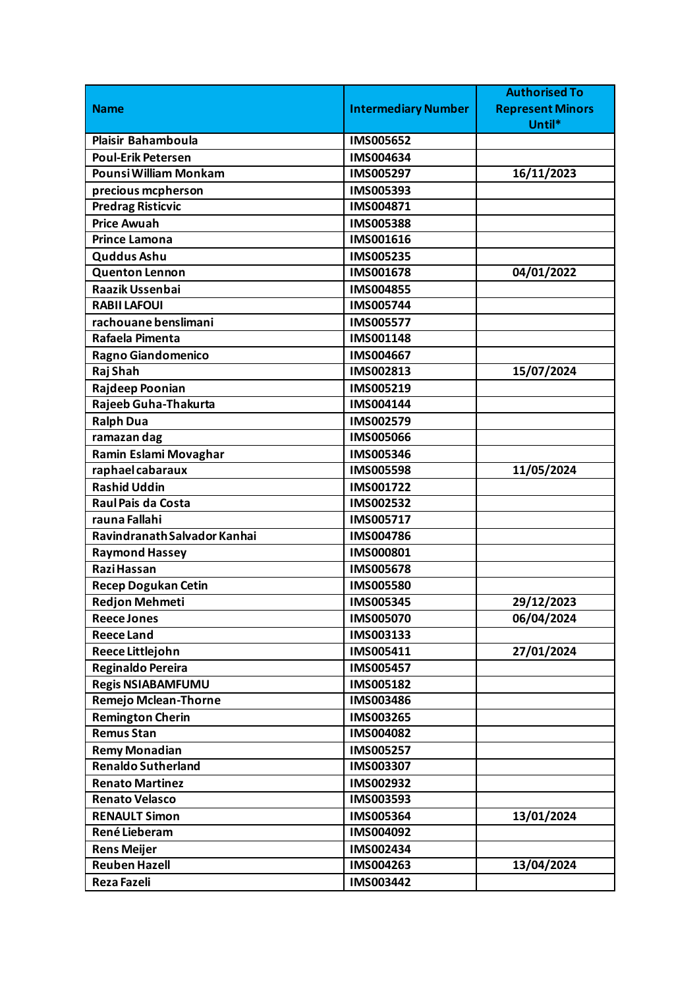|                                            |                            | <b>Authorised To</b>    |
|--------------------------------------------|----------------------------|-------------------------|
| <b>Name</b>                                | <b>Intermediary Number</b> | <b>Represent Minors</b> |
|                                            |                            | Until*                  |
| <b>Plaisir Bahamboula</b>                  | <b>IMS005652</b>           |                         |
| <b>Poul-Erik Petersen</b>                  | IMS004634                  |                         |
| Pounsi William Monkam                      | IMS005297                  | 16/11/2023              |
| precious mcpherson                         | IMS005393                  |                         |
| <b>Predrag Risticvic</b>                   | IMS004871                  |                         |
| <b>Price Awuah</b>                         | IMS005388                  |                         |
| <b>Prince Lamona</b>                       | IMS001616                  |                         |
| <b>Quddus Ashu</b>                         | IMS005235                  |                         |
| Quenton Lennon                             | IMS001678                  | 04/01/2022              |
| <b>Raazik Ussenbai</b>                     | IMS004855                  |                         |
| <b>RABII LAFOUI</b>                        | IMS005744                  |                         |
| rachouane benslimani                       | IMS005577                  |                         |
| Rafaela Pimenta                            | IMS001148                  |                         |
| Ragno Giandomenico                         | IMS004667                  |                         |
| Raj Shah                                   | IMS002813                  | 15/07/2024              |
| Rajdeep Poonian                            | IMS005219                  |                         |
| Rajeeb Guha-Thakurta                       | IMS004144                  |                         |
| <b>Ralph Dua</b>                           | IMS002579                  |                         |
| ramazan dag                                | <b>IMS005066</b>           |                         |
| Ramin Eslami Movaghar                      | IMS005346                  |                         |
| raphael cabaraux                           | IMS005598                  | 11/05/2024              |
| <b>Rashid Uddin</b>                        | IMS001722                  |                         |
| Raul Pais da Costa                         | IMS002532                  |                         |
| rauna Fallahi                              | IMS005717                  |                         |
| Ravindranath Salvador Kanhai               | <b>IMS004786</b>           |                         |
| <b>Raymond Hassey</b>                      | IMS000801                  |                         |
| <b>Razi Hassan</b>                         | IMS005678                  |                         |
| <b>Recep Dogukan Cetin</b>                 | <b>IMS005580</b>           |                         |
| <b>Redjon Mehmeti</b>                      | IMS005345                  | 29/12/2023              |
| <b>Reece Jones</b>                         | IMS005070                  | 06/04/2024              |
| <b>Reece Land</b>                          | IMS003133                  |                         |
| Reece Littlejohn                           | IMS005411                  | 27/01/2024              |
| Reginaldo Pereira                          | IMS005457                  |                         |
| <b>Regis NSIABAMFUMU</b>                   | IMS005182                  |                         |
| <b>Remejo Mclean-Thorne</b>                | IMS003486                  |                         |
| <b>Remington Cherin</b>                    | IMS003265                  |                         |
| <b>Remus Stan</b>                          | IMS004082                  |                         |
| <b>Remy Monadian</b>                       | IMS005257                  |                         |
| <b>Renaldo Sutherland</b>                  | IMS003307                  |                         |
| <b>Renato Martinez</b>                     | IMS002932                  |                         |
| <b>Renato Velasco</b>                      | IMS003593                  |                         |
| <b>RENAULT Simon</b>                       | IMS005364                  | 13/01/2024              |
| René Lieberam                              | IMS004092                  |                         |
|                                            |                            |                         |
| <b>Rens Meijer</b><br><b>Reuben Hazell</b> | IMS002434                  |                         |
|                                            | IMS004263                  | 13/04/2024              |
| Reza Fazeli                                | IMS003442                  |                         |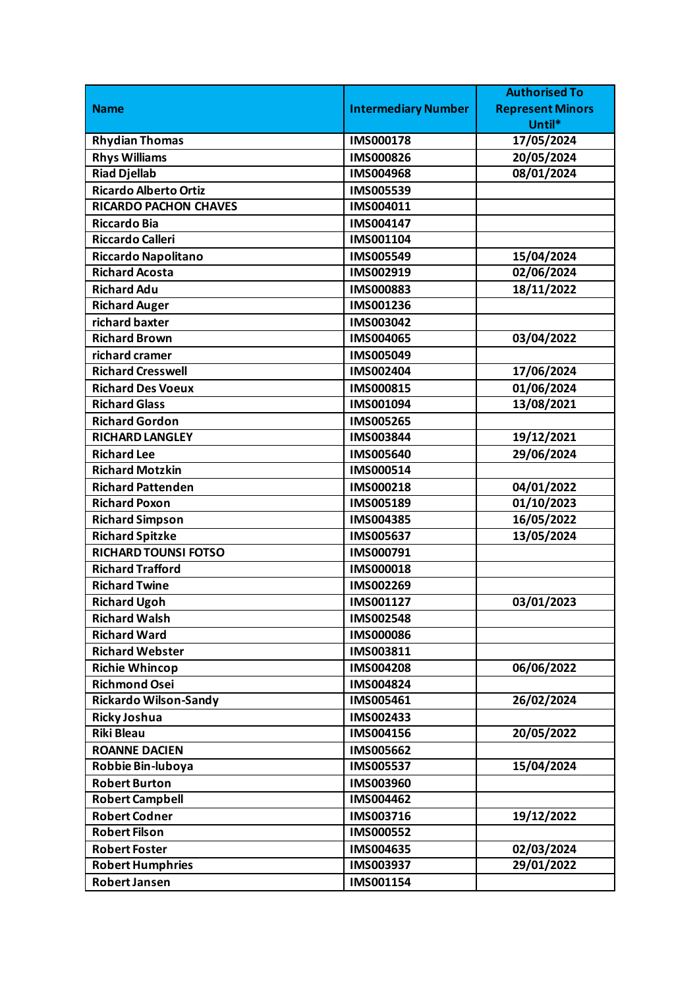|                              |                            | <b>Authorised To</b>    |
|------------------------------|----------------------------|-------------------------|
| <b>Name</b>                  | <b>Intermediary Number</b> | <b>Represent Minors</b> |
|                              |                            | Until*                  |
| <b>Rhydian Thomas</b>        | IMS000178                  | 17/05/2024              |
| <b>Rhys Williams</b>         | <b>IMS000826</b>           | 20/05/2024              |
| <b>Riad Djellab</b>          | IMS004968                  | 08/01/2024              |
| <b>Ricardo Alberto Ortiz</b> | IMS005539                  |                         |
| <b>RICARDO PACHON CHAVES</b> | IMS004011                  |                         |
| <b>Riccardo Bia</b>          | IMS004147                  |                         |
| <b>Riccardo Calleri</b>      | IMS001104                  |                         |
| <b>Riccardo Napolitano</b>   | IMS005549                  | 15/04/2024              |
| <b>Richard Acosta</b>        | IMS002919                  | 02/06/2024              |
| <b>Richard Adu</b>           | <b>IMS000883</b>           | 18/11/2022              |
| <b>Richard Auger</b>         | IMS001236                  |                         |
| richard baxter               | IMS003042                  |                         |
| <b>Richard Brown</b>         | <b>IMS004065</b>           | 03/04/2022              |
| richard cramer               | IMS005049                  |                         |
| <b>Richard Cresswell</b>     | IMS002404                  | 17/06/2024              |
| <b>Richard Des Voeux</b>     | IMS000815                  | 01/06/2024              |
| <b>Richard Glass</b>         | IMS001094                  | 13/08/2021              |
| <b>Richard Gordon</b>        | <b>IMS005265</b>           |                         |
| <b>RICHARD LANGLEY</b>       | IMS003844                  | 19/12/2021              |
| <b>Richard Lee</b>           | <b>IMS005640</b>           | 29/06/2024              |
| <b>Richard Motzkin</b>       | IMS000514                  |                         |
| <b>Richard Pattenden</b>     | IMS000218                  | 04/01/2022              |
| <b>Richard Poxon</b>         | IMS005189                  | 01/10/2023              |
| <b>Richard Simpson</b>       | IMS004385                  | 16/05/2022              |
| <b>Richard Spitzke</b>       | <b>IMS005637</b>           | 13/05/2024              |
| <b>RICHARD TOUNSI FOTSO</b>  | IMS000791                  |                         |
| <b>Richard Trafford</b>      | IMS000018                  |                         |
| <b>Richard Twine</b>         | IMS002269                  |                         |
| <b>Richard Ugoh</b>          | IMS001127                  | 03/01/2023              |
| <b>Richard Walsh</b>         | IMS002548                  |                         |
| <b>Richard Ward</b>          | <b>IMS000086</b>           |                         |
| <b>Richard Webster</b>       | IMS003811                  |                         |
| <b>Richie Whincop</b>        | <b>IMS004208</b>           | 06/06/2022              |
| <b>Richmond Osei</b>         | IMS004824                  |                         |
| <b>Rickardo Wilson-Sandy</b> | IMS005461                  | 26/02/2024              |
| <b>Ricky Joshua</b>          | IMS002433                  |                         |
| <b>Riki Bleau</b>            | IMS004156                  | 20/05/2022              |
| <b>ROANNE DACIEN</b>         | <b>IMS005662</b>           |                         |
| Robbie Bin-luboya            | <b>IMS005537</b>           | 15/04/2024              |
| <b>Robert Burton</b>         | <b>IMS003960</b>           |                         |
| <b>Robert Campbell</b>       | IMS004462                  |                         |
| <b>Robert Codner</b>         | IMS003716                  | 19/12/2022              |
| <b>Robert Filson</b>         | <b>IMS000552</b>           |                         |
| <b>Robert Foster</b>         | IMS004635                  | 02/03/2024              |
| <b>Robert Humphries</b>      | IMS003937                  | 29/01/2022              |
| <b>Robert Jansen</b>         | IMS001154                  |                         |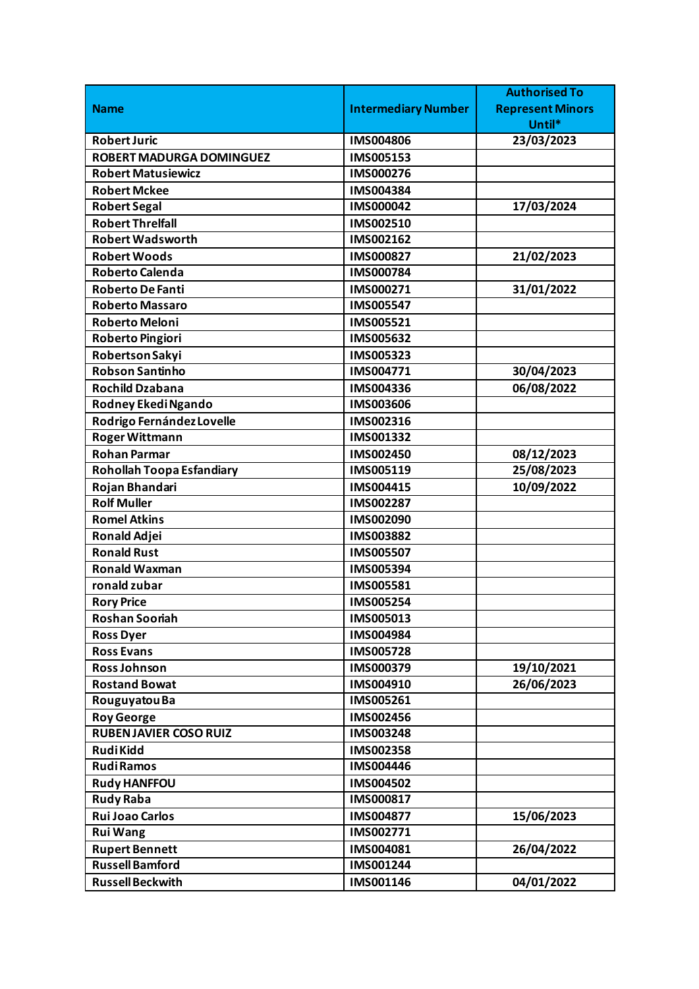|                                 |                            | <b>Authorised To</b>    |
|---------------------------------|----------------------------|-------------------------|
| <b>Name</b>                     | <b>Intermediary Number</b> | <b>Represent Minors</b> |
|                                 |                            | Until*                  |
| <b>Robert Juric</b>             | <b>IMS004806</b>           | 23/03/2023              |
| <b>ROBERT MADURGA DOMINGUEZ</b> | IMS005153                  |                         |
| <b>Robert Matusiewicz</b>       | IMS000276                  |                         |
| <b>Robert Mckee</b>             | IMS004384                  |                         |
| <b>Robert Segal</b>             | IMS000042                  | 17/03/2024              |
| <b>Robert Threlfall</b>         | IMS002510                  |                         |
| <b>Robert Wadsworth</b>         | IMS002162                  |                         |
| <b>Robert Woods</b>             | <b>IMS000827</b>           | 21/02/2023              |
| <b>Roberto Calenda</b>          | IMS000784                  |                         |
| <b>Roberto De Fanti</b>         | IMS000271                  | 31/01/2022              |
| <b>Roberto Massaro</b>          | <b>IMS005547</b>           |                         |
| <b>Roberto Meloni</b>           | IMS005521                  |                         |
| <b>Roberto Pingiori</b>         | IMS005632                  |                         |
| Robertson Sakyi                 | IMS005323                  |                         |
| <b>Robson Santinho</b>          | IMS004771                  | 30/04/2023              |
| <b>Rochild Dzabana</b>          | IMS004336                  | 06/08/2022              |
| Rodney Ekedi Ngando             | IMS003606                  |                         |
| Rodrigo Fernández Lovelle       | IMS002316                  |                         |
| <b>Roger Wittmann</b>           | IMS001332                  |                         |
| <b>Rohan Parmar</b>             | IMS002450                  | 08/12/2023              |
| Rohollah Toopa Esfandiary       | IMS005119                  | 25/08/2023              |
| Rojan Bhandari                  | IMS004415                  | 10/09/2022              |
| <b>Rolf Muller</b>              | IMS002287                  |                         |
| <b>Romel Atkins</b>             | IMS002090                  |                         |
| <b>Ronald Adjei</b>             | IMS003882                  |                         |
| <b>Ronald Rust</b>              | <b>IMS005507</b>           |                         |
| <b>Ronald Waxman</b>            | IMS005394                  |                         |
| ronald zubar                    | IMS005581                  |                         |
| <b>Rory Price</b>               | <b>IMS005254</b>           |                         |
| <b>Roshan Sooriah</b>           | IMS005013                  |                         |
| <b>Ross Dyer</b>                | IMS004984                  |                         |
| <b>Ross Evans</b>               | <b>IMS005728</b>           |                         |
| <b>Ross Johnson</b>             | IMS000379                  | 19/10/2021              |
| <b>Rostand Bowat</b>            | IMS004910                  | 26/06/2023              |
| Rouguyatou Ba                   | IMS005261                  |                         |
| <b>Roy George</b>               | IMS002456                  |                         |
| <b>RUBEN JAVIER COSO RUIZ</b>   | <b>IMS003248</b>           |                         |
| <b>RudiKidd</b>                 | <b>IMS002358</b>           |                         |
| <b>RudiRamos</b>                | IMS004446                  |                         |
| <b>Rudy HANFFOU</b>             | IMS004502                  |                         |
| <b>Rudy Raba</b>                | IMS000817                  |                         |
| <b>Rui Joao Carlos</b>          | IMS004877                  | 15/06/2023              |
| <b>Rui Wang</b>                 | IMS002771                  |                         |
| <b>Rupert Bennett</b>           | IMS004081                  | 26/04/2022              |
| <b>Russell Bamford</b>          | IMS001244                  |                         |
| <b>Russell Beckwith</b>         | IMS001146                  | 04/01/2022              |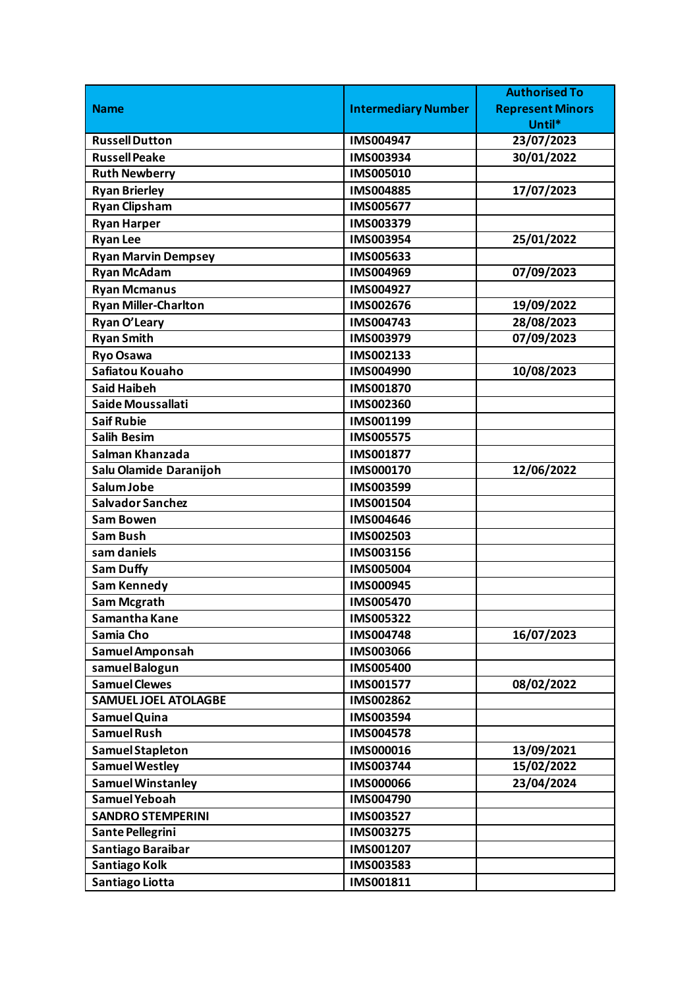|                             |                            | <b>Authorised To</b>    |
|-----------------------------|----------------------------|-------------------------|
| <b>Name</b>                 | <b>Intermediary Number</b> | <b>Represent Minors</b> |
|                             |                            | Until*                  |
| <b>Russell Dutton</b>       | IMS004947                  | 23/07/2023              |
| <b>Russell Peake</b>        | IMS003934                  | 30/01/2022              |
| <b>Ruth Newberry</b>        | IMS005010                  |                         |
| <b>Ryan Brierley</b>        | IMS004885                  | 17/07/2023              |
| <b>Ryan Clipsham</b>        | IMS005677                  |                         |
| <b>Ryan Harper</b>          | IMS003379                  |                         |
| <b>Ryan Lee</b>             | IMS003954                  | 25/01/2022              |
| <b>Ryan Marvin Dempsey</b>  | IMS005633                  |                         |
| <b>Ryan McAdam</b>          | IMS004969                  | 07/09/2023              |
| <b>Ryan Mcmanus</b>         | IMS004927                  |                         |
| <b>Ryan Miller-Charlton</b> | IMS002676                  | 19/09/2022              |
| Ryan O'Leary                | IMS004743                  | 28/08/2023              |
| <b>Ryan Smith</b>           | IMS003979                  | 07/09/2023              |
| <b>Ryo Osawa</b>            | IMS002133                  |                         |
| Safiatou Kouaho             | IMS004990                  | 10/08/2023              |
| <b>Said Haibeh</b>          | IMS001870                  |                         |
| Saide Moussallati           | IMS002360                  |                         |
| <b>Saif Rubie</b>           | IMS001199                  |                         |
| <b>Salih Besim</b>          | <b>IMS005575</b>           |                         |
| Salman Khanzada             | IMS001877                  |                         |
| Salu Olamide Daranijoh      | IMS000170                  | 12/06/2022              |
| Salum Jobe                  | IMS003599                  |                         |
| <b>Salvador Sanchez</b>     | IMS001504                  |                         |
| <b>Sam Bowen</b>            | IMS004646                  |                         |
| <b>Sam Bush</b>             | IMS002503                  |                         |
| sam daniels                 | IMS003156                  |                         |
| <b>Sam Duffy</b>            | <b>IMS005004</b>           |                         |
| <b>Sam Kennedy</b>          | IMS000945                  |                         |
| <b>Sam Mcgrath</b>          | <b>IMS005470</b>           |                         |
| Samantha Kane               | IMS005322                  |                         |
| Samia Cho                   | IMS004748                  | 16/07/2023              |
| Samuel Amponsah             | IMS003066                  |                         |
| samuel Balogun              | IMS005400                  |                         |
| <b>Samuel Clewes</b>        | IMS001577                  | 08/02/2022              |
| <b>SAMUELJOEL ATOLAGBE</b>  | IMS002862                  |                         |
| Samuel Quina                | IMS003594                  |                         |
| <b>Samuel Rush</b>          | IMS004578                  |                         |
| Samuel Stapleton            | IMS000016                  | 13/09/2021              |
| <b>Samuel Westley</b>       | IMS003744                  | 15/02/2022              |
| <b>Samuel Winstanley</b>    | <b>IMS000066</b>           | 23/04/2024              |
| Samuel Yeboah               | IMS004790                  |                         |
| <b>SANDRO STEMPERINI</b>    | IMS003527                  |                         |
| Sante Pellegrini            | IMS003275                  |                         |
| Santiago Baraibar           | IMS001207                  |                         |
| Santiago Kolk               | IMS003583                  |                         |
| Santiago Liotta             | IMS001811                  |                         |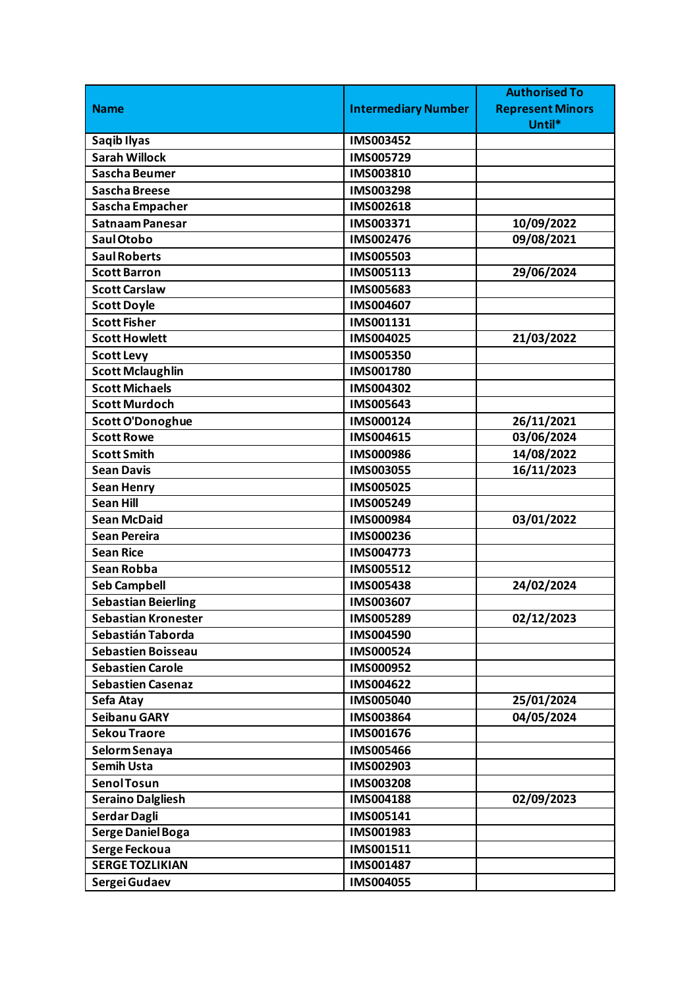|                            |                            | <b>Authorised To</b>    |
|----------------------------|----------------------------|-------------------------|
| <b>Name</b>                | <b>Intermediary Number</b> | <b>Represent Minors</b> |
|                            |                            | Until*                  |
| Saqib Ilyas                | IMS003452                  |                         |
| <b>Sarah Willock</b>       | IMS005729                  |                         |
| <b>Sascha Beumer</b>       | IMS003810                  |                         |
| <b>Sascha Breese</b>       | IMS003298                  |                         |
| Sascha Empacher            | IMS002618                  |                         |
| Satnaam Panesar            | IMS003371                  | 10/09/2022              |
| Saul Otobo                 | IMS002476                  | 09/08/2021              |
| <b>Saul Roberts</b>        | <b>IMS005503</b>           |                         |
| <b>Scott Barron</b>        | IMS005113                  | 29/06/2024              |
| <b>Scott Carslaw</b>       | IMS005683                  |                         |
| <b>Scott Doyle</b>         | IMS004607                  |                         |
| <b>Scott Fisher</b>        | IMS001131                  |                         |
| <b>Scott Howlett</b>       | IMS004025                  | 21/03/2022              |
| <b>Scott Levy</b>          | <b>IMS005350</b>           |                         |
| <b>Scott Mclaughlin</b>    | IMS001780                  |                         |
| <b>Scott Michaels</b>      | IMS004302                  |                         |
| <b>Scott Murdoch</b>       | IMS005643                  |                         |
| Scott O'Donoghue           | IMS000124                  | 26/11/2021              |
| <b>Scott Rowe</b>          | IMS004615                  | 03/06/2024              |
| <b>Scott Smith</b>         | <b>IMS000986</b>           | 14/08/2022              |
| <b>Sean Davis</b>          | IMS003055                  | 16/11/2023              |
| <b>Sean Henry</b>          | <b>IMS005025</b>           |                         |
| <b>Sean Hill</b>           | IMS005249                  |                         |
| <b>Sean McDaid</b>         | IMS000984                  | 03/01/2022              |
| <b>Sean Pereira</b>        | <b>IMS000236</b>           |                         |
| <b>Sean Rice</b>           | IMS004773                  |                         |
| Sean Robba                 | IMS005512                  |                         |
| <b>Seb Campbell</b>        | <b>IMS005438</b>           | 24/02/2024              |
| <b>Sebastian Beierling</b> | IMS003607                  |                         |
| <b>Sebastian Kronester</b> | IMS005289                  | 02/12/2023              |
| Sebastián Taborda          | IMS004590                  |                         |
| <b>Sebastien Boisseau</b>  | <b>IMS000524</b>           |                         |
| <b>Sebastien Carole</b>    | IMS000952                  |                         |
| <b>Sebastien Casenaz</b>   | IMS004622                  |                         |
| Sefa Atay                  | <b>IMS005040</b>           | 25/01/2024              |
| <b>Seibanu GARY</b>        | IMS003864                  | 04/05/2024              |
| <b>Sekou Traore</b>        | IMS001676                  |                         |
| Selorm Senaya              | <b>IMS005466</b>           |                         |
| <b>Semih Usta</b>          | IMS002903                  |                         |
| Senol Tosun                | <b>IMS003208</b>           |                         |
| <b>Seraino Dalgliesh</b>   | IMS004188                  | 02/09/2023              |
| Serdar Dagli               | IMS005141                  |                         |
| <b>Serge Daniel Boga</b>   | IMS001983                  |                         |
| Serge Feckoua              | IMS001511                  |                         |
| <b>SERGE TOZLIKIAN</b>     | IMS001487                  |                         |
| Sergei Gudaev              | IMS004055                  |                         |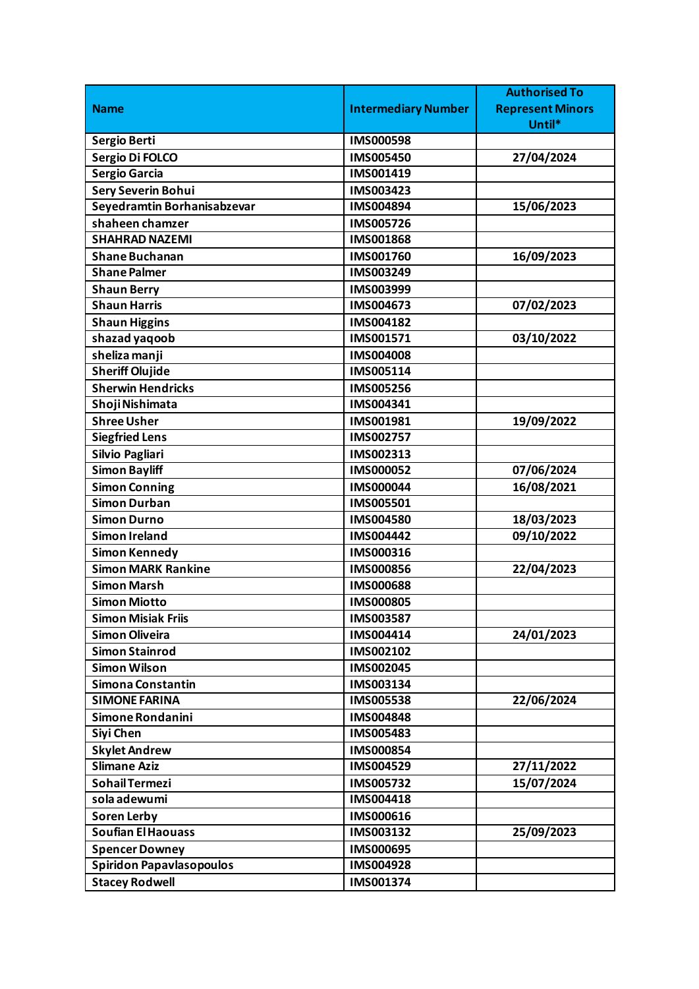|                                 |                            | <b>Authorised To</b>    |
|---------------------------------|----------------------------|-------------------------|
| <b>Name</b>                     | <b>Intermediary Number</b> | <b>Represent Minors</b> |
|                                 |                            | Until*                  |
| Sergio Berti                    | <b>IMS000598</b>           |                         |
| Sergio Di FOLCO                 | IMS005450                  | 27/04/2024              |
| <b>Sergio Garcia</b>            | IMS001419                  |                         |
| <b>Sery Severin Bohui</b>       | IMS003423                  |                         |
| Seyedramtin Borhanisabzevar     | IMS004894                  | 15/06/2023              |
| shaheen chamzer                 | IMS005726                  |                         |
| <b>SHAHRAD NAZEMI</b>           | IMS001868                  |                         |
| <b>Shane Buchanan</b>           | IMS001760                  | 16/09/2023              |
| <b>Shane Palmer</b>             | IMS003249                  |                         |
| <b>Shaun Berry</b>              | IMS003999                  |                         |
| <b>Shaun Harris</b>             | IMS004673                  | 07/02/2023              |
| <b>Shaun Higgins</b>            | IMS004182                  |                         |
| shazad yaqoob                   | IMS001571                  | 03/10/2022              |
| sheliza manji                   | IMS004008                  |                         |
| <b>Sheriff Olujide</b>          | IMS005114                  |                         |
| <b>Sherwin Hendricks</b>        | <b>IMS005256</b>           |                         |
| Shoji Nishimata                 | IMS004341                  |                         |
| <b>Shree Usher</b>              | IMS001981                  | 19/09/2022              |
| <b>Siegfried Lens</b>           | IMS002757                  |                         |
| Silvio Pagliari                 | IMS002313                  |                         |
| <b>Simon Bayliff</b>            | IMS000052                  | 07/06/2024              |
| <b>Simon Conning</b>            | <b>IMS000044</b>           | 16/08/2021              |
| <b>Simon Durban</b>             | IMS005501                  |                         |
| <b>Simon Durno</b>              | IMS004580                  | 18/03/2023              |
| <b>Simon Ireland</b>            | <b>IMS004442</b>           | 09/10/2022              |
| <b>Simon Kennedy</b>            | IMS000316                  |                         |
| <b>Simon MARK Rankine</b>       | IMS000856                  | 22/04/2023              |
| <b>Simon Marsh</b>              | <b>IMS000688</b>           |                         |
| <b>Simon Miotto</b>             | <b>IMS000805</b>           |                         |
| <b>Simon Misiak Friis</b>       | IMS003587                  |                         |
| <b>Simon Oliveira</b>           | IMS004414                  | 24/01/2023              |
| <b>Simon Stainrod</b>           | IMS002102                  |                         |
| <b>Simon Wilson</b>             | IMS002045                  |                         |
| Simona Constantin               | IMS003134                  |                         |
| <b>SIMONE FARINA</b>            | IMS005538                  | 22/06/2024              |
| Simone Rondanini                | IMS004848                  |                         |
| Siyi Chen                       | IMS005483                  |                         |
| <b>Skylet Andrew</b>            | IMS000854                  |                         |
| <b>Slimane Aziz</b>             | IMS004529                  | 27/11/2022              |
| Sohail Termezi                  | IMS005732                  | 15/07/2024              |
| sola adewumi                    | IMS004418                  |                         |
| <b>Soren Lerby</b>              | IMS000616                  |                         |
| <b>Soufian El Haouass</b>       | IMS003132                  | 25/09/2023              |
| <b>Spencer Downey</b>           | IMS000695                  |                         |
| <b>Spiridon Papavlasopoulos</b> | IMS004928                  |                         |
| <b>Stacey Rodwell</b>           | IMS001374                  |                         |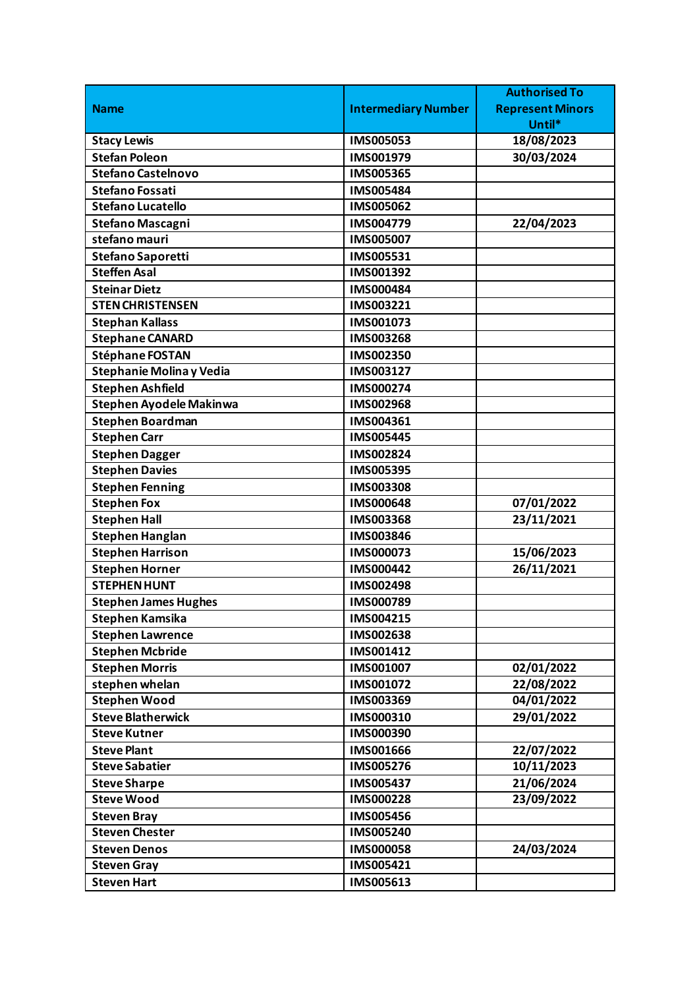|                                |                            | <b>Authorised To</b>    |
|--------------------------------|----------------------------|-------------------------|
| <b>Name</b>                    | <b>Intermediary Number</b> | <b>Represent Minors</b> |
|                                |                            | Until*                  |
| <b>Stacy Lewis</b>             | IMS005053                  | 18/08/2023              |
| <b>Stefan Poleon</b>           | IMS001979                  | 30/03/2024              |
| <b>Stefano Castelnovo</b>      | <b>IMS005365</b>           |                         |
| <b>Stefano Fossati</b>         | <b>IMS005484</b>           |                         |
| <b>Stefano Lucatello</b>       | IMS005062                  |                         |
| <b>Stefano Mascagni</b>        | IMS004779                  | 22/04/2023              |
| stefano mauri                  | <b>IMS005007</b>           |                         |
| Stefano Saporetti              | IMS005531                  |                         |
| <b>Steffen Asal</b>            | IMS001392                  |                         |
| <b>Steinar Dietz</b>           | IMS000484                  |                         |
| <b>STEN CHRISTENSEN</b>        | IMS003221                  |                         |
| <b>Stephan Kallass</b>         | IMS001073                  |                         |
| <b>Stephane CANARD</b>         | IMS003268                  |                         |
| <b>Stéphane FOSTAN</b>         | IMS002350                  |                         |
| Stephanie Molina y Vedia       | IMS003127                  |                         |
| <b>Stephen Ashfield</b>        | IMS000274                  |                         |
| <b>Stephen Ayodele Makinwa</b> | <b>IMS002968</b>           |                         |
| <b>Stephen Boardman</b>        | IMS004361                  |                         |
| <b>Stephen Carr</b>            | <b>IMS005445</b>           |                         |
| <b>Stephen Dagger</b>          | IMS002824                  |                         |
| <b>Stephen Davies</b>          | IMS005395                  |                         |
| <b>Stephen Fenning</b>         | IMS003308                  |                         |
| <b>Stephen Fox</b>             | <b>IMS000648</b>           | 07/01/2022              |
| <b>Stephen Hall</b>            | IMS003368                  | 23/11/2021              |
| <b>Stephen Hanglan</b>         | IMS003846                  |                         |
| <b>Stephen Harrison</b>        | IMS000073                  | 15/06/2023              |
| <b>Stephen Horner</b>          | IMS000442                  | 26/11/2021              |
| <b>STEPHEN HUNT</b>            | IMS002498                  |                         |
| <b>Stephen James Hughes</b>    | IMS000789                  |                         |
| <b>Stephen Kamsika</b>         | IMS004215                  |                         |
| <b>Stephen Lawrence</b>        | IMS002638                  |                         |
| <b>Stephen Mcbride</b>         | IMS001412                  |                         |
| <b>Stephen Morris</b>          | IMS001007                  | 02/01/2022              |
| stephen whelan                 | IMS001072                  | 22/08/2022              |
| <b>Stephen Wood</b>            | IMS003369                  | 04/01/2022              |
| <b>Steve Blatherwick</b>       | IMS000310                  | 29/01/2022              |
| <b>Steve Kutner</b>            | IMS000390                  |                         |
| <b>Steve Plant</b>             | IMS001666                  | 22/07/2022              |
| <b>Steve Sabatier</b>          | IMS005276                  | 10/11/2023              |
| <b>Steve Sharpe</b>            | <b>IMS005437</b>           | 21/06/2024              |
| <b>Steve Wood</b>              | <b>IMS000228</b>           | 23/09/2022              |
| <b>Steven Bray</b>             | <b>IMS005456</b>           |                         |
| <b>Steven Chester</b>          | <b>IMS005240</b>           |                         |
| <b>Steven Denos</b>            | <b>IMS000058</b>           | 24/03/2024              |
| <b>Steven Gray</b>             | IMS005421                  |                         |
| <b>Steven Hart</b>             | IMS005613                  |                         |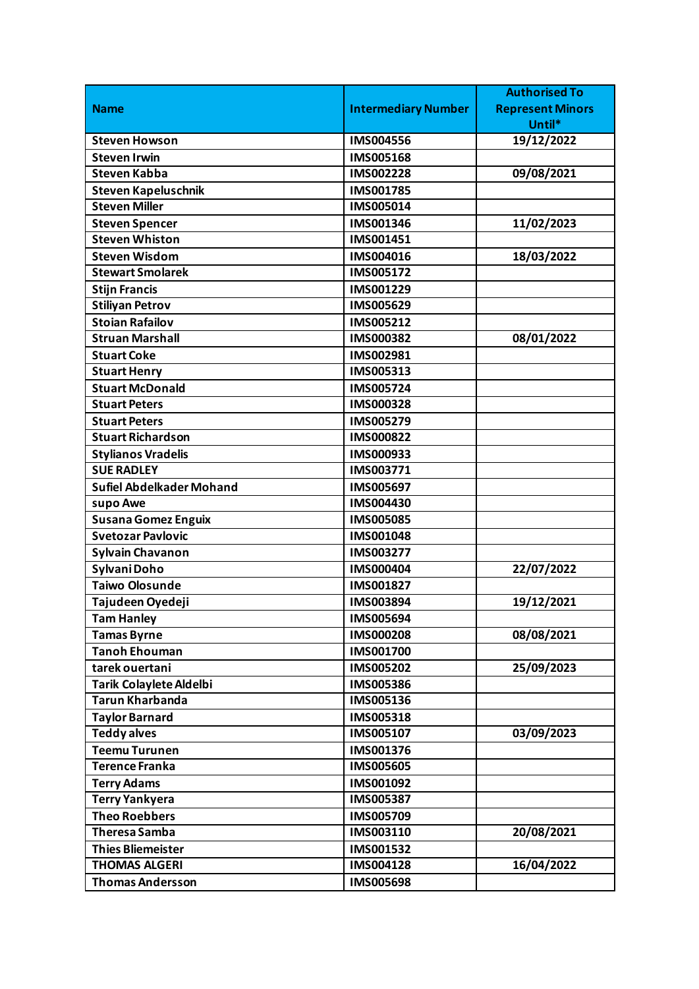|                                 |                            | <b>Authorised To</b>    |
|---------------------------------|----------------------------|-------------------------|
| <b>Name</b>                     | <b>Intermediary Number</b> | <b>Represent Minors</b> |
|                                 |                            | Until*                  |
| <b>Steven Howson</b>            | <b>IMS004556</b>           | 19/12/2022              |
| <b>Steven Irwin</b>             | <b>IMS005168</b>           |                         |
| <b>Steven Kabba</b>             | IMS002228                  | 09/08/2021              |
| <b>Steven Kapeluschnik</b>      | IMS001785                  |                         |
| <b>Steven Miller</b>            | IMS005014                  |                         |
| <b>Steven Spencer</b>           | IMS001346                  | 11/02/2023              |
| <b>Steven Whiston</b>           | IMS001451                  |                         |
| <b>Steven Wisdom</b>            | IMS004016                  | 18/03/2022              |
| <b>Stewart Smolarek</b>         | IMS005172                  |                         |
| <b>Stijn Francis</b>            | IMS001229                  |                         |
| <b>Stiliyan Petrov</b>          | IMS005629                  |                         |
| <b>Stoian Rafailov</b>          | IMS005212                  |                         |
| <b>Struan Marshall</b>          | IMS000382                  | 08/01/2022              |
| <b>Stuart Coke</b>              | IMS002981                  |                         |
| <b>Stuart Henry</b>             | IMS005313                  |                         |
| <b>Stuart McDonald</b>          | IMS005724                  |                         |
| <b>Stuart Peters</b>            | IMS000328                  |                         |
| <b>Stuart Peters</b>            | IMS005279                  |                         |
| <b>Stuart Richardson</b>        | <b>IMS000822</b>           |                         |
| <b>Stylianos Vradelis</b>       | IMS000933                  |                         |
| <b>SUE RADLEY</b>               | IMS003771                  |                         |
| <b>Sufiel Abdelkader Mohand</b> | IMS005697                  |                         |
| supo Awe                        | IMS004430                  |                         |
| <b>Susana Gomez Enguix</b>      | <b>IMS005085</b>           |                         |
| <b>Svetozar Pavlovic</b>        | <b>IMS001048</b>           |                         |
| <b>Sylvain Chavanon</b>         | IMS003277                  |                         |
| Sylvani Doho                    | IMS000404                  | 22/07/2022              |
| <b>Taiwo Olosunde</b>           | IMS001827                  |                         |
| Tajudeen Oyedeji                | IMS003894                  | 19/12/2021              |
| <b>Tam Hanley</b>               | IMS005694                  |                         |
| <b>Tamas Byrne</b>              | <b>IMS000208</b>           | 08/08/2021              |
| <b>Tanoh Ehouman</b>            | IMS001700                  |                         |
| tarek ouertani                  | <b>IMS005202</b>           | 25/09/2023              |
| <b>Tarik Colaylete Aldelbi</b>  | <b>IMS005386</b>           |                         |
| <b>Tarun Kharbanda</b>          | IMS005136                  |                         |
| <b>Taylor Barnard</b>           | IMS005318                  |                         |
| <b>Teddy alves</b>              | IMS005107                  | 03/09/2023              |
| <b>Teemu Turunen</b>            | IMS001376                  |                         |
| <b>Terence Franka</b>           | <b>IMS005605</b>           |                         |
| <b>Terry Adams</b>              | IMS001092                  |                         |
| <b>Terry Yankyera</b>           | <b>IMS005387</b>           |                         |
| <b>Theo Roebbers</b>            | IMS005709                  |                         |
| <b>Theresa Samba</b>            | IMS003110                  | 20/08/2021              |
| <b>Thies Bliemeister</b>        | IMS001532                  |                         |
| <b>THOMAS ALGERI</b>            | IMS004128                  | 16/04/2022              |
| <b>Thomas Andersson</b>         | <b>IMS005698</b>           |                         |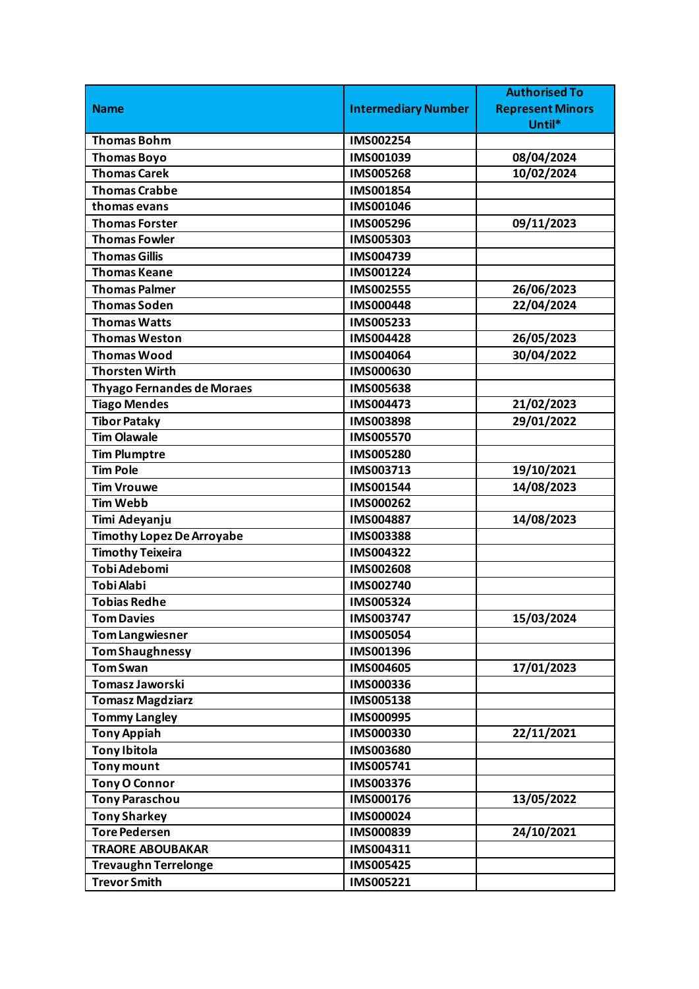|                                   |                            | <b>Authorised To</b>    |
|-----------------------------------|----------------------------|-------------------------|
| <b>Name</b>                       | <b>Intermediary Number</b> | <b>Represent Minors</b> |
|                                   |                            | Until*                  |
| <b>Thomas Bohm</b>                | IMS002254                  |                         |
| <b>Thomas Boyo</b>                | IMS001039                  | 08/04/2024              |
| <b>Thomas Carek</b>               | <b>IMS005268</b>           | 10/02/2024              |
| <b>Thomas Crabbe</b>              | IMS001854                  |                         |
| thomas evans                      | IMS001046                  |                         |
| <b>Thomas Forster</b>             | IMS005296                  | 09/11/2023              |
| <b>Thomas Fowler</b>              | IMS005303                  |                         |
| <b>Thomas Gillis</b>              | IMS004739                  |                         |
| <b>Thomas Keane</b>               | IMS001224                  |                         |
| <b>Thomas Palmer</b>              | IMS002555                  | 26/06/2023              |
| <b>Thomas Soden</b>               | <b>IMS000448</b>           | 22/04/2024              |
| <b>Thomas Watts</b>               | IMS005233                  |                         |
| <b>Thomas Weston</b>              | <b>IMS004428</b>           | 26/05/2023              |
| <b>Thomas Wood</b>                | IMS004064                  | 30/04/2022              |
| <b>Thorsten Wirth</b>             | IMS000630                  |                         |
| <b>Thyago Fernandes de Moraes</b> | <b>IMS005638</b>           |                         |
| <b>Tiago Mendes</b>               | IMS004473                  | 21/02/2023              |
| <b>Tibor Pataky</b>               | IMS003898                  | 29/01/2022              |
| <b>Tim Olawale</b>                | <b>IMS005570</b>           |                         |
| <b>Tim Plumptre</b>               | IMS005280                  |                         |
| <b>Tim Pole</b>                   | IMS003713                  | 19/10/2021              |
| <b>Tim Vrouwe</b>                 | IMS001544                  | 14/08/2023              |
| <b>Tim Webb</b>                   | IMS000262                  |                         |
| Timi Adeyanju                     | IMS004887                  | 14/08/2023              |
| <b>Timothy Lopez De Arroyabe</b>  | IMS003388                  |                         |
| <b>Timothy Teixeira</b>           | IMS004322                  |                         |
| Tobi Adebomi                      | <b>IMS002608</b>           |                         |
| <b>Tobi Alabi</b>                 | IMS002740                  |                         |
| <b>Tobias Redhe</b>               | IMS005324                  |                         |
| <b>Tom Davies</b>                 | IMS003747                  | 15/03/2024              |
| Tom Langwiesner                   | IMS005054                  |                         |
| <b>Tom Shaughnessy</b>            | IMS001396                  |                         |
| <b>Tom Swan</b>                   | <b>IMS004605</b>           | 17/01/2023              |
| <b>Tomasz Jaworski</b>            | IMS000336                  |                         |
| <b>Tomasz Magdziarz</b>           | IMS005138                  |                         |
| <b>Tommy Langley</b>              | IMS000995                  |                         |
| <b>Tony Appiah</b>                | IMS000330                  | 22/11/2021              |
| <b>Tony Ibitola</b>               | IMS003680                  |                         |
| <b>Tony mount</b>                 | IMS005741                  |                         |
| <b>Tony O Connor</b>              | IMS003376                  |                         |
| <b>Tony Paraschou</b>             | IMS000176                  | 13/05/2022              |
| <b>Tony Sharkey</b>               | IMS000024                  |                         |
| <b>Tore Pedersen</b>              | IMS000839                  | 24/10/2021              |
| <b>TRAORE ABOUBAKAR</b>           | IMS004311                  |                         |
| <b>Trevaughn Terrelonge</b>       | IMS005425                  |                         |
| <b>Trevor Smith</b>               | IMS005221                  |                         |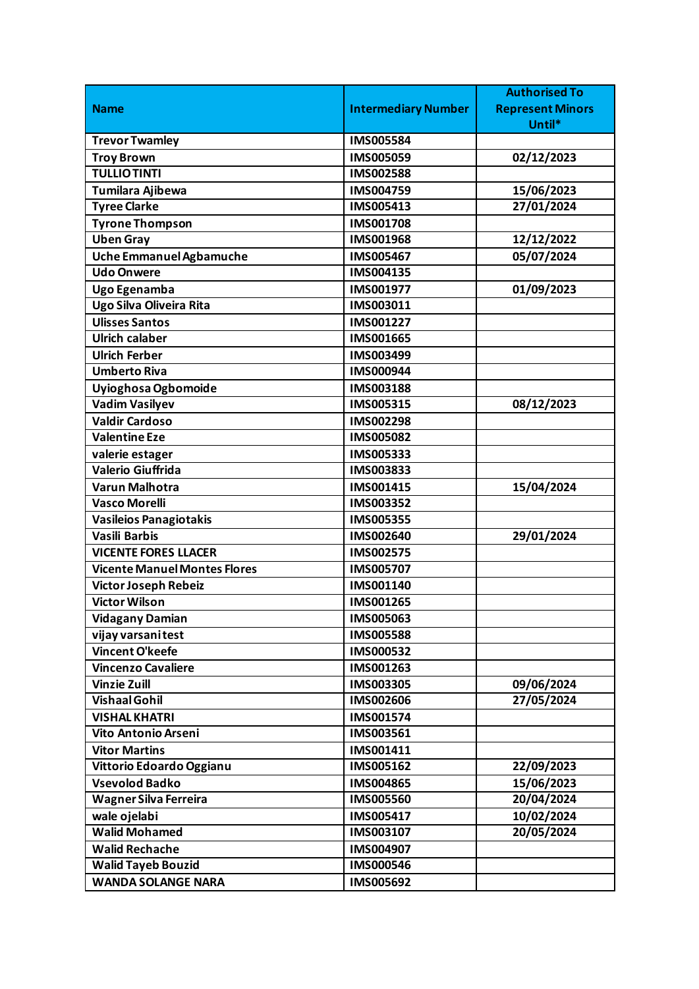|                                     |                            | <b>Authorised To</b>    |
|-------------------------------------|----------------------------|-------------------------|
| <b>Name</b>                         | <b>Intermediary Number</b> | <b>Represent Minors</b> |
|                                     |                            | Until*                  |
| <b>Trevor Twamley</b>               | <b>IMS005584</b>           |                         |
| <b>Troy Brown</b>                   | IMS005059                  | 02/12/2023              |
| <b>TULLIO TINTI</b>                 | <b>IMS002588</b>           |                         |
| Tumilara Ajibewa                    | IMS004759                  | 15/06/2023              |
| <b>Tyree Clarke</b>                 | IMS005413                  | 27/01/2024              |
| <b>Tyrone Thompson</b>              | <b>IMS001708</b>           |                         |
| <b>Uben Gray</b>                    | IMS001968                  | 12/12/2022              |
| Uche Emmanuel Agbamuche             | IMS005467                  | 05/07/2024              |
| <b>Udo Onwere</b>                   | IMS004135                  |                         |
| Ugo Egenamba                        | IMS001977                  | 01/09/2023              |
| Ugo Silva Oliveira Rita             | IMS003011                  |                         |
| <b>Ulisses Santos</b>               | IMS001227                  |                         |
| <b>Ulrich calaber</b>               | IMS001665                  |                         |
| <b>Ulrich Ferber</b>                | IMS003499                  |                         |
| <b>Umberto Riva</b>                 | IMS000944                  |                         |
| Uyioghosa Ogbomoide                 | <b>IMS003188</b>           |                         |
| <b>Vadim Vasilyev</b>               | IMS005315                  | 08/12/2023              |
| <b>Valdir Cardoso</b>               | IMS002298                  |                         |
| <b>Valentine Eze</b>                | IMS005082                  |                         |
| valerie estager                     | IMS005333                  |                         |
| <b>Valerio Giuffrida</b>            | IMS003833                  |                         |
| Varun Malhotra                      | IMS001415                  | 15/04/2024              |
| <b>Vasco Morelli</b>                | IMS003352                  |                         |
| <b>Vasileios Panagiotakis</b>       | <b>IMS005355</b>           |                         |
| Vasili Barbis                       | IMS002640                  | 29/01/2024              |
| <b>VICENTE FORES LLACER</b>         | IMS002575                  |                         |
| <b>Vicente Manuel Montes Flores</b> | IMS005707                  |                         |
| Victor Joseph Rebeiz                | IMS001140                  |                         |
| <b>Victor Wilson</b>                | IMS001265                  |                         |
| <b>Vidagany Damian</b>              | IMS005063                  |                         |
| vijay varsani test                  | <b>IMS005588</b>           |                         |
| Vincent O'keefe                     | IMS000532                  |                         |
| <b>Vincenzo Cavaliere</b>           | IMS001263                  |                         |
| <b>Vinzie Zuill</b>                 | <b>IMS003305</b>           | 09/06/2024              |
| <b>Vishaal Gohil</b>                | IMS002606                  | 27/05/2024              |
| <b>VISHAL KHATRI</b>                | IMS001574                  |                         |
| Vito Antonio Arseni                 | IMS003561                  |                         |
| <b>Vitor Martins</b>                | IMS001411                  |                         |
| Vittorio Edoardo Oggianu            | IMS005162                  | 22/09/2023              |
| <b>Vsevolod Badko</b>               | IMS004865                  | 15/06/2023              |
| Wagner Silva Ferreira               | <b>IMS005560</b>           | 20/04/2024              |
| wale ojelabi                        | IMS005417                  | 10/02/2024              |
| <b>Walid Mohamed</b>                | IMS003107                  | 20/05/2024              |
| <b>Walid Rechache</b>               | IMS004907                  |                         |
| <b>Walid Tayeb Bouzid</b>           | <b>IMS000546</b>           |                         |
| <b>WANDA SOLANGE NARA</b>           | IMS005692                  |                         |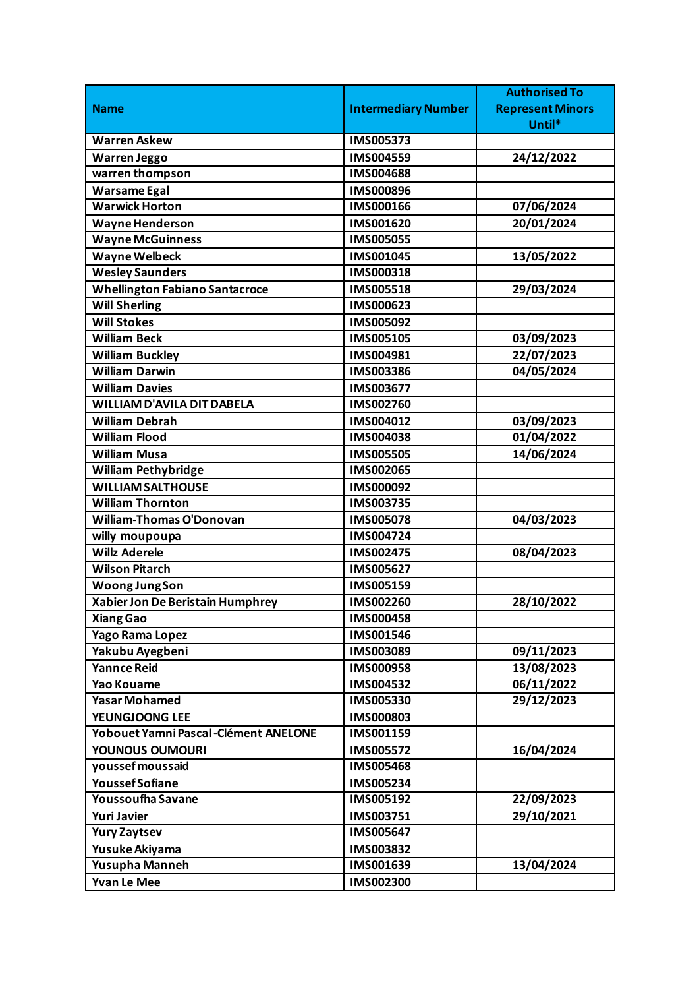|                                        |                            | <b>Authorised To</b>    |
|----------------------------------------|----------------------------|-------------------------|
| <b>Name</b>                            | <b>Intermediary Number</b> | <b>Represent Minors</b> |
|                                        |                            | Until*                  |
| <b>Warren Askew</b>                    | IMS005373                  |                         |
| <b>Warren Jeggo</b>                    | IMS004559                  | 24/12/2022              |
| warren thompson                        | <b>IMS004688</b>           |                         |
| <b>Warsame Egal</b>                    | IMS000896                  |                         |
| <b>Warwick Horton</b>                  | IMS000166                  | 07/06/2024              |
| <b>Wayne Henderson</b>                 | IMS001620                  | 20/01/2024              |
| <b>Wayne McGuinness</b>                | <b>IMS005055</b>           |                         |
| Wayne Welbeck                          | IMS001045                  | 13/05/2022              |
| <b>Wesley Saunders</b>                 | IMS000318                  |                         |
| <b>Whellington Fabiano Santacroce</b>  | IMS005518                  | 29/03/2024              |
| <b>Will Sherling</b>                   | IMS000623                  |                         |
| <b>Will Stokes</b>                     | IMS005092                  |                         |
| <b>William Beck</b>                    | IMS005105                  | 03/09/2023              |
| <b>William Buckley</b>                 | IMS004981                  | 22/07/2023              |
| <b>William Darwin</b>                  | IMS003386                  | 04/05/2024              |
| <b>William Davies</b>                  | IMS003677                  |                         |
| <b>WILLIAM D'AVILA DIT DABELA</b>      | IMS002760                  |                         |
| <b>William Debrah</b>                  | IMS004012                  | 03/09/2023              |
| <b>William Flood</b>                   | IMS004038                  | 01/04/2022              |
| <b>William Musa</b>                    | <b>IMS005505</b>           | 14/06/2024              |
| <b>William Pethybridge</b>             | IMS002065                  |                         |
| <b>WILLIAM SALTHOUSE</b>               | IMS000092                  |                         |
| <b>William Thornton</b>                | IMS003735                  |                         |
| <b>William-Thomas O'Donovan</b>        | <b>IMS005078</b>           | 04/03/2023              |
| willy moupoupa                         | IMS004724                  |                         |
| <b>Willz Aderele</b>                   | IMS002475                  | 08/04/2023              |
| <b>Wilson Pitarch</b>                  | IMS005627                  |                         |
| <b>Woong JungSon</b>                   | IMS005159                  |                         |
| Xabier Jon De Beristain Humphrey       | IMS002260                  | 28/10/2022              |
| <b>Xiang Gao</b>                       | <b>IMS000458</b>           |                         |
| Yago Rama Lopez                        | IMS001546                  |                         |
| Yakubu Ayegbeni                        | IMS003089                  | 09/11/2023              |
| <b>Yannce Reid</b>                     | <b>IMS000958</b>           | 13/08/2023              |
| <b>Yao Kouame</b>                      | IMS004532                  | 06/11/2022              |
| <b>Yasar Mohamed</b>                   | IMS005330                  | 29/12/2023              |
| <b>YEUNGJOONG LEE</b>                  | IMS000803                  |                         |
| Yobouet Yamni Pascal - Clément ANELONE | IMS001159                  |                         |
| <b>YOUNOUS OUMOURI</b>                 | IMS005572                  | 16/04/2024              |
| youssef moussaid                       | <b>IMS005468</b>           |                         |
| <b>Youssef Sofiane</b>                 | IMS005234                  |                         |
| Youssoufha Savane                      | IMS005192                  | 22/09/2023              |
| <b>Yuri Javier</b>                     | IMS003751                  | 29/10/2021              |
| <b>Yury Zaytsev</b>                    | <b>IMS005647</b>           |                         |
| Yusuke Akiyama                         | IMS003832                  |                         |
| Yusupha Manneh                         | IMS001639                  | 13/04/2024              |
| <b>Yvan Le Mee</b>                     | IMS002300                  |                         |